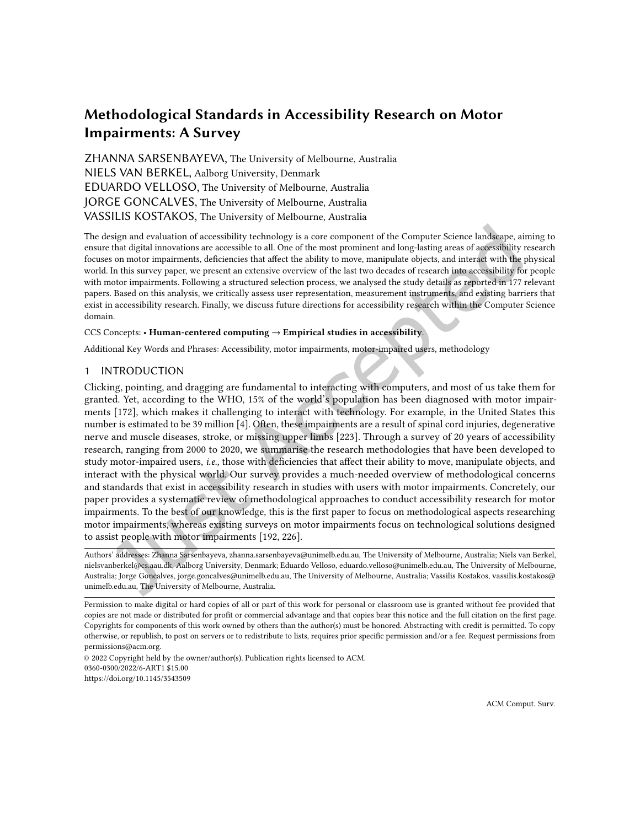# Methodological Standards in Accessibility Research on Motor Impairments: A Survey

ZHANNA SARSENBAYEVA, The University of Melbourne, Australia NIELS VAN BERKEL, Aalborg University, Denmark EDUARDO VELLOSO, The University of Melbourne, Australia JORGE GONCALVES, The University of Melbourne, Australia VASSILIS KOSTAKOS, The University of Melbourne, Australia

The design and evaluation of accessibility technology is a core component of the Computer Science landscape, aiming to ensure that digital innovations are accessible to all. One of the most prominent and long-lasting areas of accessibility research focuses on motor impairments, deiciencies that afect the ability to move, manipulate objects, and interact with the physical world. In this survey paper, we present an extensive overview of the last two decades of research into accessibility for people with motor impairments. Following a structured selection process, we analysed the study details as reported in 177 relevant papers. Based on this analysis, we critically assess user representation, measurement instruments, and existing barriers that exist in accessibility research. Finally, we discuss future directions for accessibility research within the Computer Science domain.

### CCS Concepts: • Human-centered computing  $\rightarrow$  Empirical studies in accessibility.

Additional Key Words and Phrases: Accessibility, motor impairments, motor-impaired users, methodology

### 1 INTRODUCTION

Clicking, pointing, and dragging are fundamental to interacting with computers, and most of us take them for granted. Yet, according to the WHO, 15% of the world's population has been diagnosed with motor impairments [\[172\]](#page-28-0), which makes it challenging to interact with technology. For example, in the United States this number is estimated to be 39 million [\[4\]](#page-19-0). Often, these impairments are a result of spinal cord injuries, degenerative nerve and muscle diseases, stroke, or missing upper limbs [\[223\]](#page-31-0). Through a survey of 20 years of accessibility research, ranging from 2000 to 2020, we summarise the research methodologies that have been developed to study motor-impaired users, *i.e.*, those with deficiencies that affect their ability to move, manipulate objects, and interact with the physical world. Our survey provides a much-needed overview of methodological concerns and standards that exist in accessibility research in studies with users with motor impairments. Concretely, our paper provides a systematic review of methodological approaches to conduct accessibility research for motor impairments. To the best of our knowledge, this is the first paper to focus on methodological aspects researching motor impairments, whereas existing surveys on motor impairments focus on technological solutions designed to assist people with motor impairments [\[192,](#page-29-0) [226\]](#page-31-1).

Authors' addresses: Zhanna Sarsenbayeva, zhanna.sarsenbayeva@unimelb.edu.au, The University of Melbourne, Australia; Niels van Berkel, nielsvanberkel@cs.aau.dk, Aalborg University, Denmark; Eduardo Velloso, eduardo.velloso@unimelb.edu.au, The University of Melbourne, Australia; Jorge Goncalves, jorge.goncalves@unimelb.edu.au, The University of Melbourne, Australia; Vassilis Kostakos, vassilis.kostakos@ unimelb.edu.au, The University of Melbourne, Australia.

© 2022 Copyright held by the owner/author(s). Publication rights licensed to ACM. 0360-0300/2022/6-ART1 \$15.00 <https://doi.org/10.1145/3543509>

Permission to make digital or hard copies of all or part of this work for personal or classroom use is granted without fee provided that copies are not made or distributed for profit or commercial advantage and that copies bear this notice and the full citation on the first page. Copyrights for components of this work owned by others than the author(s) must be honored. Abstracting with credit is permitted. To copy otherwise, or republish, to post on servers or to redistribute to lists, requires prior speciic permission and/or a fee. Request permissions from permissions@acm.org.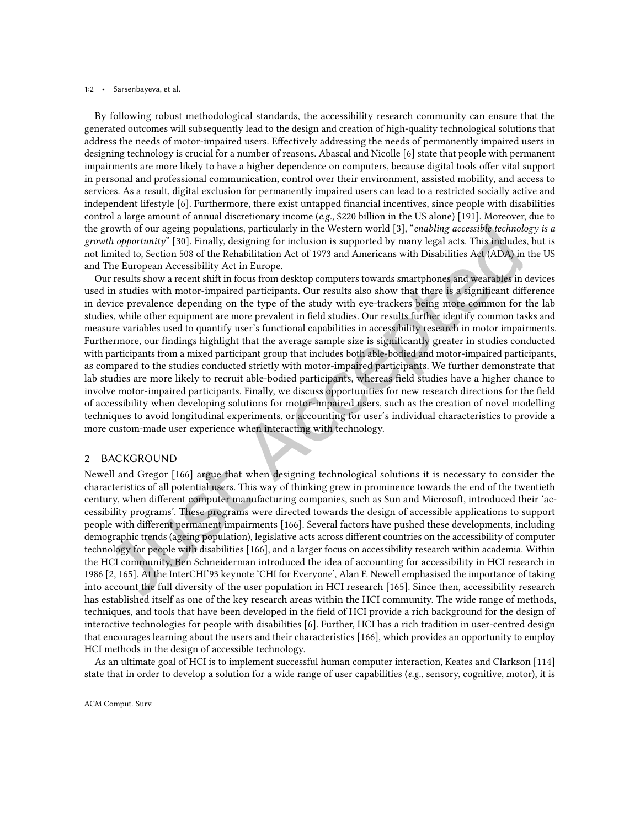#### 1:2 • Sarsenbayeva, et al.

By following robust methodological standards, the accessibility research community can ensure that the generated outcomes will subsequently lead to the design and creation of high-quality technological solutions that address the needs of motor-impaired users. Efectively addressing the needs of permanently impaired users in designing technology is crucial for a number of reasons. Abascal and Nicolle [\[6\]](#page-19-1) state that people with permanent impairments are more likely to have a higher dependence on computers, because digital tools ofer vital support in personal and professional communication, control over their environment, assisted mobility, and access to services. As a result, digital exclusion for permanently impaired users can lead to a restricted socially active and independent lifestyle [\[6\]](#page-19-1). Furthermore, there exist untapped inancial incentives, since people with disabilities control a large amount of annual discretionary income (e.g., \$220 billion in the US alone) [\[191\]](#page-29-1). Moreover, due to the growth of our ageing populations, particularly in the Western world [\[3\]](#page-19-2), "enabling accessible technology is a growth opportunityž [\[30\]](#page-20-0). Finally, designing for inclusion is supported by many legal acts. This includes, but is not limited to, Section 508 of the Rehabilitation Act of 1973 and Americans with Disabilities Act (ADA) in the US and The European Accessibility Act in Europe.

Our results show a recent shift in focus from desktop computers towards smartphones and wearables in devices used in studies with motor-impaired participants. Our results also show that there is a significant difference in device prevalence depending on the type of the study with eye-trackers being more common for the lab studies, while other equipment are more prevalent in ield studies. Our results further identify common tasks and measure variables used to quantify user's functional capabilities in accessibility research in motor impairments. Furthermore, our findings highlight that the average sample size is significantly greater in studies conducted with participants from a mixed participant group that includes both able-bodied and motor-impaired participants, as compared to the studies conducted strictly with motor-impaired participants. We further demonstrate that lab studies are more likely to recruit able-bodied participants, whereas ield studies have a higher chance to involve motor-impaired participants. Finally, we discuss opportunities for new research directions for the field of accessibility when developing solutions for motor-impaired users, such as the creation of novel modelling techniques to avoid longitudinal experiments, or accounting for user's individual characteristics to provide a more custom-made user experience when interacting with technology.

# 2 BACKGROUND

Newell and Gregor [\[166\]](#page-28-1) argue that when designing technological solutions it is necessary to consider the characteristics of all potential users. This way of thinking grew in prominence towards the end of the twentieth century, when diferent computer manufacturing companies, such as Sun and Microsoft, introduced their 'accessibility programs'. These programs were directed towards the design of accessible applications to support people with diferent permanent impairments [\[166\]](#page-28-1). Several factors have pushed these developments, including demographic trends (ageing population), legislative acts across diferent countries on the accessibility of computer technology for people with disabilities [\[166\]](#page-28-1), and a larger focus on accessibility research within academia. Within the HCI community, Ben Schneiderman introduced the idea of accounting for accessibility in HCI research in 1986 [\[2,](#page-19-3) [165\]](#page-28-2). At the InterCHI'93 keynote 'CHI for Everyone', Alan F. Newell emphasised the importance of taking into account the full diversity of the user population in HCI research [\[165\]](#page-28-2). Since then, accessibility research has established itself as one of the key research areas within the HCI community. The wide range of methods, techniques, and tools that have been developed in the ield of HCI provide a rich background for the design of interactive technologies for people with disabilities [\[6\]](#page-19-1). Further, HCI has a rich tradition in user-centred design that encourages learning about the users and their characteristics [\[166\]](#page-28-1), which provides an opportunity to employ HCI methods in the design of accessible technology.

As an ultimate goal of HCI is to implement successful human computer interaction, Keates and Clarkson [\[114\]](#page-25-0) state that in order to develop a solution for a wide range of user capabilities  $(e.g.,$  sensory, cognitive, motor), it is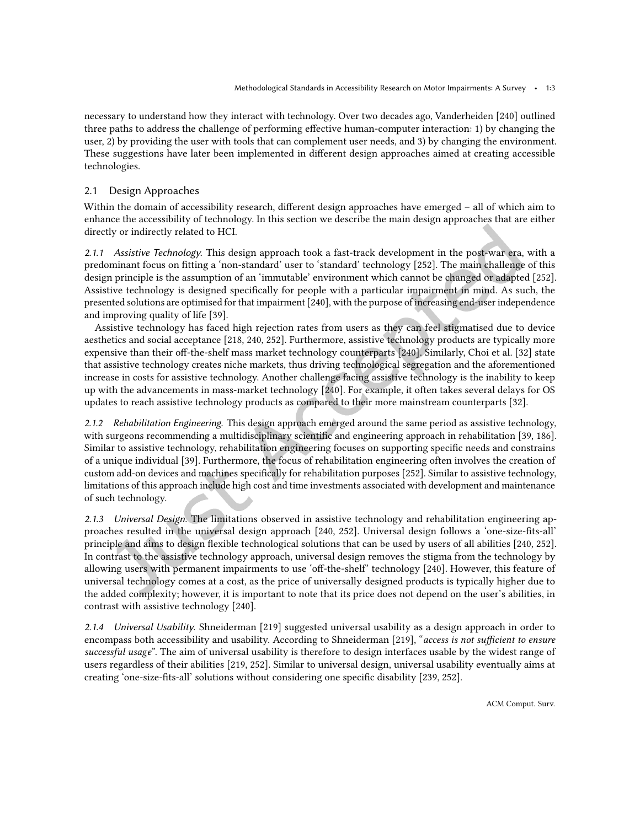necessary to understand how they interact with technology. Over two decades ago, Vanderheiden [\[240\]](#page-32-0) outlined three paths to address the challenge of performing efective human-computer interaction: 1) by changing the user, 2) by providing the user with tools that can complement user needs, and 3) by changing the environment. These suggestions have later been implemented in diferent design approaches aimed at creating accessible technologies.

# 2.1 Design Approaches

Within the domain of accessibility research, different design approaches have emerged - all of which aim to enhance the accessibility of technology. In this section we describe the main design approaches that are either directly or indirectly related to HCI.

2.1.1 Assistive Technology. This design approach took a fast-track development in the post-war era, with a predominant focus on itting a 'non-standard' user to 'standard' technology [\[252\]](#page-32-1). The main challenge of this design principle is the assumption of an 'immutable' environment which cannot be changed or adapted [\[252\]](#page-32-1). Assistive technology is designed specifically for people with a particular impairment in mind. As such, the presented solutions are optimised for that impairment [\[240\]](#page-32-0), with the purpose of increasing end-user independence and improving quality of life [\[39\]](#page-21-0).

Assistive technology has faced high rejection rates from users as they can feel stigmatised due to device aesthetics and social acceptance [\[218,](#page-30-0) [240,](#page-32-0) [252\]](#page-32-1). Furthermore, assistive technology products are typically more expensive than their off-the-shelf mass market technology counterparts [\[240\]](#page-32-0). Similarly, Choi et al. [\[32\]](#page-20-1) state that assistive technology creates niche markets, thus driving technological segregation and the aforementioned increase in costs for assistive technology. Another challenge facing assistive technology is the inability to keep up with the advancements in mass-market technology [\[240\]](#page-32-0). For example, it often takes several delays for OS updates to reach assistive technology products as compared to their more mainstream counterparts [\[32\]](#page-20-1).

2.1.2 Rehabilitation Engineering. This design approach emerged around the same period as assistive technology, with surgeons recommending a multidisciplinary scientific and engineering approach in rehabilitation [\[39,](#page-21-0) [186\]](#page-29-2). Similar to assistive technology, rehabilitation engineering focuses on supporting speciic needs and constrains of a unique individual [\[39\]](#page-21-0). Furthermore, the focus of rehabilitation engineering often involves the creation of custom add-on devices and machines specifically for rehabilitation purposes [\[252\]](#page-32-1). Similar to assistive technology, limitations of this approach include high cost and time investments associated with development and maintenance of such technology.

2.1.3 Universal Design. The limitations observed in assistive technology and rehabilitation engineering approaches resulted in the universal design approach [\[240,](#page-32-0) [252\]](#page-32-1). Universal design follows a 'one-size-its-all' principle and aims to design lexible technological solutions that can be used by users of all abilities [\[240,](#page-32-0) [252\]](#page-32-1). In contrast to the assistive technology approach, universal design removes the stigma from the technology by allowing users with permanent impairments to use 'off-the-shelf' technology [\[240\]](#page-32-0). However, this feature of universal technology comes at a cost, as the price of universally designed products is typically higher due to the added complexity; however, it is important to note that its price does not depend on the user's abilities, in contrast with assistive technology [\[240\]](#page-32-0).

2.1.4 Universal Usability. Shneiderman [\[219\]](#page-30-1) suggested universal usability as a design approach in order to encompass both accessibility and usability. According to Shneiderman [\[219\]](#page-30-1), "access is not sufficient to ensure successful usage". The aim of universal usability is therefore to design interfaces usable by the widest range of users regardless of their abilities [\[219,](#page-30-1) [252\]](#page-32-1). Similar to universal design, universal usability eventually aims at creating 'one-size-fits-all' solutions without considering one specific disability [\[239,](#page-31-2) [252\]](#page-32-1).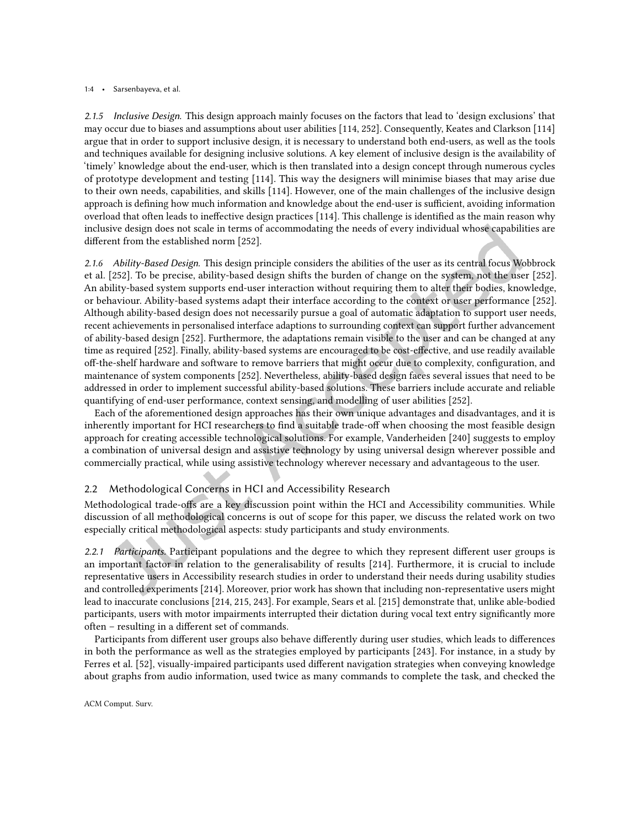#### 1:4 • Sarsenbayeva, et al.

2.1.5 Inclusive Design. This design approach mainly focuses on the factors that lead to 'design exclusions' that may occur due to biases and assumptions about user abilities [\[114,](#page-25-0) [252\]](#page-32-1). Consequently, Keates and Clarkson [\[114\]](#page-25-0) argue that in order to support inclusive design, it is necessary to understand both end-users, as well as the tools and techniques available for designing inclusive solutions. A key element of inclusive design is the availability of 'timely' knowledge about the end-user, which is then translated into a design concept through numerous cycles of prototype development and testing [\[114\]](#page-25-0). This way the designers will minimise biases that may arise due to their own needs, capabilities, and skills [\[114\]](#page-25-0). However, one of the main challenges of the inclusive design approach is defining how much information and knowledge about the end-user is sufficient, avoiding information overload that often leads to inefective design practices [\[114\]](#page-25-0). This challenge is identiied as the main reason why inclusive design does not scale in terms of accommodating the needs of every individual whose capabilities are diferent from the established norm [\[252\]](#page-32-1).

2.1.6 Ability-Based Design. This design principle considers the abilities of the user as its central focus Wobbrock et al. [\[252\]](#page-32-1). To be precise, ability-based design shifts the burden of change on the system, not the user [\[252\]](#page-32-1). An ability-based system supports end-user interaction without requiring them to alter their bodies, knowledge, or behaviour. Ability-based systems adapt their interface according to the context or user performance [\[252\]](#page-32-1). Although ability-based design does not necessarily pursue a goal of automatic adaptation to support user needs, recent achievements in personalised interface adaptions to surrounding context can support further advancement of ability-based design [\[252\]](#page-32-1). Furthermore, the adaptations remain visible to the user and can be changed at any time as required [\[252\]](#page-32-1). Finally, ability-based systems are encouraged to be cost-efective, and use readily available of-the-shelf hardware and software to remove barriers that might occur due to complexity, coniguration, and maintenance of system components [\[252\]](#page-32-1). Nevertheless, ability-based design faces several issues that need to be addressed in order to implement successful ability-based solutions. These barriers include accurate and reliable quantifying of end-user performance, context sensing, and modelling of user abilities [\[252\]](#page-32-1).

Each of the aforementioned design approaches has their own unique advantages and disadvantages, and it is inherently important for HCI researchers to find a suitable trade-off when choosing the most feasible design approach for creating accessible technological solutions. For example, Vanderheiden [\[240\]](#page-32-0) suggests to employ a combination of universal design and assistive technology by using universal design wherever possible and commercially practical, while using assistive technology wherever necessary and advantageous to the user.

# 2.2 Methodological Concerns in HCI and Accessibility Research

Methodological trade-ofs are a key discussion point within the HCI and Accessibility communities. While discussion of all methodological concerns is out of scope for this paper, we discuss the related work on two especially critical methodological aspects: study participants and study environments.

2.2.1 Participants. Participant populations and the degree to which they represent different user groups is an important factor in relation to the generalisability of results [\[214\]](#page-30-2). Furthermore, it is crucial to include representative users in Accessibility research studies in order to understand their needs during usability studies and controlled experiments [\[214\]](#page-30-2). Moreover, prior work has shown that including non-representative users might lead to inaccurate conclusions [\[214,](#page-30-2) [215,](#page-30-3) [243\]](#page-32-2). For example, Sears et al. [\[215\]](#page-30-3) demonstrate that, unlike able-bodied participants, users with motor impairments interrupted their dictation during vocal text entry significantly more often - resulting in a different set of commands.

Participants from diferent user groups also behave diferently during user studies, which leads to diferences in both the performance as well as the strategies employed by participants [\[243\]](#page-32-2). For instance, in a study by Ferres et al. [\[52\]](#page-22-0), visually-impaired participants used diferent navigation strategies when conveying knowledge about graphs from audio information, used twice as many commands to complete the task, and checked the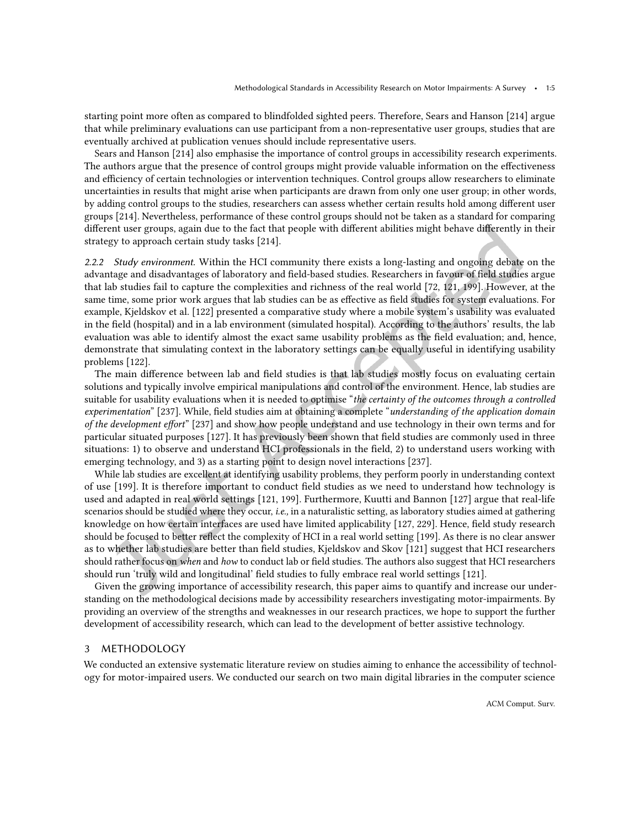starting point more often as compared to blindfolded sighted peers. Therefore, Sears and Hanson [\[214\]](#page-30-2) argue that while preliminary evaluations can use participant from a non-representative user groups, studies that are eventually archived at publication venues should include representative users.

Sears and Hanson [\[214\]](#page-30-2) also emphasise the importance of control groups in accessibility research experiments. The authors argue that the presence of control groups might provide valuable information on the efectiveness and efficiency of certain technologies or intervention techniques. Control groups allow researchers to eliminate uncertainties in results that might arise when participants are drawn from only one user group; in other words, by adding control groups to the studies, researchers can assess whether certain results hold among diferent user groups [\[214\]](#page-30-2). Nevertheless, performance of these control groups should not be taken as a standard for comparing diferent user groups, again due to the fact that people with diferent abilities might behave diferently in their strategy to approach certain study tasks [\[214\]](#page-30-2).

2.2.2 Study environment. Within the HCI community there exists a long-lasting and ongoing debate on the advantage and disadvantages of laboratory and ield-based studies. Researchers in favour of ield studies argue that lab studies fail to capture the complexities and richness of the real world [\[72,](#page-23-0) [121,](#page-25-1) [199\]](#page-29-3). However, at the same time, some prior work argues that lab studies can be as effective as field studies for system evaluations. For example, Kjeldskov et al. [\[122\]](#page-25-2) presented a comparative study where a mobile system's usability was evaluated in the field (hospital) and in a lab environment (simulated hospital). According to the authors' results, the lab evaluation was able to identify almost the exact same usability problems as the ield evaluation; and, hence, demonstrate that simulating context in the laboratory settings can be equally useful in identifying usability problems [\[122\]](#page-25-2).

The main difference between lab and field studies is that lab studies mostly focus on evaluating certain solutions and typically involve empirical manipulations and control of the environment. Hence, lab studies are suitable for usability evaluations when it is needed to optimise "the certainty of the outcomes through a controlled experimentation" [\[237\]](#page-31-3). While, field studies aim at obtaining a complete "understanding of the application domain of the development effort" [\[237\]](#page-31-3) and show how people understand and use technology in their own terms and for particular situated purposes [\[127\]](#page-26-0). It has previously been shown that field studies are commonly used in three situations: 1) to observe and understand HCI professionals in the ield, 2) to understand users working with emerging technology, and 3) as a starting point to design novel interactions [\[237\]](#page-31-3).

While lab studies are excellent at identifying usability problems, they perform poorly in understanding context of use [\[199\]](#page-29-3). It is therefore important to conduct ield studies as we need to understand how technology is used and adapted in real world settings [\[121,](#page-25-1) [199\]](#page-29-3). Furthermore, Kuutti and Bannon [\[127\]](#page-26-0) argue that real-life scenarios should be studied where they occur, i.e., in a naturalistic setting, as laboratory studies aimed at gathering knowledge on how certain interfaces are used have limited applicability [\[127,](#page-26-0) [229\]](#page-31-4). Hence, ield study research should be focused to better relect the complexity of HCI in a real world setting [\[199\]](#page-29-3). As there is no clear answer as to whether lab studies are better than field studies, Kjeldskov and Skov [\[121\]](#page-25-1) suggest that HCI researchers should rather focus on when and how to conduct lab or field studies. The authors also suggest that HCI researchers should run 'truly wild and longitudinal' field studies to fully embrace real world settings [\[121\]](#page-25-1).

Given the growing importance of accessibility research, this paper aims to quantify and increase our understanding on the methodological decisions made by accessibility researchers investigating motor-impairments. By providing an overview of the strengths and weaknesses in our research practices, we hope to support the further development of accessibility research, which can lead to the development of better assistive technology.

# 3 METHODOLOGY

We conducted an extensive systematic literature review on studies aiming to enhance the accessibility of technology for motor-impaired users. We conducted our search on two main digital libraries in the computer science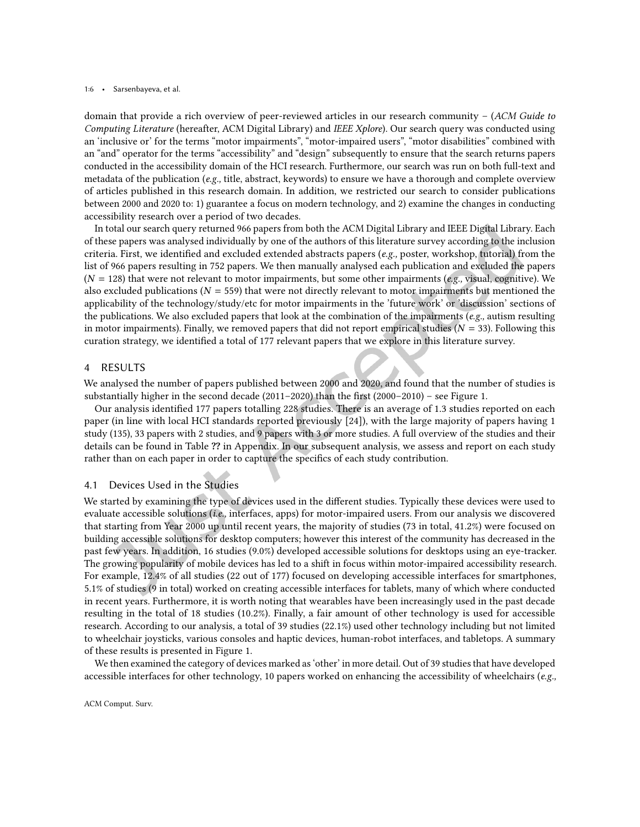#### 1:6 • Sarsenbayeva, et al.

domain that provide a rich overview of peer-reviewed articles in our research community  $-$  (ACM Guide to Computing Literature (hereafter, ACM Digital Library) and IEEE Xplore). Our search query was conducted using an 'inclusive or' for the terms "motor impairments", "motor-impaired users", "motor disabilities" combined with an "and" operator for the terms "accessibility" and "design" subsequently to ensure that the search returns papers conducted in the accessibility domain of the HCI research. Furthermore, our search was run on both full-text and metadata of the publication (e.g., title, abstract, keywords) to ensure we have a thorough and complete overview of articles published in this research domain. In addition, we restricted our search to consider publications between 2000 and 2020 to: 1) guarantee a focus on modern technology, and 2) examine the changes in conducting accessibility research over a period of two decades.

In total our search query returned 966 papers from both the ACM Digital Library and IEEE Digital Library. Each of these papers was analysed individually by one of the authors of this literature survey according to the inclusion criteria. First, we identified and excluded extended abstracts papers (e.g., poster, workshop, tutorial) from the list of 966 papers resulting in 752 papers. We then manually analysed each publication and excluded the papers  $(N = 128)$  that were not relevant to motor impairments, but some other impairments (e.g., visual, cognitive). We also excluded publications ( $N = 559$ ) that were not directly relevant to motor impairments but mentioned the applicability of the technology/study/etc for motor impairments in the 'future work' or 'discussion' sections of the publications. We also excluded papers that look at the combination of the impairments ( $e.g.,$  autism resulting in motor impairments). Finally, we removed papers that did not report empirical studies ( $N = 33$ ). Following this curation strategy, we identiied a total of 177 relevant papers that we explore in this literature survey.

# 4 RESULTS

We analysed the number of papers published between 2000 and 2020, and found that the number of studies is substantially higher in the second decade (2011–2020) than the first (2000–2010) – see Figure [1.](#page-6-0)

Our analysis identified 177 papers totalling 228 studies. There is an average of 1.3 studies reported on each paper (in line with local HCI standards reported previously [\[24\]](#page-20-2)), with the large majority of papers having 1 study (135), 33 papers with 2 studies, and 9 papers with 3 or more studies. A full overview of the studies and their details can be found in Table ?? in Appendix. In our subsequent analysis, we assess and report on each study rather than on each paper in order to capture the specifics of each study contribution.

### 4.1 Devices Used in the Studies

We started by examining the type of devices used in the diferent studies. Typically these devices were used to evaluate accessible solutions (i.e., interfaces, apps) for motor-impaired users. From our analysis we discovered that starting from Year 2000 up until recent years, the majority of studies (73 in total, 41.2%) were focused on building accessible solutions for desktop computers; however this interest of the community has decreased in the past few years. In addition, 16 studies (9.0%) developed accessible solutions for desktops using an eye-tracker. The growing popularity of mobile devices has led to a shift in focus within motor-impaired accessibility research. For example, 12.4% of all studies (22 out of 177) focused on developing accessible interfaces for smartphones, 5.1% of studies (9 in total) worked on creating accessible interfaces for tablets, many of which where conducted in recent years. Furthermore, it is worth noting that wearables have been increasingly used in the past decade resulting in the total of 18 studies (10.2%). Finally, a fair amount of other technology is used for accessible research. According to our analysis, a total of 39 studies (22.1%) used other technology including but not limited to wheelchair joysticks, various consoles and haptic devices, human-robot interfaces, and tabletops. A summary of these results is presented in Figure [1.](#page-6-0)

We then examined the category of devices marked as 'other' in more detail. Out of 39 studies that have developed accessible interfaces for other technology, 10 papers worked on enhancing the accessibility of wheelchairs ( $e.g.,$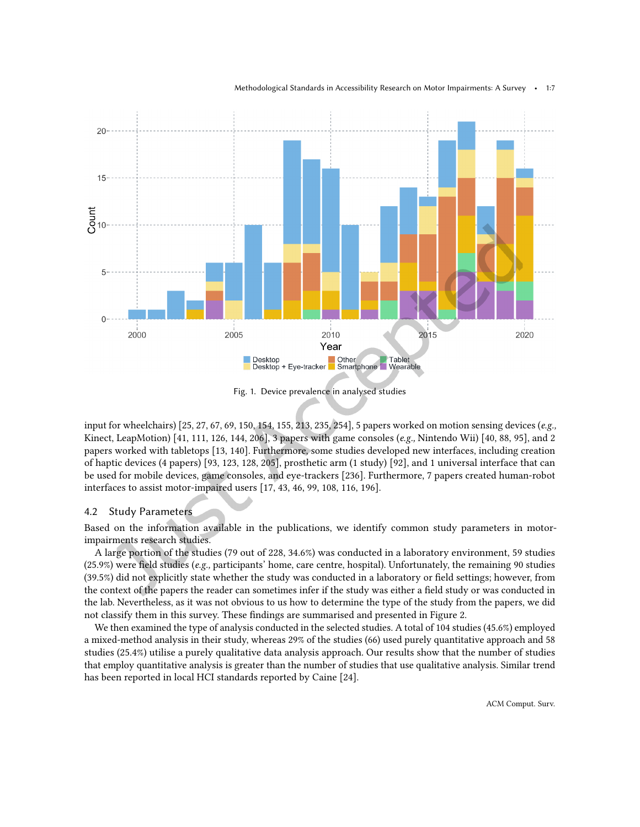Methodological Standards in Accessibility Research on Motor Impairments: A Survey • 1:7

<span id="page-6-0"></span>

Fig. 1. Device prevalence in analysed studies

input for wheelchairs) [\[25,](#page-20-3) [27,](#page-20-4) [67,](#page-22-1) [69,](#page-23-1) [150,](#page-27-0) [154,](#page-27-1) [155,](#page-27-2) [213,](#page-30-4) [235,](#page-31-5) [254\]](#page-32-3), 5 papers worked on motion sensing devices (e.g., Kinect, LeapMotion) [\[41,](#page-21-1) [111,](#page-25-3) [126,](#page-26-1) [144,](#page-26-2) [206\]](#page-30-5), 3 papers with game consoles (e.g., Nintendo Wii) [\[40,](#page-21-2) [88,](#page-24-0) [95\]](#page-24-1), and 2 papers worked with tabletops [\[13,](#page-19-4) [140\]](#page-26-3). Furthermore, some studies developed new interfaces, including creation of haptic devices (4 papers) [\[93,](#page-24-2) [123,](#page-25-4) [128,](#page-26-4) [205\]](#page-30-6), prosthetic arm (1 study) [\[92\]](#page-24-3), and 1 universal interface that can be used for mobile devices, game consoles, and eye-trackers [\[236\]](#page-31-6). Furthermore, 7 papers created human-robot interfaces to assist motor-impaired users [\[17,](#page-20-5) [43,](#page-21-3) [46,](#page-21-4) [99,](#page-24-4) [108,](#page-25-5) [116,](#page-25-6) [196\]](#page-29-4).

### 4.2 Study Parameters

Based on the information available in the publications, we identify common study parameters in motorimpairments research studies.

A large portion of the studies (79 out of 228, 34.6%) was conducted in a laboratory environment, 59 studies  $(25.9%)$  were field studies (e.g., participants' home, care centre, hospital). Unfortunately, the remaining 90 studies (39.5%) did not explicitly state whether the study was conducted in a laboratory or ield settings; however, from the context of the papers the reader can sometimes infer if the study was either a field study or was conducted in the lab. Nevertheless, as it was not obvious to us how to determine the type of the study from the papers, we did not classify them in this survey. These indings are summarised and presented in Figure [2.](#page-7-0)

We then examined the type of analysis conducted in the selected studies. A total of 104 studies (45.6%) employed a mixed-method analysis in their study, whereas 29% of the studies (66) used purely quantitative approach and 58 studies (25.4%) utilise a purely qualitative data analysis approach. Our results show that the number of studies that employ quantitative analysis is greater than the number of studies that use qualitative analysis. Similar trend has been reported in local HCI standards reported by Caine [\[24\]](#page-20-2).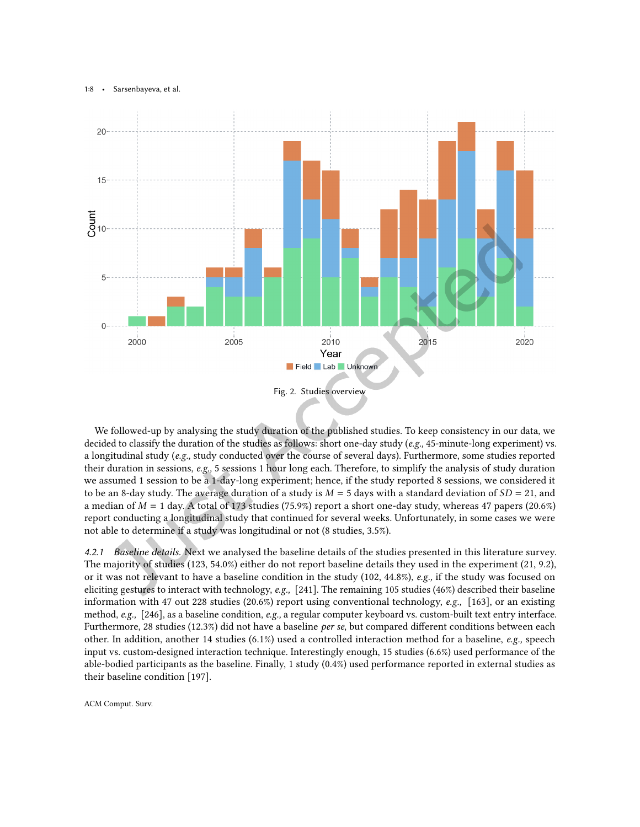#### 1:8 • Sarsenbayeva, et al.

<span id="page-7-0"></span>

We followed-up by analysing the study duration of the published studies. To keep consistency in our data, we decided to classify the duration of the studies as follows: short one-day study (e.g., 45-minute-long experiment) vs. a longitudinal study (e.g., study conducted over the course of several days). Furthermore, some studies reported their duration in sessions, e.g., 5 sessions 1 hour long each. Therefore, to simplify the analysis of study duration we assumed 1 session to be a 1-day-long experiment; hence, if the study reported 8 sessions, we considered it to be an 8-day study. The average duration of a study is  $M = 5$  days with a standard deviation of  $SD = 21$ , and a median of  $M = 1$  day. A total of 173 studies (75.9%) report a short one-day study, whereas 47 papers (20.6%) report conducting a longitudinal study that continued for several weeks. Unfortunately, in some cases we were not able to determine if a study was longitudinal or not (8 studies, 3.5%).

4.2.1 Baseline details. Next we analysed the baseline details of the studies presented in this literature survey. The majority of studies (123, 54.0%) either do not report baseline details they used in the experiment (21, 9.2), or it was not relevant to have a baseline condition in the study (102, 44.8%), e.g., if the study was focused on eliciting gestures to interact with technology, e.g., [\[241\]](#page-32-4). The remaining 105 studies (46%) described their baseline information with 47 out 228 studies (20.6%) report using conventional technology, e.g., [\[163\]](#page-28-3), or an existing method, e.g., [\[246\]](#page-32-5), as a baseline condition, e.g., a regular computer keyboard vs. custom-built text entry interface. Furthermore, 28 studies (12.3%) did not have a baseline per se, but compared diferent conditions between each other. In addition, another 14 studies (6.1%) used a controlled interaction method for a baseline, e.g., speech input vs. custom-designed interaction technique. Interestingly enough, 15 studies (6.6%) used performance of the able-bodied participants as the baseline. Finally, 1 study (0.4%) used performance reported in external studies as their baseline condition [\[197\]](#page-29-5).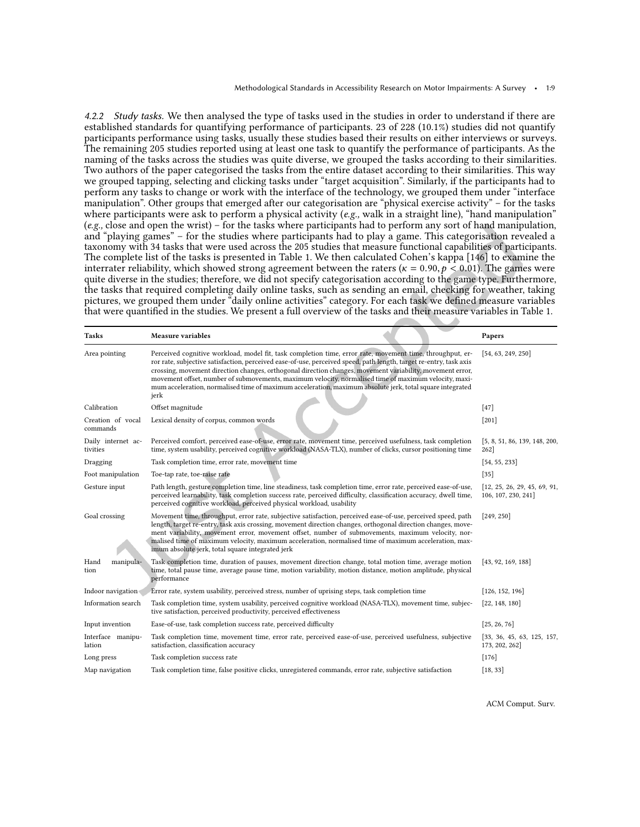4.2.2 Study tasks. We then analysed the type of tasks used in the studies in order to understand if there are established standards for quantifying performance of participants. 23 of 228 (10.1%) studies did not quantify participants performance using tasks, usually these studies based their results on either interviews or surveys. The remaining 205 studies reported using at least one task to quantify the performance of participants. As the naming of the tasks across the studies was quite diverse, we grouped the tasks according to their similarities. Two authors of the paper categorised the tasks from the entire dataset according to their similarities. This way we grouped tapping, selecting and clicking tasks under "target acquisition". Similarly, if the participants had to perform any tasks to change or work with the interface of the technology, we grouped them under "interface" manipulation". Other groups that emerged after our categorisation are "physical exercise activity" – for the tasks where participants were ask to perform a physical activity (e.g., walk in a straight line), "hand manipulation"  $(e.g., close and open the wrist)$  – for the tasks where participants had to perform any sort of hand manipulation, and "playing games" - for the studies where participants had to play a game. This categorisation revealed a taxonomy with 34 tasks that were used across the 205 studies that measure functional capabilities of participants. The complete list of the tasks is presented in Table [1.](#page-8-0) We then calculated Cohen's kappa [\[146\]](#page-27-3) to examine the interrater reliability, which showed strong agreement between the raters ( $\kappa = 0.90, p < 0.01$ ). The games were quite diverse in the studies; therefore, we did not specify categorisation according to the game type. Furthermore, the tasks that required completing daily online tasks, such as sending an email, checking for weather, taking pictures, we grouped them under "daily online activities" category. For each task we defined measure variables that were quantified in the studies. We present a full overview of the tasks and their measure variables in Table [1.](#page-8-0)

<span id="page-8-0"></span>

| Tasks                          | <b>Measure variables</b>                                                                                                                                                                                                                                                                                                                                                                                                                                                                                                                                                   | Papers                                              |
|--------------------------------|----------------------------------------------------------------------------------------------------------------------------------------------------------------------------------------------------------------------------------------------------------------------------------------------------------------------------------------------------------------------------------------------------------------------------------------------------------------------------------------------------------------------------------------------------------------------------|-----------------------------------------------------|
| Area pointing                  | Perceived cognitive workload, model fit, task completion time, error rate, movement time, throughput, er-<br>ror rate, subjective satisfaction, perceived ease-of-use, perceived speed, path length, target re-entry, task axis<br>crossing, movement direction changes, orthogonal direction changes, movement variability, movement error,<br>movement offset, number of submovements, maximum velocity, normalised time of maximum velocity, maxi-<br>mum acceleration, normalised time of maximum acceleration, maximum absolute jerk, total square integrated<br>jerk | [54, 63, 249, 250]                                  |
| Calibration                    | Offset magnitude                                                                                                                                                                                                                                                                                                                                                                                                                                                                                                                                                           | $[47]$                                              |
| Creation of vocal<br>commands  | Lexical density of corpus, common words                                                                                                                                                                                                                                                                                                                                                                                                                                                                                                                                    | $[201]$                                             |
| Daily internet ac-<br>tivities | Perceived comfort, perceived ease-of-use, error rate, movement time, perceived usefulness, task completion<br>time, system usability, perceived cognitive workload (NASA-TLX), number of clicks, cursor positioning time                                                                                                                                                                                                                                                                                                                                                   | [5, 8, 51, 86, 139, 148, 200,<br>262                |
| Dragging                       | Task completion time, error rate, movement time                                                                                                                                                                                                                                                                                                                                                                                                                                                                                                                            | [54, 55, 233]                                       |
| Foot manipulation              | Toe-tap rate, toe-raise rate                                                                                                                                                                                                                                                                                                                                                                                                                                                                                                                                               | $[35]$                                              |
| Gesture input                  | Path length, gesture completion time, line steadiness, task completion time, error rate, perceived ease-of-use,<br>perceived learnability, task completion success rate, perceived difficulty, classification accuracy, dwell time,<br>perceived cognitive workload, perceived physical workload, usability                                                                                                                                                                                                                                                                | [12, 25, 26, 29, 45, 69, 91,<br>106, 107, 230, 241] |
| Goal crossing                  | Movement time, throughput, error rate, subjective satisfaction, perceived ease-of-use, perceived speed, path<br>length, target re-entry, task axis crossing, movement direction changes, orthogonal direction changes, move-<br>ment variability, movement error, movement offset, number of submovements, maximum velocity, nor-<br>malised time of maximum velocity, maximum acceleration, normalised time of maximum acceleration, max-<br>imum absolute jerk, total square integrated jerk                                                                             | [249, 250]                                          |
| Hand<br>manipula-<br>tion      | Task completion time, duration of pauses, movement direction change, total motion time, average motion<br>time, total pause time, average pause time, motion variability, motion distance, motion amplitude, physical<br>performance                                                                                                                                                                                                                                                                                                                                       | [43, 92, 169, 188]                                  |
| Indoor navigation              | Error rate, system usability, perceived stress, number of uprising steps, task completion time                                                                                                                                                                                                                                                                                                                                                                                                                                                                             | [126, 152, 196]                                     |
| Information search             | Task completion time, system usability, perceived cognitive workload (NASA-TLX), movement time, subjec-<br>tive satisfaction, perceived productivity, perceived effectiveness                                                                                                                                                                                                                                                                                                                                                                                              | [22, 148, 180]                                      |
| Input invention                | Ease-of-use, task completion success rate, perceived difficulty                                                                                                                                                                                                                                                                                                                                                                                                                                                                                                            | [25, 26, 76]                                        |
| Interface manipu-<br>lation    | Task completion time, movement time, error rate, perceived ease-of-use, perceived usefulness, subjective<br>satisfaction, classification accuracy                                                                                                                                                                                                                                                                                                                                                                                                                          | [33, 36, 45, 63, 125, 157,<br>173, 202, 262]        |
| Long press                     | Task completion success rate                                                                                                                                                                                                                                                                                                                                                                                                                                                                                                                                               | $[176]$                                             |
| Map navigation                 | Task completion time, false positive clicks, unregistered commands, error rate, subjective satisfaction                                                                                                                                                                                                                                                                                                                                                                                                                                                                    | [18, 33]                                            |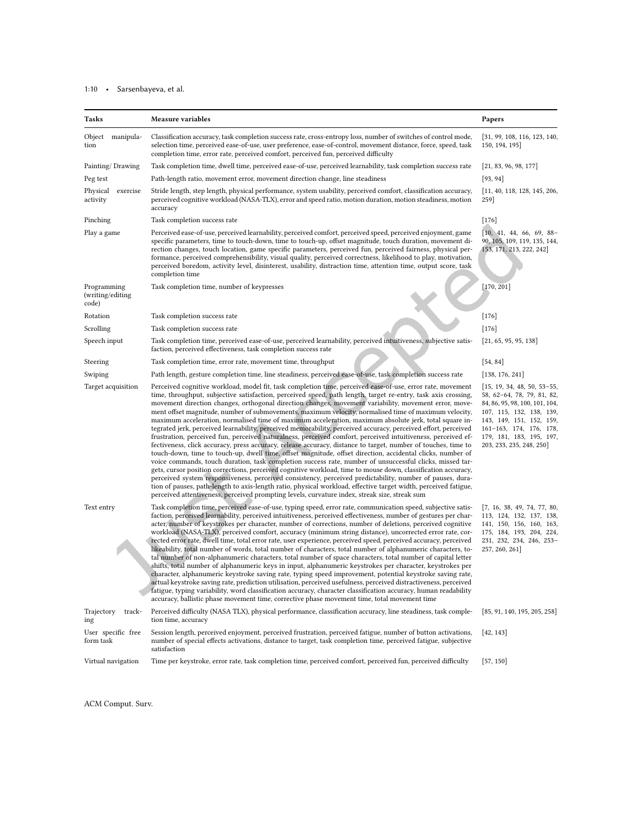# 1:10 • Sarsenbayeva, et al.

| Tasks                                    | Measure variables                                                                                                                                                                                                                                                                                                                                                                                                                                                                                                                                                                                                                                                                                                                                                                                                                                                                                                                                                                                                                                                                                                                                                                                                                                                                                                                                                                                                                                                                                                                                                                      | Papers                                                                                                                                                                                                                                   |
|------------------------------------------|----------------------------------------------------------------------------------------------------------------------------------------------------------------------------------------------------------------------------------------------------------------------------------------------------------------------------------------------------------------------------------------------------------------------------------------------------------------------------------------------------------------------------------------------------------------------------------------------------------------------------------------------------------------------------------------------------------------------------------------------------------------------------------------------------------------------------------------------------------------------------------------------------------------------------------------------------------------------------------------------------------------------------------------------------------------------------------------------------------------------------------------------------------------------------------------------------------------------------------------------------------------------------------------------------------------------------------------------------------------------------------------------------------------------------------------------------------------------------------------------------------------------------------------------------------------------------------------|------------------------------------------------------------------------------------------------------------------------------------------------------------------------------------------------------------------------------------------|
| Object<br>manipula-<br>tion              | Classification accuracy, task completion success rate, cross-entropy loss, number of switches of control mode,<br>selection time, perceived ease-of-use, user preference, ease-of-control, movement distance, force, speed, task<br>completion time, error rate, perceived comfort, perceived fun, perceived difficulty                                                                                                                                                                                                                                                                                                                                                                                                                                                                                                                                                                                                                                                                                                                                                                                                                                                                                                                                                                                                                                                                                                                                                                                                                                                                | [31, 99, 108, 116, 123, 140,<br>150, 194, 195]                                                                                                                                                                                           |
| Painting/Drawing                         | Task completion time, dwell time, perceived ease-of-use, perceived learnability, task completion success rate                                                                                                                                                                                                                                                                                                                                                                                                                                                                                                                                                                                                                                                                                                                                                                                                                                                                                                                                                                                                                                                                                                                                                                                                                                                                                                                                                                                                                                                                          | [21, 83, 96, 98, 177]                                                                                                                                                                                                                    |
| Peg test                                 | Path-length ratio, movement error, movement direction change, line steadiness                                                                                                                                                                                                                                                                                                                                                                                                                                                                                                                                                                                                                                                                                                                                                                                                                                                                                                                                                                                                                                                                                                                                                                                                                                                                                                                                                                                                                                                                                                          | [93, 94]                                                                                                                                                                                                                                 |
| Physical<br>exercise<br>activity         | Stride length, step length, physical performance, system usability, perceived comfort, classification accuracy,<br>perceived cognitive workload (NASA-TLX), error and speed ratio, motion duration, motion steadiness, motion<br>accuracy                                                                                                                                                                                                                                                                                                                                                                                                                                                                                                                                                                                                                                                                                                                                                                                                                                                                                                                                                                                                                                                                                                                                                                                                                                                                                                                                              | [11, 40, 118, 128, 145, 206,<br>259]                                                                                                                                                                                                     |
| Pinching                                 | Task completion success rate                                                                                                                                                                                                                                                                                                                                                                                                                                                                                                                                                                                                                                                                                                                                                                                                                                                                                                                                                                                                                                                                                                                                                                                                                                                                                                                                                                                                                                                                                                                                                           | $[176]$                                                                                                                                                                                                                                  |
| Play a game                              | Perceived ease-of-use, perceived learnability, perceived comfort, perceived speed, perceived enjoyment, game<br>specific parameters, time to touch-down, time to touch-up, offset magnitude, touch duration, movement di-<br>rection changes, touch location, game specific parameters, perceived fun, perceived fairness, physical per-<br>formance, perceived comprehensibility, visual quality, perceived correctness, likelihood to play, motivation,<br>perceived boredom, activity level, disinterest, usability, distraction time, attention time, output score, task<br>completion time                                                                                                                                                                                                                                                                                                                                                                                                                                                                                                                                                                                                                                                                                                                                                                                                                                                                                                                                                                                        | $\begin{bmatrix} 10, 41, 44, 66, 69, 88 \end{bmatrix}$<br>90, 105, 109, 119, 135, 144,<br>153, 171, 213, 222, 242]                                                                                                                       |
| Programming<br>(writing/editing<br>code) | Task completion time, number of keypresses                                                                                                                                                                                                                                                                                                                                                                                                                                                                                                                                                                                                                                                                                                                                                                                                                                                                                                                                                                                                                                                                                                                                                                                                                                                                                                                                                                                                                                                                                                                                             | [170, 201]                                                                                                                                                                                                                               |
| Rotation                                 | Task completion success rate                                                                                                                                                                                                                                                                                                                                                                                                                                                                                                                                                                                                                                                                                                                                                                                                                                                                                                                                                                                                                                                                                                                                                                                                                                                                                                                                                                                                                                                                                                                                                           | $[176]$                                                                                                                                                                                                                                  |
| Scrolling                                | Task completion success rate                                                                                                                                                                                                                                                                                                                                                                                                                                                                                                                                                                                                                                                                                                                                                                                                                                                                                                                                                                                                                                                                                                                                                                                                                                                                                                                                                                                                                                                                                                                                                           | $[176]$                                                                                                                                                                                                                                  |
| Speech input                             | Task completion time, perceived ease-of-use, perceived learnability, perceived intuitiveness, subjective satis-<br>faction, perceived effectiveness, task completion success rate                                                                                                                                                                                                                                                                                                                                                                                                                                                                                                                                                                                                                                                                                                                                                                                                                                                                                                                                                                                                                                                                                                                                                                                                                                                                                                                                                                                                      | [21, 65, 95, 95, 138]                                                                                                                                                                                                                    |
| Steering                                 | Task completion time, error rate, movement time, throughput                                                                                                                                                                                                                                                                                                                                                                                                                                                                                                                                                                                                                                                                                                                                                                                                                                                                                                                                                                                                                                                                                                                                                                                                                                                                                                                                                                                                                                                                                                                            | [54, 84]                                                                                                                                                                                                                                 |
| Swiping                                  | Path length, gesture completion time, line steadiness, perceived ease-of-use, task completion success rate                                                                                                                                                                                                                                                                                                                                                                                                                                                                                                                                                                                                                                                                                                                                                                                                                                                                                                                                                                                                                                                                                                                                                                                                                                                                                                                                                                                                                                                                             | [138, 176, 241]                                                                                                                                                                                                                          |
| Target acquisition                       | Perceived cognitive workload, model fit, task completion time, perceived ease-of-use, error rate, movement<br>time, throughput, subjective satisfaction, perceived speed, path length, target re-entry, task axis crossing,<br>movement direction changes, orthogonal direction changes, movement variability, movement error, move-<br>ment offset magnitude, number of submovements, maximum velocity, normalised time of maximum velocity,<br>maximum acceleration, normalised time of maximum acceleration, maximum absolute jerk, total square in-<br>tegrated jerk, perceived learnability, perceived memorability, perceived accuracy, perceived effort, perceived<br>frustration, perceived fun, perceived naturalness, perceived comfort, perceived intuitiveness, perceived ef-<br>fectiveness, click accuracy, press accuracy, release accuracy, distance to target, number of touches, time to<br>touch-down, time to touch-up, dwell time, offset magnitude, offset direction, accidental clicks, number of<br>voice commands, touch duration, task completion success rate, number of unsuccessful clicks, missed tar-<br>gets, cursor position corrections, perceived cognitive workload, time to mouse down, classification accuracy,<br>perceived system responsiveness, perceived consistency, perceived predictability, number of pauses, dura-<br>tion of pauses, path-length to axis-length ratio, physical workload, effective target width, perceived fatigue,<br>perceived attentiveness, perceived prompting levels, curvature index, streak size, streak sum | $[15, 19, 34, 48, 50, 53-55,$<br>58, 62-64, 78, 79, 81, 82,<br>84, 86, 95, 98, 100, 101, 104,<br>107, 115, 132, 138, 139,<br>143, 149, 151, 152, 159,<br>161-163, 174, 176, 178,<br>179, 181, 183, 195, 197,<br>203, 233, 235, 248, 250] |
| Text entry                               | Task completion time, perceived ease-of-use, typing speed, error rate, communication speed, subjective satis-<br>faction, perceived learnability, perceived intuitiveness, perceived effectiveness, number of gestures per char-<br>acter, number of keystrokes per character, number of corrections, number of deletions, perceived cognitive<br>workload (NASA-TLX), perceived comfort, accuracy (minimum string distance), uncorrected error rate, cor-<br>rected error rate, dwell time, total error rate, user experience, perceived speed, perceived accuracy, perceived<br>likeability, total number of words, total number of characters, total number of alphanumeric characters, to-<br>tal number of non-alphanumeric characters, total number of space characters, total number of capital letter<br>shifts, total number of alphanumeric keys in input, alphanumeric keystrokes per character, keystrokes per<br>character, alphanumeric keystroke saving rate, typing speed improvement, potential keystroke saving rate,<br>actual keystroke saving rate, prediction utilisation, perceived usefulness, perceived distractiveness, perceived<br>fatigue, typing variability, word classification accuracy, character classification accuracy, human readability<br>accuracy, ballistic phase movement time, corrective phase movement time, total movement time                                                                                                                                                                                                         | [7, 16, 38, 49, 74, 77, 80,<br>113, 124, 132, 137, 138,<br>141, 150, 156, 160, 163,<br>175, 184, 193, 204, 224,<br>231, 232, 234, 246, 253-<br>257, 260, 261]                                                                            |
| Trajectory<br>track-<br>ing              | Perceived difficulty (NASA TLX), physical performance, classification accuracy, line steadiness, task comple-<br>tion time, accuracy                                                                                                                                                                                                                                                                                                                                                                                                                                                                                                                                                                                                                                                                                                                                                                                                                                                                                                                                                                                                                                                                                                                                                                                                                                                                                                                                                                                                                                                   | [85, 91, 140, 195, 205, 258]                                                                                                                                                                                                             |
| User specific free<br>form task          | Session length, perceived enjoyment, perceived frustration, perceived fatigue, number of button activations,<br>number of special effects activations, distance to target, task completion time, perceived fatigue, subjective<br>satisfaction                                                                                                                                                                                                                                                                                                                                                                                                                                                                                                                                                                                                                                                                                                                                                                                                                                                                                                                                                                                                                                                                                                                                                                                                                                                                                                                                         | [42, 143]                                                                                                                                                                                                                                |
| Virtual navigation                       | Time per keystroke, error rate, task completion time, perceived comfort, perceived fun, perceived difficulty                                                                                                                                                                                                                                                                                                                                                                                                                                                                                                                                                                                                                                                                                                                                                                                                                                                                                                                                                                                                                                                                                                                                                                                                                                                                                                                                                                                                                                                                           | [57, 150]                                                                                                                                                                                                                                |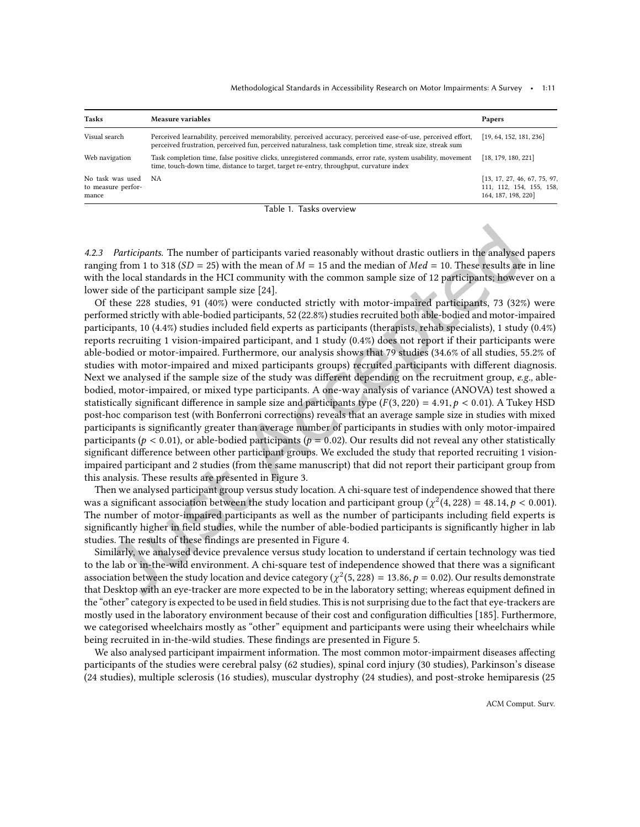Methodological Standards in Accessibility Research on Motor Impairments: A Survey • 1:11

| Tasks                                              | Measure variables                                                                                                                                                                                                          | Papers                                                                          |
|----------------------------------------------------|----------------------------------------------------------------------------------------------------------------------------------------------------------------------------------------------------------------------------|---------------------------------------------------------------------------------|
| Visual search                                      | Perceived learnability, perceived memorability, perceived accuracy, perceived ease-of-use, perceived effort,<br>perceived frustration, perceived fun, perceived naturalness, task completion time, streak size, streak sum | [19, 64, 152, 181, 236]                                                         |
| Web navigation                                     | Task completion time, false positive clicks, unregistered commands, error rate, system usability, movement<br>time, touch-down time, distance to target, target re-entry, throughput, curvature index                      | [18, 179, 180, 221]                                                             |
| No task was used NA<br>to measure perfor-<br>mance |                                                                                                                                                                                                                            | [13, 17, 27, 46, 67, 75, 97]<br>111, 112, 154, 155, 158.<br>164, 187, 198, 220] |

4.2.3 Participants. The number of participants varied reasonably without drastic outliers in the analysed papers ranging from 1 to 318 ( $SD = 25$ ) with the mean of  $M = 15$  and the median of  $Med = 10$ . These results are in line with the local standards in the HCI community with the common sample size of 12 participants; however on a lower side of the participant sample size [\[24\]](#page-20-2).

Of these 228 studies, 91 (40%) were conducted strictly with motor-impaired participants, 73 (32%) were performed strictly with able-bodied participants, 52 (22.8%) studies recruited both able-bodied and motor-impaired participants, 10 (4.4%) studies included ield experts as participants (therapists, rehab specialists), 1 study (0.4%) reports recruiting 1 vision-impaired participant, and 1 study (0.4%) does not report if their participants were able-bodied or motor-impaired. Furthermore, our analysis shows that 79 studies (34.6% of all studies, 55.2% of studies with motor-impaired and mixed participants groups) recruited participants with diferent diagnosis. Next we analysed if the sample size of the study was different depending on the recruitment group, e.g., ablebodied, motor-impaired, or mixed type participants. A one-way analysis of variance (ANOVA) test showed a statistically significant difference in sample size and participants type  $(F(3, 220) = 4.91, p < 0.01)$ . A Tukey HSD post-hoc comparison test (with Bonferroni corrections) reveals that an average sample size in studies with mixed participants is signiicantly greater than average number of participants in studies with only motor-impaired participants ( $p < 0.01$ ), or able-bodied participants ( $p = 0.02$ ). Our results did not reveal any other statistically significant difference between other participant groups. We excluded the study that reported recruiting 1 visionimpaired participant and 2 studies (from the same manuscript) that did not report their participant group from this analysis. These results are presented in Figure [3.](#page-11-0)

Then we analysed participant group versus study location. A chi-square test of independence showed that there was a significant association between the study location and participant group ( $\chi^2(4,228) = 48.14, p < 0.001$ ). The number of motor-impaired participants as well as the number of participants including ield experts is significantly higher in field studies, while the number of able-bodied participants is significantly higher in lab studies. The results of these findings are presented in Figure [4.](#page-12-0)

Similarly, we analysed device prevalence versus study location to understand if certain technology was tied to the lab or in-the-wild environment. A chi-square test of independence showed that there was a significant association between the study location and device category ( $\chi^2(5,228)=13.86, p=0.02$ ). Our results demonstrate that Desktop with an eye-tracker are more expected to be in the laboratory setting; whereas equipment deined in the "other" category is expected to be used in field studies. This is not surprising due to the fact that eye-trackers are mostly used in the laboratory environment because of their cost and configuration difficulties [\[185\]](#page-29-14). Furthermore, we categorised wheelchairs mostly as "other" equipment and participants were using their wheelchairs while being recruited in in-the-wild studies. These findings are presented in Figure [5.](#page-13-0)

We also analysed participant impairment information. The most common motor-impairment diseases afecting participants of the studies were cerebral palsy (62 studies), spinal cord injury (30 studies), Parkinson's disease (24 studies), multiple sclerosis (16 studies), muscular dystrophy (24 studies), and post-stroke hemiparesis (25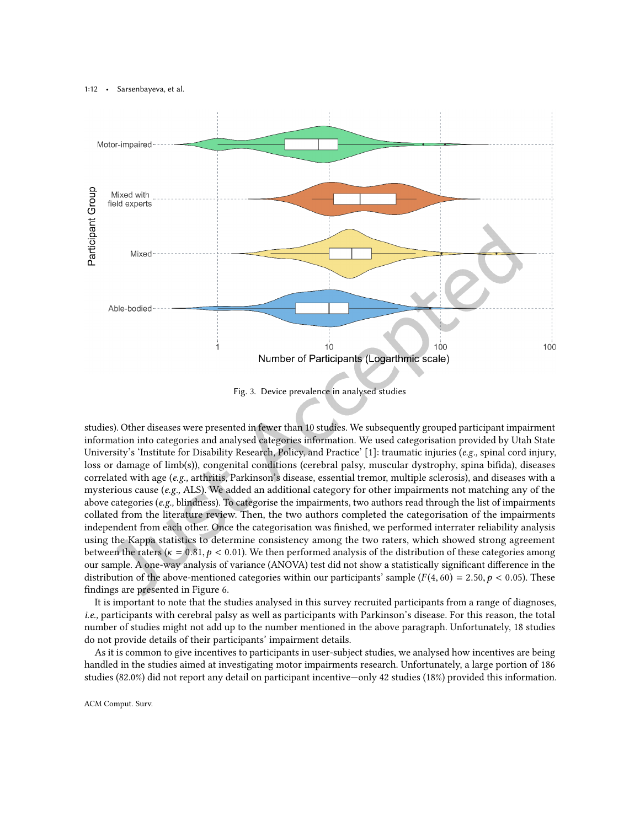<span id="page-11-0"></span>

Fig. 3. Device prevalence in analysed studies

studies). Other diseases were presented in fewer than 10 studies. We subsequently grouped participant impairment information into categories and analysed categories information. We used categorisation provided by Utah State University's 'Institute for Disability Research, Policy, and Practice' [\[1\]](#page-19-11): traumatic injuries ( $e.g.,$  spinal cord injury, loss or damage of limb(s)), congenital conditions (cerebral palsy, muscular dystrophy, spina biida), diseases correlated with age (e.g., arthritis, Parkinson's disease, essential tremor, multiple sclerosis), and diseases with a mysterious cause (e.g., ALS). We added an additional category for other impairments not matching any of the above categories ( $e.g.,$  blindness). To categorise the impairments, two authors read through the list of impairments collated from the literature review. Then, the two authors completed the categorisation of the impairments independent from each other. Once the categorisation was inished, we performed interrater reliability analysis using the Kappa statistics to determine consistency among the two raters, which showed strong agreement between the raters ( $\kappa = 0.81, p < 0.01$ ). We then performed analysis of the distribution of these categories among our sample. A one-way analysis of variance (ANOVA) test did not show a statistically signiicant diference in the distribution of the above-mentioned categories within our participants' sample ( $F(4, 60) = 2.50, p < 0.05$ ). These findings are presented in Figure [6.](#page-14-0)

It is important to note that the studies analysed in this survey recruited participants from a range of diagnoses, i.e., participants with cerebral palsy as well as participants with Parkinson's disease. For this reason, the total number of studies might not add up to the number mentioned in the above paragraph. Unfortunately, 18 studies do not provide details of their participants' impairment details.

As it is common to give incentives to participants in user-subject studies, we analysed how incentives are being handled in the studies aimed at investigating motor impairments research. Unfortunately, a large portion of 186 studies (82.0%) did not report any detail on participant incentive–only 42 studies (18%) provided this information.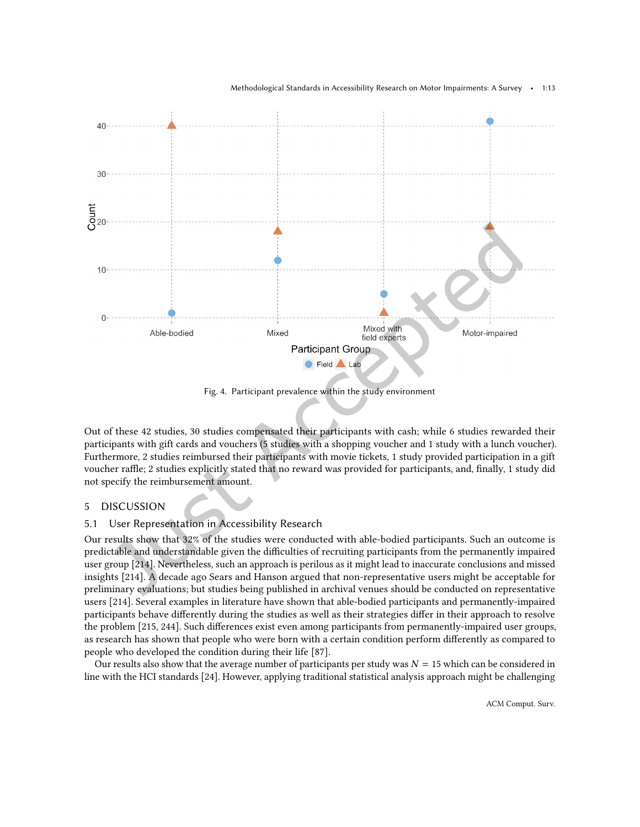<span id="page-12-0"></span>

Fig. 4. Participant prevalence within the study environment

Out of these 42 studies, 30 studies compensated their participants with cash; while 6 studies rewarded their participants with gift cards and vouchers (5 studies with a shopping voucher and 1 study with a lunch voucher). Furthermore, 2 studies reimbursed their participants with movie tickets, 1 study provided participation in a gift voucher raffle; 2 studies explicitly stated that no reward was provided for participants, and, finally, 1 study did not specify the reimbursement amount.

# 5 DISCUSSION

### 5.1 User Representation in Accessibility Research

Our results show that 32% of the studies were conducted with able-bodied participants. Such an outcome is predictable and understandable given the difficulties of recruiting participants from the permanently impaired user group [\[214\]](#page-30-2). Nevertheless, such an approach is perilous as it might lead to inaccurate conclusions and missed insights [\[214\]](#page-30-2). A decade ago Sears and Hanson argued that non-representative users might be acceptable for preliminary evaluations; but studies being published in archival venues should be conducted on representative users [\[214\]](#page-30-2). Several examples in literature have shown that able-bodied participants and permanently-impaired participants behave diferently during the studies as well as their strategies difer in their approach to resolve the problem [\[215,](#page-30-3) [244\]](#page-32-13). Such diferences exist even among participants from permanently-impaired user groups, as research has shown that people who were born with a certain condition perform diferently as compared to people who developed the condition during their life [\[87\]](#page-23-15).

Our results also show that the average number of participants per study was  $N = 15$  which can be considered in line with the HCI standards [\[24\]](#page-20-2). However, applying traditional statistical analysis approach might be challenging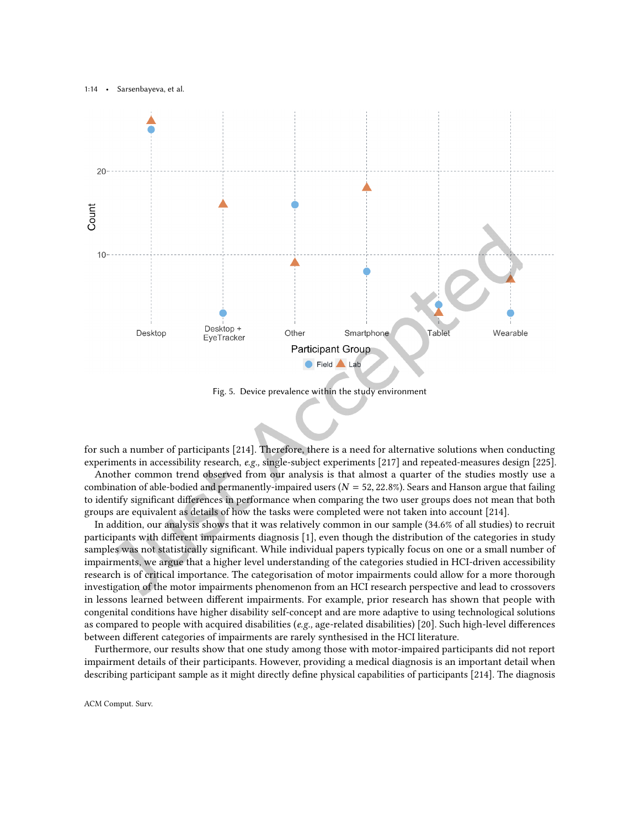<span id="page-13-0"></span>

Fig. 5. Device prevalence within the study environment

for such a number of participants [\[214\]](#page-30-2). Therefore, there is a need for alternative solutions when conducting experiments in accessibility research, e.g., single-subject experiments [\[217\]](#page-30-12) and repeated-measures design [\[225\]](#page-31-15).

Another common trend observed from our analysis is that almost a quarter of the studies mostly use a combination of able-bodied and permanently-impaired users ( $N = 52, 22.8\%$ ). Sears and Hanson argue that failing to identify signiicant diferences in performance when comparing the two user groups does not mean that both groups are equivalent as details of how the tasks were completed were not taken into account [\[214\]](#page-30-2).

In addition, our analysis shows that it was relatively common in our sample (34.6% of all studies) to recruit participants with diferent impairments diagnosis [\[1\]](#page-19-11), even though the distribution of the categories in study samples was not statistically significant. While individual papers typically focus on one or a small number of impairments, we argue that a higher level understanding of the categories studied in HCI-driven accessibility research is of critical importance. The categorisation of motor impairments could allow for a more thorough investigation of the motor impairments phenomenon from an HCI research perspective and lead to crossovers in lessons learned between diferent impairments. For example, prior research has shown that people with congenital conditions have higher disability self-concept and are more adaptive to using technological solutions as compared to people with acquired disabilities (e.g., age-related disabilities) [\[20\]](#page-20-15). Such high-level diferences between diferent categories of impairments are rarely synthesised in the HCI literature.

Furthermore, our results show that one study among those with motor-impaired participants did not report impairment details of their participants. However, providing a medical diagnosis is an important detail when describing participant sample as it might directly define physical capabilities of participants [\[214\]](#page-30-2). The diagnosis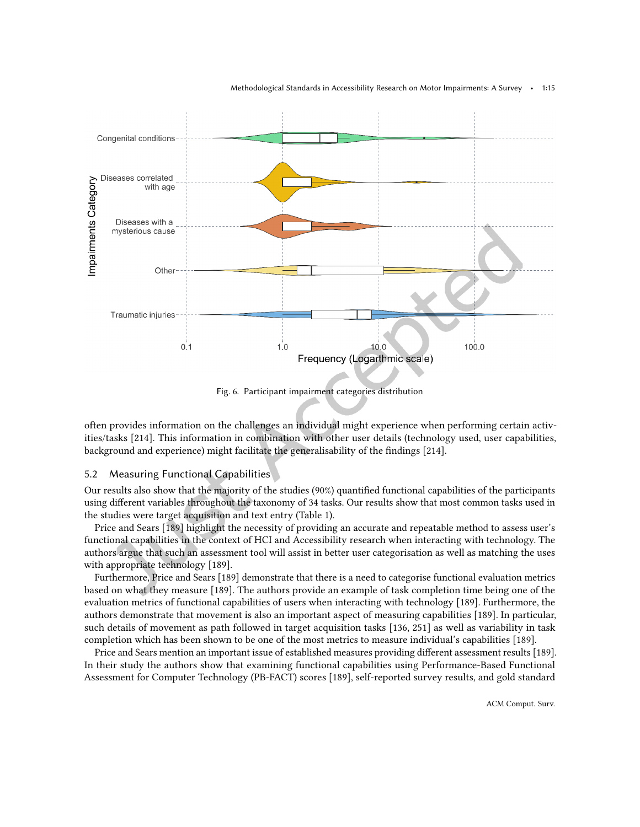<span id="page-14-0"></span>

Fig. 6. Participant impairment categories distribution

often provides information on the challenges an individual might experience when performing certain activities/tasks [\[214\]](#page-30-2). This information in combination with other user details (technology used, user capabilities, background and experience) might facilitate the generalisability of the findings [\[214\]](#page-30-2).

### 5.2 Measuring Functional Capabilities

Our results also show that the majority of the studies (90%) quantiied functional capabilities of the participants using diferent variables throughout the taxonomy of 34 tasks. Our results show that most common tasks used in the studies were target acquisition and text entry (Table [1\)](#page-8-0).

Price and Sears [\[189\]](#page-29-15) highlight the necessity of providing an accurate and repeatable method to assess user's functional capabilities in the context of HCI and Accessibility research when interacting with technology. The authors argue that such an assessment tool will assist in better user categorisation as well as matching the uses with appropriate technology [\[189\]](#page-29-15).

Furthermore, Price and Sears [\[189\]](#page-29-15) demonstrate that there is a need to categorise functional evaluation metrics based on what they measure [\[189\]](#page-29-15). The authors provide an example of task completion time being one of the evaluation metrics of functional capabilities of users when interacting with technology [\[189\]](#page-29-15). Furthermore, the authors demonstrate that movement is also an important aspect of measuring capabilities [\[189\]](#page-29-15). In particular, such details of movement as path followed in target acquisition tasks [\[136,](#page-26-14) [251\]](#page-32-14) as well as variability in task completion which has been shown to be one of the most metrics to measure individual's capabilities [\[189\]](#page-29-15).

Price and Sears mention an important issue of established measures providing diferent assessment results [\[189\]](#page-29-15). In their study the authors show that examining functional capabilities using Performance-Based Functional Assessment for Computer Technology (PB-FACT) scores [\[189\]](#page-29-15), self-reported survey results, and gold standard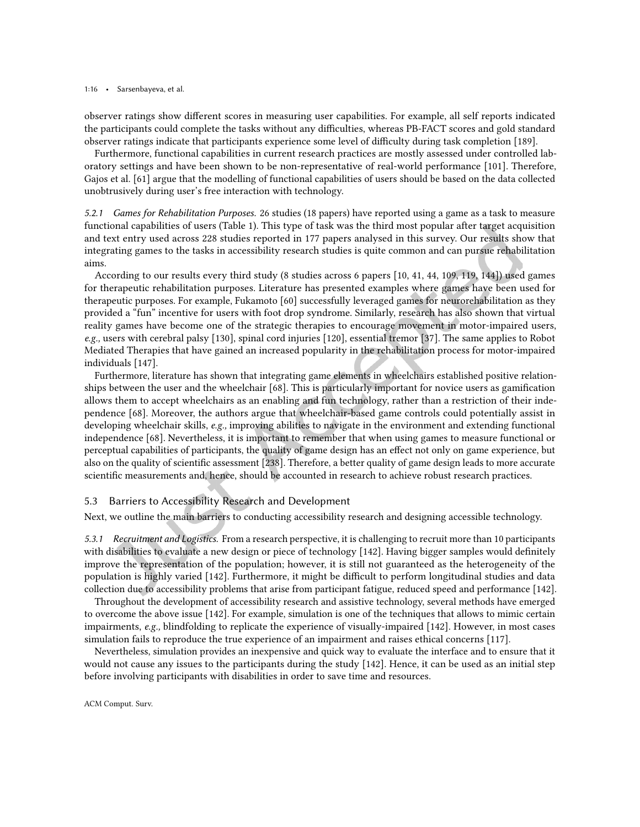observer ratings show diferent scores in measuring user capabilities. For example, all self reports indicated the participants could complete the tasks without any difficulties, whereas PB-FACT scores and gold standard observer ratings indicate that participants experience some level of difficulty during task completion [\[189\]](#page-29-15).

Furthermore, functional capabilities in current research practices are mostly assessed under controlled laboratory settings and have been shown to be non-representative of real-world performance [\[101\]](#page-24-12). Therefore, Gajos et al. [\[61\]](#page-22-14) argue that the modelling of functional capabilities of users should be based on the data collected unobtrusively during user's free interaction with technology.

5.2.1 Games for Rehabilitation Purposes. 26 studies (18 papers) have reported using a game as a task to measure functional capabilities of users (Table [1\)](#page-8-0). This type of task was the third most popular after target acquisition and text entry used across 228 studies reported in 177 papers analysed in this survey. Our results show that integrating games to the tasks in accessibility research studies is quite common and can pursue rehabilitation aims.

According to our results every third study (8 studies across 6 papers [\[10,](#page-19-9) [41,](#page-21-1) [44,](#page-21-10) [109,](#page-25-10) [119,](#page-25-11) [144\]](#page-26-2)) used games for therapeutic rehabilitation purposes. Literature has presented examples where games have been used for therapeutic purposes. For example, Fukamoto [\[60\]](#page-22-15) successfully leveraged games for neurorehabilitation as they provided a "fun" incentive for users with foot drop syndrome. Similarly, research has also shown that virtual reality games have become one of the strategic therapies to encourage movement in motor-impaired users, e.g., users with cerebral palsy [\[130\]](#page-26-15), spinal cord injuries [\[120\]](#page-25-15), essential tremor [\[37\]](#page-21-16). The same applies to Robot Mediated Therapies that have gained an increased popularity in the rehabilitation process for motor-impaired individuals [\[147\]](#page-27-16).

Furthermore, literature has shown that integrating game elements in wheelchairs established positive relationships between the user and the wheelchair [\[68\]](#page-22-16). This is particularly important for novice users as gamiication allows them to accept wheelchairs as an enabling and fun technology, rather than a restriction of their independence [\[68\]](#page-22-16). Moreover, the authors argue that wheelchair-based game controls could potentially assist in developing wheelchair skills, e.g., improving abilities to navigate in the environment and extending functional independence [\[68\]](#page-22-16). Nevertheless, it is important to remember that when using games to measure functional or perceptual capabilities of participants, the quality of game design has an efect not only on game experience, but also on the quality of scientiic assessment [\[238\]](#page-31-16). Therefore, a better quality of game design leads to more accurate scientiic measurements and, hence, should be accounted in research to achieve robust research practices.

# 5.3 Barriers to Accessibility Research and Development

Next, we outline the main barriers to conducting accessibility research and designing accessible technology.

5.3.1 Recruitment and Logistics. From a research perspective, it is challenging to recruit more than 10 participants with disabilities to evaluate a new design or piece of technology [\[142\]](#page-26-16). Having bigger samples would definitely improve the representation of the population; however, it is still not guaranteed as the heterogeneity of the population is highly varied [\[142\]](#page-26-16). Furthermore, it might be difficult to perform longitudinal studies and data collection due to accessibility problems that arise from participant fatigue, reduced speed and performance [\[142\]](#page-26-16).

Throughout the development of accessibility research and assistive technology, several methods have emerged to overcome the above issue [\[142\]](#page-26-16). For example, simulation is one of the techniques that allows to mimic certain impairments, e.g., blindfolding to replicate the experience of visually-impaired [\[142\]](#page-26-16). However, in most cases simulation fails to reproduce the true experience of an impairment and raises ethical concerns [\[117\]](#page-25-16).

Nevertheless, simulation provides an inexpensive and quick way to evaluate the interface and to ensure that it would not cause any issues to the participants during the study [\[142\]](#page-26-16). Hence, it can be used as an initial step before involving participants with disabilities in order to save time and resources.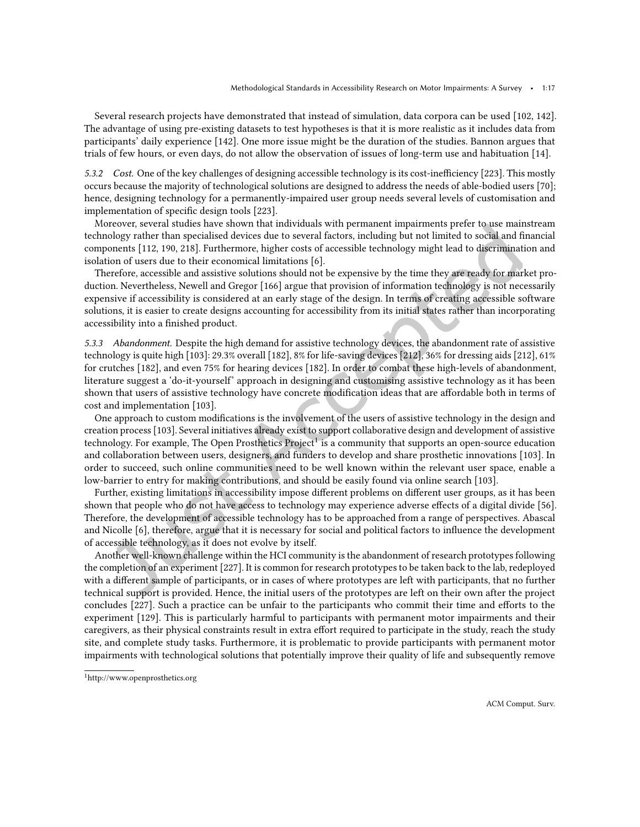Several research projects have demonstrated that instead of simulation, data corpora can be used [\[102,](#page-24-15) [142\]](#page-26-16). The advantage of using pre-existing datasets to test hypotheses is that it is more realistic as it includes data from participants' daily experience [\[142\]](#page-26-16). One more issue might be the duration of the studies. Bannon argues that trials of few hours, or even days, do not allow the observation of issues of long-term use and habituation [\[14\]](#page-19-12).

5.3.2 Cost. One of the key challenges of designing accessible technology is its cost-inefficiency [\[223\]](#page-31-0). This mostly occurs because the majority of technological solutions are designed to address the needs of able-bodied users [\[70\]](#page-23-16); hence, designing technology for a permanently-impaired user group needs several levels of customisation and implementation of specific design tools [\[223\]](#page-31-0).

Moreover, several studies have shown that individuals with permanent impairments prefer to use mainstream technology rather than specialised devices due to several factors, including but not limited to social and financial components [\[112,](#page-25-14) [190,](#page-29-16) [218\]](#page-30-0). Furthermore, higher costs of accessible technology might lead to discrimination and isolation of users due to their economical limitations [\[6\]](#page-19-1).

Therefore, accessible and assistive solutions should not be expensive by the time they are ready for market production. Nevertheless, Newell and Gregor [\[166\]](#page-28-1) argue that provision of information technology is not necessarily expensive if accessibility is considered at an early stage of the design. In terms of creating accessible software solutions, it is easier to create designs accounting for accessibility from its initial states rather than incorporating accessibility into a finished product.

5.3.3 Abandonment. Despite the high demand for assistive technology devices, the abandonment rate of assistive technology is quite high [\[103\]](#page-24-16): 29.3% overall [\[182\]](#page-28-18), 8% for life-saving devices [\[212\]](#page-30-13), 36% for dressing aids [\[212\]](#page-30-13), 61% for crutches [\[182\]](#page-28-18), and even 75% for hearing devices [\[182\]](#page-28-18). In order to combat these high-levels of abandonment, literature suggest a 'do-it-yourself' approach in designing and customising assistive technology as it has been shown that users of assistive technology have concrete modification ideas that are affordable both in terms of cost and implementation [\[103\]](#page-24-16).

One approach to custom modifications is the involvement of the users of assistive technology in the design and creation process [\[103\]](#page-24-16). Several initiatives already exist to support collaborative design and development of assistive technology. For example, The Open Prosthetics Project<sup>[1](#page-16-0)</sup> is a community that supports an open-source education and collaboration between users, designers, and funders to develop and share prosthetic innovations [\[103\]](#page-24-16). In order to succeed, such online communities need to be well known within the relevant user space, enable a low-barrier to entry for making contributions, and should be easily found via online search [\[103\]](#page-24-16).

Further, existing limitations in accessibility impose diferent problems on diferent user groups, as it has been shown that people who do not have access to technology may experience adverse efects of a digital divide [\[56\]](#page-22-17). Therefore, the development of accessible technology has to be approached from a range of perspectives. Abascal and Nicolle [\[6\]](#page-19-1), therefore, argue that it is necessary for social and political factors to inluence the development of accessible technology, as it does not evolve by itself.

Another well-known challenge within the HCI community is the abandonment of research prototypes following the completion of an experiment [\[227\]](#page-31-17). It is common for research prototypes to be taken back to the lab, redeployed with a diferent sample of participants, or in cases of where prototypes are left with participants, that no further technical support is provided. Hence, the initial users of the prototypes are left on their own after the project concludes [\[227\]](#page-31-17). Such a practice can be unfair to the participants who commit their time and eforts to the experiment [\[129\]](#page-26-17). This is particularly harmful to participants with permanent motor impairments and their caregivers, as their physical constraints result in extra efort required to participate in the study, reach the study site, and complete study tasks. Furthermore, it is problematic to provide participants with permanent motor impairments with technological solutions that potentially improve their quality of life and subsequently remove

<span id="page-16-0"></span><sup>1</sup><http://www.openprosthetics.org>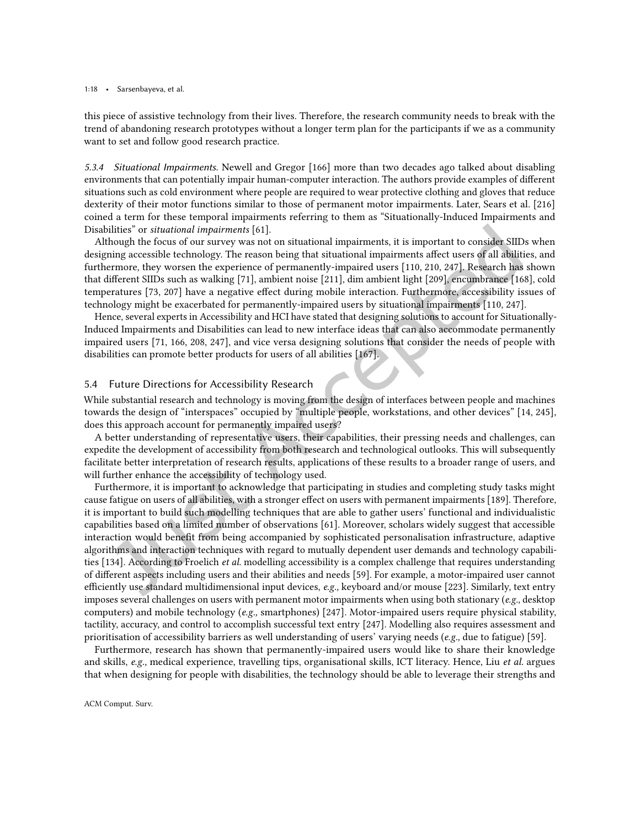this piece of assistive technology from their lives. Therefore, the research community needs to break with the trend of abandoning research prototypes without a longer term plan for the participants if we as a community want to set and follow good research practice.

5.3.4 Situational Impairments. Newell and Gregor [\[166\]](#page-28-1) more than two decades ago talked about disabling environments that can potentially impair human-computer interaction. The authors provide examples of diferent situations such as cold environment where people are required to wear protective clothing and gloves that reduce dexterity of their motor functions similar to those of permanent motor impairments. Later, Sears et al. [\[216\]](#page-30-14) coined a term for these temporal impairments referring to them as "Situationally-Induced Impairments and Disabilities" or situational impairments [\[61\]](#page-22-14).

Although the focus of our survey was not on situational impairments, it is important to consider SIIDs when designing accessible technology. The reason being that situational impairments afect users of all abilities, and furthermore, they worsen the experience of permanently-impaired users [\[110,](#page-25-17) [210,](#page-30-15) [247\]](#page-32-15). Research has shown that diferent SIIDs such as walking [\[71\]](#page-23-17), ambient noise [\[211\]](#page-30-16), dim ambient light [\[209\]](#page-30-17), encumbrance [\[168\]](#page-28-19), cold temperatures [\[73,](#page-23-18) [207\]](#page-30-18) have a negative efect during mobile interaction. Furthermore, accessibility issues of technology might be exacerbated for permanently-impaired users by situational impairments [\[110,](#page-25-17) [247\]](#page-32-15).

Hence, several experts in Accessibility and HCI have stated that designing solutions to account for Situationally-Induced Impairments and Disabilities can lead to new interface ideas that can also accommodate permanently impaired users [\[71,](#page-23-17) [166,](#page-28-1) [208,](#page-30-19) [247\]](#page-32-15), and vice versa designing solutions that consider the needs of people with disabilities can promote better products for users of all abilities [\[167\]](#page-28-20).

### 5.4 Future Directions for Accessibility Research

While substantial research and technology is moving from the design of interfaces between people and machines towards the design of "interspaces" occupied by "multiple people, workstations, and other devices" [\[14,](#page-19-12) [245\]](#page-32-16), does this approach account for permanently impaired users?

A better understanding of representative users, their capabilities, their pressing needs and challenges, can expedite the development of accessibility from both research and technological outlooks. This will subsequently facilitate better interpretation of research results, applications of these results to a broader range of users, and will further enhance the accessibility of technology used.

Furthermore, it is important to acknowledge that participating in studies and completing study tasks might cause fatigue on users of all abilities, with a stronger efect on users with permanent impairments [\[189\]](#page-29-15). Therefore, it is important to build such modelling techniques that are able to gather users' functional and individualistic capabilities based on a limited number of observations [\[61\]](#page-22-14). Moreover, scholars widely suggest that accessible interaction would benefit from being accompanied by sophisticated personalisation infrastructure, adaptive algorithms and interaction techniques with regard to mutually dependent user demands and technology capabili-ties [\[134\]](#page-26-18). According to Froelich et al. modelling accessibility is a complex challenge that requires understanding of diferent aspects including users and their abilities and needs [\[59\]](#page-22-18). For example, a motor-impaired user cannot efficiently use standard multidimensional input devices, e.g., keyboard and/or mouse [\[223\]](#page-31-0). Similarly, text entry imposes several challenges on users with permanent motor impairments when using both stationary (e.g., desktop computers) and mobile technology (e.g., smartphones) [\[247\]](#page-32-15). Motor-impaired users require physical stability, tactility, accuracy, and control to accomplish successful text entry [\[247\]](#page-32-15). Modelling also requires assessment and prioritisation of accessibility barriers as well understanding of users' varying needs (e.g., due to fatigue) [\[59\]](#page-22-18).

Furthermore, research has shown that permanently-impaired users would like to share their knowledge and skills, e.g., medical experience, travelling tips, organisational skills, ICT literacy. Hence, Liu et al. argues that when designing for people with disabilities, the technology should be able to leverage their strengths and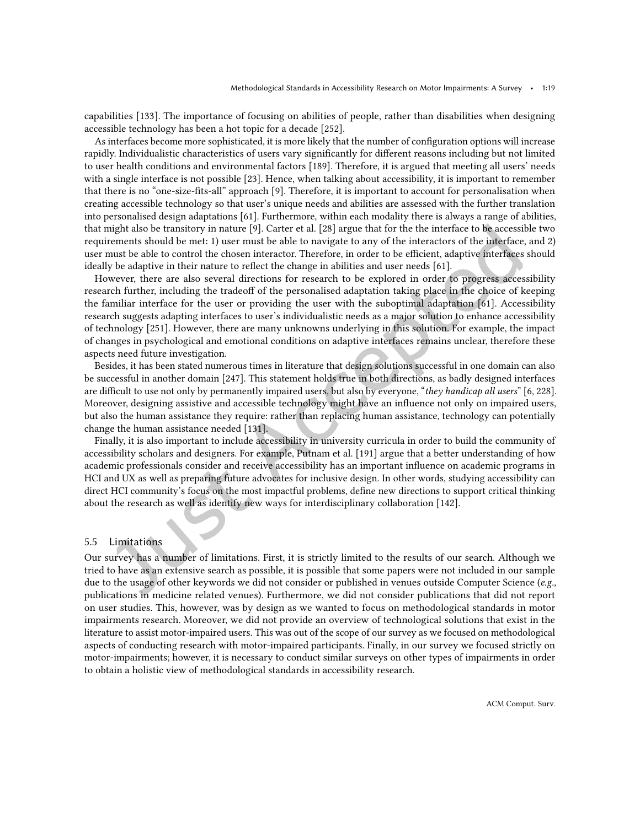capabilities [\[133\]](#page-26-19). The importance of focusing on abilities of people, rather than disabilities when designing accessible technology has been a hot topic for a decade [\[252\]](#page-32-1).

As interfaces become more sophisticated, it is more likely that the number of coniguration options will increase rapidly. Individualistic characteristics of users vary significantly for different reasons including but not limited to user health conditions and environmental factors [\[189\]](#page-29-15). Therefore, it is argued that meeting all users' needs with a single interface is not possible [\[23\]](#page-20-16). Hence, when talking about accessibility, it is important to remember that there is no "one-size-fits-all" approach [\[9\]](#page-19-13). Therefore, it is important to account for personalisation when creating accessible technology so that user's unique needs and abilities are assessed with the further translation into personalised design adaptations [\[61\]](#page-22-14). Furthermore, within each modality there is always a range of abilities, that might also be transitory in nature [\[9\]](#page-19-13). Carter et al. [\[28\]](#page-20-17) argue that for the the interface to be accessible two requirements should be met: 1) user must be able to navigate to any of the interactors of the interface, and 2) user must be able to control the chosen interactor. Therefore, in order to be efficient, adaptive interfaces should ideally be adaptive in their nature to relect the change in abilities and user needs [\[61\]](#page-22-14).

However, there are also several directions for research to be explored in order to progress accessibility research further, including the tradeoff of the personalised adaptation taking place in the choice of keeping the familiar interface for the user or providing the user with the suboptimal adaptation [\[61\]](#page-22-14). Accessibility research suggests adapting interfaces to user's individualistic needs as a major solution to enhance accessibility of technology [\[251\]](#page-32-14). However, there are many unknowns underlying in this solution. For example, the impact of changes in psychological and emotional conditions on adaptive interfaces remains unclear, therefore these aspects need future investigation.

Besides, it has been stated numerous times in literature that design solutions successful in one domain can also be successful in another domain [\[247\]](#page-32-15). This statement holds true in both directions, as badly designed interfaces are difficult to use not only by permanently impaired users, but also by everyone, "they handicap all users" [\[6,](#page-19-1) [228\]](#page-31-18). Moreover, designing assistive and accessible technology might have an inluence not only on impaired users, but also the human assistance they require: rather than replacing human assistance, technology can potentially change the human assistance needed [\[131\]](#page-26-20).

Finally, it is also important to include accessibility in university curricula in order to build the community of accessibility scholars and designers. For example, Putnam et al. [\[191\]](#page-29-1) argue that a better understanding of how academic professionals consider and receive accessibility has an important inluence on academic programs in HCI and UX as well as preparing future advocates for inclusive design. In other words, studying accessibility can direct HCI community's focus on the most impactful problems, deine new directions to support critical thinking about the research as well as identify new ways for interdisciplinary collaboration [\[142\]](#page-26-16).

# 5.5 Limitations

Our survey has a number of limitations. First, it is strictly limited to the results of our search. Although we tried to have as an extensive search as possible, it is possible that some papers were not included in our sample due to the usage of other keywords we did not consider or published in venues outside Computer Science (e.g., publications in medicine related venues). Furthermore, we did not consider publications that did not report on user studies. This, however, was by design as we wanted to focus on methodological standards in motor impairments research. Moreover, we did not provide an overview of technological solutions that exist in the literature to assist motor-impaired users. This was out of the scope of our survey as we focused on methodological aspects of conducting research with motor-impaired participants. Finally, in our survey we focused strictly on motor-impairments; however, it is necessary to conduct similar surveys on other types of impairments in order to obtain a holistic view of methodological standards in accessibility research.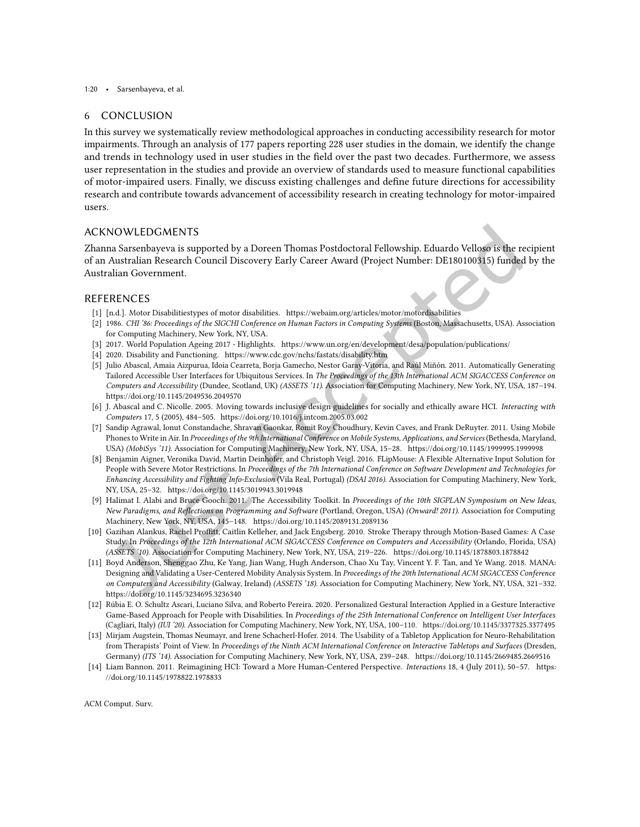#### 1:20 • Sarsenbayeva, et al.

### 6 CONCLUSION

In this survey we systematically review methodological approaches in conducting accessibility research for motor impairments. Through an analysis of 177 papers reporting 228 user studies in the domain, we identify the change and trends in technology used in user studies in the ield over the past two decades. Furthermore, we assess user representation in the studies and provide an overview of standards used to measure functional capabilities of motor-impaired users. Finally, we discuss existing challenges and deine future directions for accessibility research and contribute towards advancement of accessibility research in creating technology for motor-impaired users.

# ACKNOWLEDGMENTS

Zhanna Sarsenbayeva is supported by a Doreen Thomas Postdoctoral Fellowship. Eduardo Velloso is the recipient of an Australian Research Council Discovery Early Career Award (Project Number: DE180100315) funded by the Australian Government.

# REFERENCES

- <span id="page-19-11"></span>[1] [n.d.]. Motor Disabilitiestypes of motor disabilities.<https://webaim.org/articles/motor/motordisabilities>
- <span id="page-19-3"></span>[2] 1986. CHI '86: Proceedings of the SIGCHI Conference on Human Factors in Computing Systems (Boston, Massachusetts, USA). Association for Computing Machinery, New York, NY, USA.
- <span id="page-19-2"></span>[3] 2017. World Population Ageing 2017 - Highlights.<https://www.un.org/en/development/desa/population/publications/>
- <span id="page-19-0"></span>[4] 2020. Disability and Functioning.<https://www.cdc.gov/nchs/fastats/disability.htm>
- <span id="page-19-5"></span>[5] Julio Abascal, Amaia Aizpurua, Idoia Cearreta, Borja Gamecho, Nestor Garay-Vitoria, and Raúl Miñón. 2011. Automatically Generating Tailored Accessible User Interfaces for Ubiquitous Services. In The Proceedings of the 13th International ACM SIGACCESS Conference on Computers and Accessibility (Dundee, Scotland, UK) (ASSETS '11). Association for Computing Machinery, New York, NY, USA, 187-194. <https://doi.org/10.1145/2049536.2049570>
- <span id="page-19-1"></span>[6] J. Abascal and C. Nicolle. 2005. Moving towards inclusive design guidelines for socially and ethically aware HCI. Interacting with Computers 17, 5 (2005), 484-505.<https://doi.org/10.1016/j.intcom.2005.03.002>
- <span id="page-19-10"></span>[7] Sandip Agrawal, Ionut Constandache, Shravan Gaonkar, Romit Roy Choudhury, Kevin Caves, and Frank DeRuyter. 2011. Using Mobile Phones to Write in Air. In Proceedings of the 9th International Conference on Mobile Systems, Applications, and Services (Bethesda, Maryland, USA) (MobiSys '11). Association for Computing Machinery, New York, NY, USA, 15-28.<https://doi.org/10.1145/1999995.1999998>
- <span id="page-19-6"></span>[8] Benjamin Aigner, Veronika David, Martin Deinhofer, and Christoph Veigl. 2016. FLipMouse: A Flexible Alternative Input Solution for People with Severe Motor Restrictions. In Proceedings of the 7th International Conference on Software Development and Technologies for Enhancing Accessibility and Fighting Info-Exclusion (Vila Real, Portugal) (DSAI 2016). Association for Computing Machinery, New York, NY, USA, 25-32.<https://doi.org/10.1145/3019943.3019948>
- <span id="page-19-13"></span>[9] Halimat I. Alabi and Bruce Gooch. 2011. The Accessibility Toolkit. In Proceedings of the 10th SIGPLAN Symposium on New Ideas, New Paradigms, and Reflections on Programming and Software (Portland, Oregon, USA) (Onward! 2011). Association for Computing Machinery, New York, NY, USA, 145-148.<https://doi.org/10.1145/2089131.2089136>
- <span id="page-19-9"></span>[10] Gazihan Alankus, Rachel Proffitt, Caitlin Kelleher, and Jack Engsberg. 2010. Stroke Therapy through Motion-Based Games: A Case Study. In Proceedings of the 12th International ACM SIGACCESS Conference on Computers and Accessibility (Orlando, Florida, USA) (ASSETS '10). Association for Computing Machinery, New York, NY, USA, 219-226.<https://doi.org/10.1145/1878803.1878842>
- <span id="page-19-8"></span>[11] Boyd Anderson, Shenggao Zhu, Ke Yang, Jian Wang, Hugh Anderson, Chao Xu Tay, Vincent Y. F. Tan, and Ye Wang. 2018. MANA: Designing and Validating a User-Centered Mobility Analysis System. In Proceedings of the 20th International ACM SIGACCESS Conference on Computers and Accessibility (Galway, Ireland) (ASSETS '18). Association for Computing Machinery, New York, NY, USA, 321-332. <https://doi.org/10.1145/3234695.3236340>
- <span id="page-19-7"></span>[12] Rúbia E. O. Schultz Ascari, Luciano Silva, and Roberto Pereira. 2020. Personalized Gestural Interaction Applied in a Gesture Interactive Game-Based Approach for People with Disabilities. In Proceedings of the 25th International Conference on Intelligent User Interfaces (Cagliari, Italy) (IUI '20). Association for Computing Machinery, New York, NY, USA, 100-110.<https://doi.org/10.1145/3377325.3377495>
- <span id="page-19-4"></span>[13] Mirjam Augstein, Thomas Neumayr, and Irene Schacherl-Hofer. 2014. The Usability of a Tabletop Application for Neuro-Rehabilitation from Therapists' Point of View. In Proceedings of the Ninth ACM International Conference on Interactive Tabletops and Surfaces (Dresden, Germany) (ITS '14). Association for Computing Machinery, New York, NY, USA, 239-248.<https://doi.org/10.1145/2669485.2669516>
- <span id="page-19-12"></span>[14] Liam Bannon. 2011. Reimagining HCI: Toward a More Human-Centered Perspective. Interactions 18, 4 (July 2011), 50-57. [https:](https://doi.org/10.1145/1978822.1978833) [//doi.org/10.1145/1978822.1978833](https://doi.org/10.1145/1978822.1978833)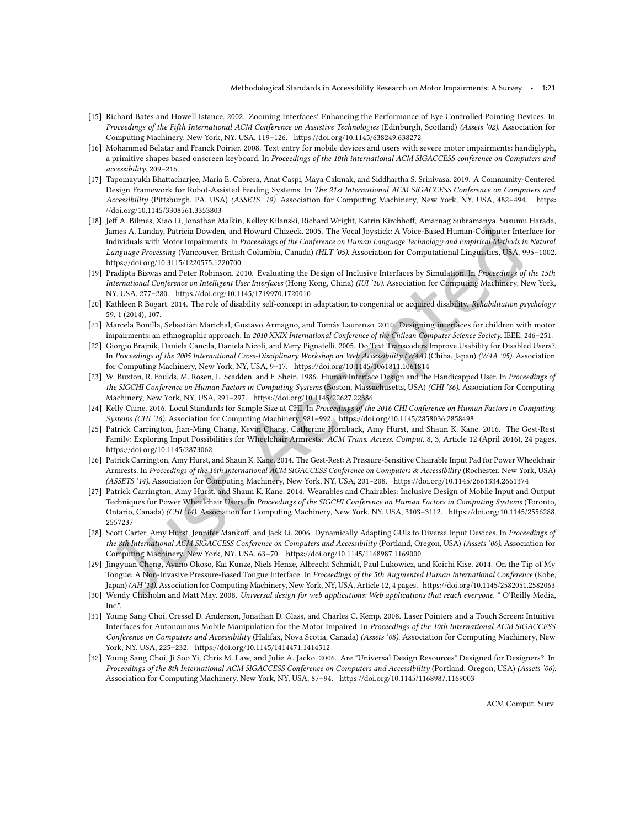- <span id="page-20-12"></span>[15] Richard Bates and Howell Istance. 2002. Zooming Interfaces! Enhancing the Performance of Eye Controlled Pointing Devices. In Proceedings of the Fifth International ACM Conference on Assistive Technologies (Edinburgh, Scotland) (Assets '02). Association for Computing Machinery, New York, NY, USA, 119-126.<https://doi.org/10.1145/638249.638272>
- <span id="page-20-14"></span>[16] Mohammed Belatar and Franck Poirier. 2008. Text entry for mobile devices and users with severe motor impairments: handiglyph, a primitive shapes based onscreen keyboard. In Proceedings of the 10th international ACM SIGACCESS conference on Computers and accessibility. 209-216.
- <span id="page-20-5"></span>[17] Tapomayukh Bhattacharjee, Maria E. Cabrera, Anat Caspi, Maya Cakmak, and Siddhartha S. Srinivasa. 2019. A Community-Centered Design Framework for Robot-Assisted Feeding Systems. In The 21st International ACM SIGACCESS Conference on Computers and Accessibility (Pittsburgh, PA, USA) (ASSETS '19). Association for Computing Machinery, New York, NY, USA, 482-494. [https:](https://doi.org/10.1145/3308561.3353803) [//doi.org/10.1145/3308561.3353803](https://doi.org/10.1145/3308561.3353803)
- <span id="page-20-9"></span>[18] Jef A. Bilmes, Xiao Li, Jonathan Malkin, Kelley Kilanski, Richard Wright, Katrin Kirchhof, Amarnag Subramanya, Susumu Harada, James A. Landay, Patricia Dowden, and Howard Chizeck. 2005. The Vocal Joystick: A Voice-Based Human-Computer Interface for Individuals with Motor Impairments. In Proceedings of the Conference on Human Language Technology and Empirical Methods in Natural Language Processing (Vancouver, British Columbia, Canada) (HLT '05). Association for Computational Linguistics, USA, 995-1002. <https://doi.org/10.3115/1220575.1220700>
- <span id="page-20-13"></span>[19] Pradipta Biswas and Peter Robinson. 2010. Evaluating the Design of Inclusive Interfaces by Simulation. In Proceedings of the 15th International Conference on Intelligent User Interfaces (Hong Kong, China) (IUI '10). Association for Computing Machinery, New York, NY, USA, 277-280.<https://doi.org/10.1145/1719970.1720010>
- <span id="page-20-15"></span>[20] Kathleen R Bogart. 2014. The role of disability self-concept in adaptation to congenital or acquired disability. Rehabilitation psychology 59, 1 (2014), 107.
- <span id="page-20-11"></span>[21] Marcela Bonilla, Sebastián Marichal, Gustavo Armagno, and Tomás Laurenzo. 2010. Designing interfaces for children with motor impairments: an ethnographic approach. In 2010 XXIX International Conference of the Chilean Computer Science Society. IEEE, 246-251.
- <span id="page-20-8"></span>[22] Giorgio Brajnik, Daniela Cancila, Daniela Nicoli, and Mery Pignatelli. 2005. Do Text Transcoders Improve Usability for Disabled Users?. In Proceedings of the 2005 International Cross-Disciplinary Workshop on Web Accessibility (W4A) (Chiba, Japan) (W4A '05). Association for Computing Machinery, New York, NY, USA, 9-17.<https://doi.org/10.1145/1061811.1061814>
- <span id="page-20-16"></span>[23] W. Buxton, R. Foulds, M. Rosen, L. Scadden, and F. Shein. 1986. Human Interface Design and the Handicapped User. In Proceedings of the SIGCHI Conference on Human Factors in Computing Systems (Boston, Massachusetts, USA) (CHI '86). Association for Computing Machinery, New York, NY, USA, 291-297.<https://doi.org/10.1145/22627.22386>
- <span id="page-20-2"></span>[24] Kelly Caine. 2016. Local Standards for Sample Size at CHI. In Proceedings of the 2016 CHI Conference on Human Factors in Computing Systems (CHI '16). Association for Computing Machinery, 981-992.<https://doi.org/10.1145/2858036.2858498>
- <span id="page-20-3"></span>[25] Patrick Carrington, Jian-Ming Chang, Kevin Chang, Catherine Hornback, Amy Hurst, and Shaun K. Kane. 2016. The Gest-Rest Family: Exploring Input Possibilities for Wheelchair Armrests. ACM Trans. Access. Comput. 8, 3, Article 12 (April 2016), 24 pages. <https://doi.org/10.1145/2873062>
- <span id="page-20-6"></span>[26] Patrick Carrington, Amy Hurst, and Shaun K. Kane. 2014. The Gest-Rest: A Pressure-Sensitive Chairable Input Pad for Power Wheelchair Armrests. In Proceedings of the 16th International ACM SIGACCESS Conference on Computers & Accessibility (Rochester, New York, USA) (ASSETS '14). Association for Computing Machinery, New York, NY, USA, 201-208.<https://doi.org/10.1145/2661334.2661374>
- <span id="page-20-4"></span>[27] Patrick Carrington, Amy Hurst, and Shaun K. Kane. 2014. Wearables and Chairables: Inclusive Design of Mobile Input and Output Techniques for Power Wheelchair Users. In Proceedings of the SIGCHI Conference on Human Factors in Computing Systems (Toronto, Ontario, Canada) (CHI '14). Association for Computing Machinery, New York, NY, USA, 3103-3112. [https://doi.org/10.1145/2556288.](https://doi.org/10.1145/2556288.2557237) [2557237](https://doi.org/10.1145/2556288.2557237)
- <span id="page-20-17"></span>[28] Scott Carter, Amy Hurst, Jennifer Mankoff, and Jack Li. 2006. Dynamically Adapting GUIs to Diverse Input Devices. In Proceedings of the 8th International ACM SIGACCESS Conference on Computers and Accessibility (Portland, Oregon, USA) (Assets '06). Association for Computing Machinery, New York, NY, USA, 63-70.<https://doi.org/10.1145/1168987.1169000>
- <span id="page-20-7"></span>[29] Jingyuan Cheng, Ayano Okoso, Kai Kunze, Niels Henze, Albrecht Schmidt, Paul Lukowicz, and Koichi Kise. 2014. On the Tip of My Tongue: A Non-Invasive Pressure-Based Tongue Interface. In Proceedings of the 5th Augmented Human International Conference (Kobe, Japan) (AH '14). Association for Computing Machinery, New York, NY, USA, Article 12, 4 pages.<https://doi.org/10.1145/2582051.2582063>
- <span id="page-20-0"></span>[30] Wendy Chisholm and Matt May. 2008. Universal design for web applications: Web applications that reach everyone. " O'Reilly Media, Inc.".
- <span id="page-20-10"></span>[31] Young Sang Choi, Cressel D. Anderson, Jonathan D. Glass, and Charles C. Kemp. 2008. Laser Pointers and a Touch Screen: Intuitive Interfaces for Autonomous Mobile Manipulation for the Motor Impaired. In Proceedings of the 10th International ACM SIGACCESS Conference on Computers and Accessibility (Halifax, Nova Scotia, Canada) (Assets '08). Association for Computing Machinery, New York, NY, USA, 225-232.<https://doi.org/10.1145/1414471.1414512>
- <span id="page-20-1"></span>[32] Young Sang Choi, Ji Soo Yi, Chris M. Law, and Julie A. Jacko. 2006. Are "Universal Design Resources" Designed for Designers?. In Proceedings of the 8th International ACM SIGACCESS Conference on Computers and Accessibility (Portland, Oregon, USA) (Assets '06). Association for Computing Machinery, New York, NY, USA, 87-94.<https://doi.org/10.1145/1168987.1169003>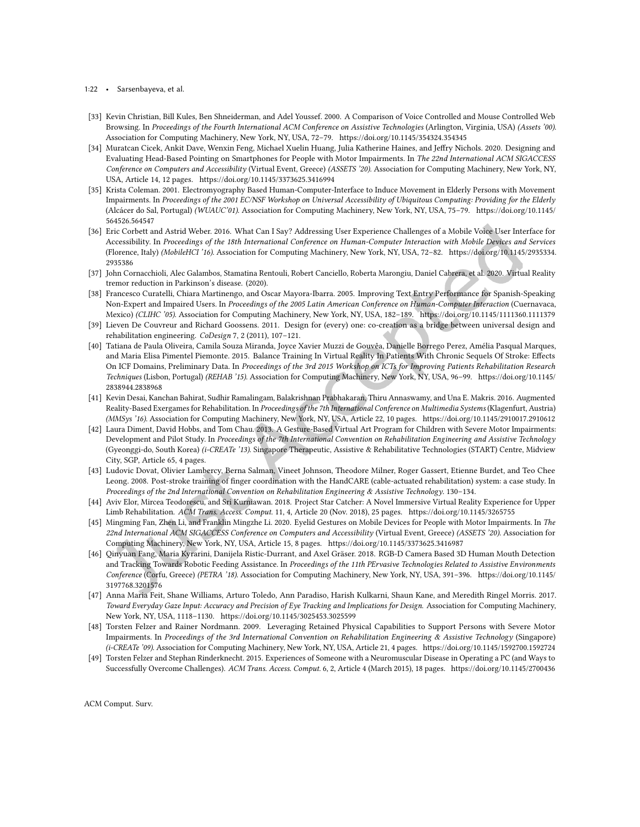#### 1:22 • Sarsenbayeva, et al.

- <span id="page-21-8"></span>[33] Kevin Christian, Bill Kules, Ben Shneiderman, and Adel Youssef. 2000. A Comparison of Voice Controlled and Mouse Controlled Web Browsing. In Proceedings of the Fourth International ACM Conference on Assistive Technologies (Arlington, Virginia, USA) (Assets '00). Association for Computing Machinery, New York, NY, USA, 72-79.<https://doi.org/10.1145/354324.354345>
- <span id="page-21-11"></span>[34] Muratcan Cicek, Ankit Dave, Wenxin Feng, Michael Xuelin Huang, Julia Katherine Haines, and Jefry Nichols. 2020. Designing and Evaluating Head-Based Pointing on Smartphones for People with Motor Impairments. In The 22nd International ACM SIGACCESS Conference on Computers and Accessibility (Virtual Event, Greece) (ASSETS '20). Association for Computing Machinery, New York, NY, USA, Article 14, 12 pages.<https://doi.org/10.1145/3373625.3416994>
- <span id="page-21-6"></span>[35] Krista Coleman. 2001. Electromyography Based Human-Computer-Interface to Induce Movement in Elderly Persons with Movement Impairments. In Proceedings of the 2001 EC/NSF Workshop on Universal Accessibility of Ubiquitous Computing: Providing for the Elderly (Alcácer do Sal, Portugal) (WUAUC'01). Association for Computing Machinery, New York, NY, USA, 75-79. [https://doi.org/10.1145/](https://doi.org/10.1145/564526.564547) [564526.564547](https://doi.org/10.1145/564526.564547)
- <span id="page-21-9"></span>[36] Eric Corbett and Astrid Weber. 2016. What Can I Say? Addressing User Experience Challenges of a Mobile Voice User Interface for Accessibility. In Proceedings of the 18th International Conference on Human-Computer Interaction with Mobile Devices and Services (Florence, Italy) (MobileHCI '16). Association for Computing Machinery, New York, NY, USA, 72-82. [https://doi.org/10.1145/2935334.](https://doi.org/10.1145/2935334.2935386) [2935386](https://doi.org/10.1145/2935334.2935386)
- <span id="page-21-16"></span>[37] John Cornacchioli, Alec Galambos, Stamatina Rentouli, Robert Canciello, Roberta Marongiu, Daniel Cabrera, et al. 2020. Virtual Reality tremor reduction in Parkinson's disease. (2020).
- <span id="page-21-13"></span>[38] Francesco Curatelli, Chiara Martinengo, and Oscar Mayora-Ibarra. 2005. Improving Text Entry Performance for Spanish-Speaking Non-Expert and Impaired Users. In Proceedings of the 2005 Latin American Conference on Human-Computer Interaction (Cuernavaca, Mexico) (CLIHC '05). Association for Computing Machinery, New York, NY, USA, 182-189.<https://doi.org/10.1145/1111360.1111379>
- <span id="page-21-0"></span>[39] Lieven De Couvreur and Richard Goossens. 2011. Design for (every) one: co-creation as a bridge between universal design and rehabilitation engineering. CoDesign 7, 2 (2011), 107-121.
- <span id="page-21-2"></span>[40] Tatiana de Paula Oliveira, Camila Souza Miranda, Joyce Xavier Muzzi de Gouvêa, Danielle Borrego Perez, Amélia Pasqual Marques, and Maria Elisa Pimentel Piemonte. 2015. Balance Training In Virtual Reality In Patients With Chronic Sequels Of Stroke: Efects On ICF Domains, Preliminary Data. In Proceedings of the 3rd 2015 Workshop on ICTs for Improving Patients Rehabilitation Research Techniques (Lisbon, Portugal) (REHAB '15). Association for Computing Machinery, New York, NY, USA, 96-99. [https://doi.org/10.1145/](https://doi.org/10.1145/2838944.2838968) [2838944.2838968](https://doi.org/10.1145/2838944.2838968)
- <span id="page-21-1"></span>[41] Kevin Desai, Kanchan Bahirat, Sudhir Ramalingam, Balakrishnan Prabhakaran, Thiru Annaswamy, and Una E. Makris. 2016. Augmented Reality-Based Exergames for Rehabilitation. In Proceedings of the 7th International Conference on Multimedia Systems (Klagenfurt, Austria) (MMSys '16). Association for Computing Machinery, New York, NY, USA, Article 22, 10 pages.<https://doi.org/10.1145/2910017.2910612>
- <span id="page-21-15"></span>[42] Laura Diment, David Hobbs, and Tom Chau. 2013. A Gesture-Based Virtual Art Program for Children with Severe Motor Impairments: Development and Pilot Study. In Proceedings of the 7th International Convention on Rehabilitation Engineering and Assistive Technology (Gyeonggi-do, South Korea) (i-CREATe '13). Singapore Therapeutic, Assistive & Rehabilitative Technologies (START) Centre, Midview City, SGP, Article 65, 4 pages.
- <span id="page-21-3"></span>[43] Ludovic Dovat, Olivier Lambercy, Berna Salman, Vineet Johnson, Theodore Milner, Roger Gassert, Etienne Burdet, and Teo Chee Leong. 2008. Post-stroke training of inger coordination with the HandCARE (cable-actuated rehabilitation) system: a case study. In Proceedings of the 2nd International Convention on Rehabilitation Engineering & Assistive Technology. 130-134.
- <span id="page-21-10"></span>[44] Aviv Elor, Mircea Teodorescu, and Sri Kurniawan. 2018. Project Star Catcher: A Novel Immersive Virtual Reality Experience for Upper Limb Rehabilitation. ACM Trans. Access. Comput. 11, 4, Article 20 (Nov. 2018), 25 pages.<https://doi.org/10.1145/3265755>
- <span id="page-21-7"></span>[45] Mingming Fan, Zhen Li, and Franklin Mingzhe Li. 2020. Eyelid Gestures on Mobile Devices for People with Motor Impairments. In The 22nd International ACM SIGACCESS Conference on Computers and Accessibility (Virtual Event, Greece) (ASSETS '20). Association for Computing Machinery, New York, NY, USA, Article 15, 8 pages.<https://doi.org/10.1145/3373625.3416987>
- <span id="page-21-4"></span>[46] Qinyuan Fang, Maria Kyrarini, Danijela Ristic-Durrant, and Axel Gräser. 2018. RGB-D Camera Based 3D Human Mouth Detection and Tracking Towards Robotic Feeding Assistance. In Proceedings of the 11th PErvasive Technologies Related to Assistive Environments Conference (Corfu, Greece) (PETRA '18). Association for Computing Machinery, New York, NY, USA, 391-396. [https://doi.org/10.1145/](https://doi.org/10.1145/3197768.3201576) [3197768.3201576](https://doi.org/10.1145/3197768.3201576)
- <span id="page-21-5"></span>[47] Anna Maria Feit, Shane Williams, Arturo Toledo, Ann Paradiso, Harish Kulkarni, Shaun Kane, and Meredith Ringel Morris. 2017. Toward Everyday Gaze Input: Accuracy and Precision of Eye Tracking and Implications for Design. Association for Computing Machinery, New York, NY, USA, 1118-1130.<https://doi.org/10.1145/3025453.3025599>
- <span id="page-21-12"></span>[48] Torsten Felzer and Rainer Nordmann. 2009. Leveraging Retained Physical Capabilities to Support Persons with Severe Motor Impairments. In Proceedings of the 3rd International Convention on Rehabilitation Engineering & Assistive Technology (Singapore) (i-CREATe '09). Association for Computing Machinery, New York, NY, USA, Article 21, 4 pages.<https://doi.org/10.1145/1592700.1592724>
- <span id="page-21-14"></span>[49] Torsten Felzer and Stephan Rinderknecht. 2015. Experiences of Someone with a Neuromuscular Disease in Operating a PC (and Ways to Successfully Overcome Challenges). ACM Trans. Access. Comput. 6, 2, Article 4 (March 2015), 18 pages.<https://doi.org/10.1145/2700436>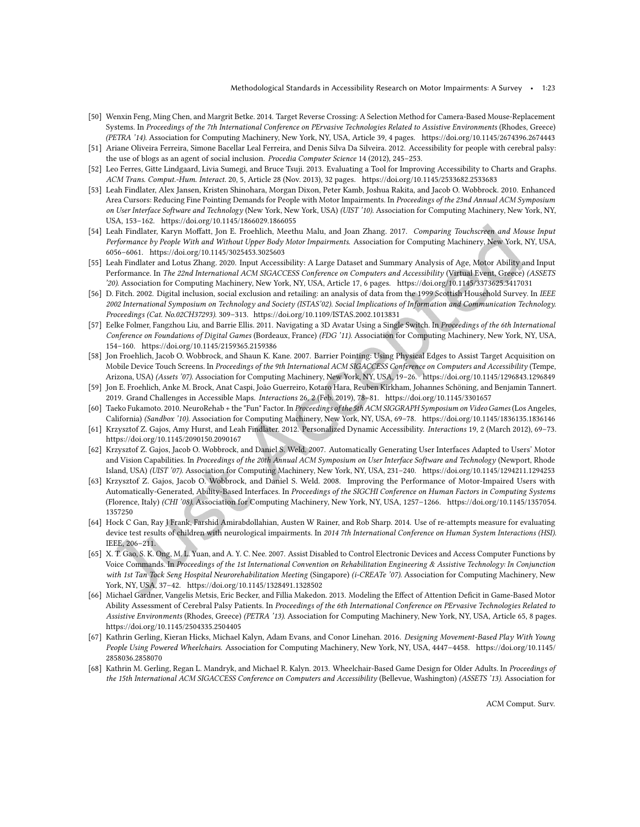- <span id="page-22-8"></span>[50] Wenxin Feng, Ming Chen, and Margrit Betke. 2014. Target Reverse Crossing: A Selection Method for Camera-Based Mouse-Replacement Systems. In Proceedings of the 7th International Conference on PErvasive Technologies Related to Assistive Environments (Rhodes, Greece) (PETRA '14). Association for Computing Machinery, New York, NY, USA, Article 39, 4 pages.<https://doi.org/10.1145/2674396.2674443>
- <span id="page-22-4"></span>[51] Ariane Oliveira Ferreira, Simone Bacellar Leal Ferreira, and Denis Silva Da Silveira. 2012. Accessibility for people with cerebral palsy: the use of blogs as an agent of social inclusion. Procedia Computer Science 14 (2012), 245-253.
- <span id="page-22-0"></span>[52] Leo Ferres, Gitte Lindgaard, Livia Sumegi, and Bruce Tsuji. 2013. Evaluating a Tool for Improving Accessibility to Charts and Graphs. ACM Trans. Comput.-Hum. Interact. 20, 5, Article 28 (Nov. 2013), 32 pages.<https://doi.org/10.1145/2533682.2533683>
- <span id="page-22-9"></span>[53] Leah Findlater, Alex Jansen, Kristen Shinohara, Morgan Dixon, Peter Kamb, Joshua Rakita, and Jacob O. Wobbrock. 2010. Enhanced Area Cursors: Reducing Fine Pointing Demands for People with Motor Impairments. In Proceedings of the 23nd Annual ACM Symposium on User Interface Software and Technology (New York, New York, USA) (UIST '10). Association for Computing Machinery, New York, NY, USA, 153-162.<https://doi.org/10.1145/1866029.1866055>
- <span id="page-22-2"></span>[54] Leah Findlater, Karyn Mofatt, Jon E. Froehlich, Meethu Malu, and Joan Zhang. 2017. Comparing Touchscreen and Mouse Input Performance by People With and Without Upper Body Motor Impairments. Association for Computing Machinery, New York, NY, USA, 6056ś6061.<https://doi.org/10.1145/3025453.3025603>
- <span id="page-22-5"></span>[55] Leah Findlater and Lotus Zhang. 2020. Input Accessibility: A Large Dataset and Summary Analysis of Age, Motor Ability and Input Performance. In The 22nd International ACM SIGACCESS Conference on Computers and Accessibility (Virtual Event, Greece) (ASSETS '20). Association for Computing Machinery, New York, NY, USA, Article 17, 6 pages.<https://doi.org/10.1145/3373625.3417031>
- <span id="page-22-17"></span>[56] D. Fitch. 2002. Digital inclusion, social exclusion and retailing: an analysis of data from the 1999 Scottish Household Survey. In IEEE 2002 International Symposium on Technology and Society (ISTAS'02). Social Implications of Information and Communication Technology. Proceedings (Cat. No.02CH37293). 309-313.<https://doi.org/10.1109/ISTAS.2002.1013831>
- <span id="page-22-13"></span>[57] Eelke Folmer, Fangzhou Liu, and Barrie Ellis. 2011. Navigating a 3D Avatar Using a Single Switch. In Proceedings of the 6th International Conference on Foundations of Digital Games (Bordeaux, France) (FDG '11). Association for Computing Machinery, New York, NY, USA, 154-160.<https://doi.org/10.1145/2159365.2159386>
- <span id="page-22-10"></span>[58] Jon Froehlich, Jacob O. Wobbrock, and Shaun K. Kane. 2007. Barrier Pointing: Using Physical Edges to Assist Target Acquisition on Mobile Device Touch Screens. In Proceedings of the 9th International ACM SIGACCESS Conference on Computers and Accessibility (Tempe, Arizona, USA) (Assets '07). Association for Computing Machinery, New York, NY, USA, 19-26.<https://doi.org/10.1145/1296843.1296849>
- <span id="page-22-18"></span>[59] Jon E. Froehlich, Anke M. Brock, Anat Caspi, João Guerreiro, Kotaro Hara, Reuben Kirkham, Johannes Schöning, and Benjamin Tannert. 2019. Grand Challenges in Accessible Maps. Interactions 26, 2 (Feb. 2019), 78-81.<https://doi.org/10.1145/3301657>
- <span id="page-22-15"></span>[60] Taeko Fukamoto. 2010. NeuroRehab + the "Fun" Factor. In Proceedings of the 5th ACM SIGGRAPH Symposium on Video Games (Los Angeles, California) (Sandbox '10). Association for Computing Machinery, New York, NY, USA, 69-78.<https://doi.org/10.1145/1836135.1836146>
- <span id="page-22-14"></span>[61] Krzysztof Z. Gajos, Amy Hurst, and Leah Findlater. 2012. Personalized Dynamic Accessibility. Interactions 19, 2 (March 2012), 69-73. <https://doi.org/10.1145/2090150.2090167>
- <span id="page-22-11"></span>[62] Krzysztof Z. Gajos, Jacob O. Wobbrock, and Daniel S. Weld. 2007. Automatically Generating User Interfaces Adapted to Users' Motor and Vision Capabilities. In Proceedings of the 20th Annual ACM Symposium on User Interface Software and Technology (Newport, Rhode Island, USA) (UIST '07). Association for Computing Machinery, New York, NY, USA, 231-240.<https://doi.org/10.1145/1294211.1294253>
- <span id="page-22-3"></span>[63] Krzysztof Z. Gajos, Jacob O. Wobbrock, and Daniel S. Weld. 2008. Improving the Performance of Motor-Impaired Users with Automatically-Generated, Ability-Based Interfaces. In Proceedings of the SIGCHI Conference on Human Factors in Computing Systems (Florence, Italy) (CHI '08). Association for Computing Machinery, New York, NY, USA, 1257-1266. [https://doi.org/10.1145/1357054.](https://doi.org/10.1145/1357054.1357250) [1357250](https://doi.org/10.1145/1357054.1357250)
- <span id="page-22-12"></span>[64] Hock C Gan, Ray J Frank, Farshid Amirabdollahian, Austen W Rainer, and Rob Sharp. 2014. Use of re-attempts measure for evaluating device test results of children with neurological impairments. In 2014 7th International Conference on Human System Interactions (HSI). IEEE, 206-211.
- <span id="page-22-7"></span>[65] X. T. Gao, S. K. Ong, M. L. Yuan, and A. Y. C. Nee. 2007. Assist Disabled to Control Electronic Devices and Access Computer Functions by Voice Commands. In Proceedings of the 1st International Convention on Rehabilitation Engineering & Assistive Technology: In Conjunction with 1st Tan Tock Seng Hospital Neurorehabilitation Meeting (Singapore) (i-CREATe '07). Association for Computing Machinery, New York, NY, USA, 37-42.<https://doi.org/10.1145/1328491.1328502>
- <span id="page-22-6"></span>[66] Michael Gardner, Vangelis Metsis, Eric Becker, and Fillia Makedon. 2013. Modeling the Effect of Attention Deficit in Game-Based Motor Ability Assessment of Cerebral Palsy Patients. In Proceedings of the 6th International Conference on PErvasive Technologies Related to Assistive Environments (Rhodes, Greece) (PETRA '13). Association for Computing Machinery, New York, NY, USA, Article 65, 8 pages. <https://doi.org/10.1145/2504335.2504405>
- <span id="page-22-1"></span>[67] Kathrin Gerling, Kieran Hicks, Michael Kalyn, Adam Evans, and Conor Linehan. 2016. Designing Movement-Based Play With Young People Using Powered Wheelchairs. Association for Computing Machinery, New York, NY, USA, 4447-4458. [https://doi.org/10.1145/](https://doi.org/10.1145/2858036.2858070) [2858036.2858070](https://doi.org/10.1145/2858036.2858070)
- <span id="page-22-16"></span>[68] Kathrin M. Gerling, Regan L. Mandryk, and Michael R. Kalyn. 2013. Wheelchair-Based Game Design for Older Adults. In Proceedings of the 15th International ACM SIGACCESS Conference on Computers and Accessibility (Bellevue, Washington) (ASSETS '13). Association for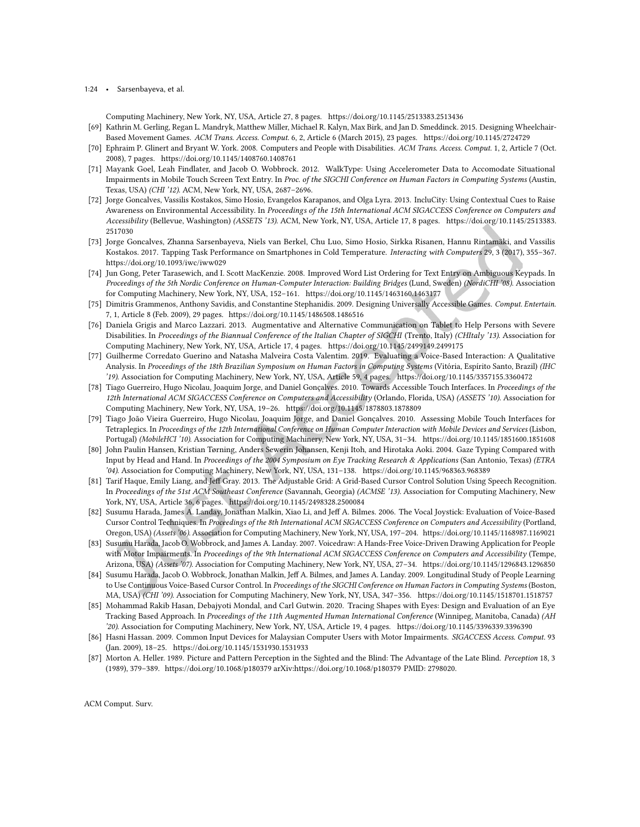#### 1:24 • Sarsenbayeva, et al.

Computing Machinery, New York, NY, USA, Article 27, 8 pages.<https://doi.org/10.1145/2513383.2513436>

- <span id="page-23-1"></span>[69] Kathrin M. Gerling, Regan L. Mandryk, Matthew Miller, Michael R. Kalyn, Max Birk, and Jan D. Smeddinck. 2015. Designing Wheelchair-Based Movement Games. ACM Trans. Access. Comput. 6, 2, Article 6 (March 2015), 23 pages.<https://doi.org/10.1145/2724729>
- <span id="page-23-16"></span>[70] Ephraim P. Glinert and Bryant W. York. 2008. Computers and People with Disabilities. ACM Trans. Access. Comput. 1, 2, Article 7 (Oct. 2008), 7 pages.<https://doi.org/10.1145/1408760.1408761>
- <span id="page-23-17"></span>[71] Mayank Goel, Leah Findlater, and Jacob O. Wobbrock. 2012. WalkType: Using Accelerometer Data to Accomodate Situational Impairments in Mobile Touch Screen Text Entry. In Proc. of the SIGCHI Conference on Human Factors in Computing Systems (Austin, Texas, USA) (CHI '12). ACM, New York, NY, USA, 2687-2696.
- <span id="page-23-0"></span>[72] Jorge Goncalves, Vassilis Kostakos, Simo Hosio, Evangelos Karapanos, and Olga Lyra. 2013. IncluCity: Using Contextual Cues to Raise Awareness on Environmental Accessibility. In Proceedings of the 15th International ACM SIGACCESS Conference on Computers and Accessibility (Bellevue, Washington) (ASSETS '13). ACM, New York, NY, USA, Article 17, 8 pages. [https://doi.org/10.1145/2513383.](https://doi.org/10.1145/2513383.2517030) [2517030](https://doi.org/10.1145/2513383.2517030)
- <span id="page-23-18"></span>[73] Jorge Goncalves, Zhanna Sarsenbayeva, Niels van Berkel, Chu Luo, Simo Hosio, Sirkka Risanen, Hannu Rintamäki, and Vassilis Kostakos. 2017. Tapping Task Performance on Smartphones in Cold Temperature. Interacting with Computers 29, 3 (2017), 355-367. <https://doi.org/10.1093/iwc/iww029>
- <span id="page-23-10"></span>[74] Jun Gong, Peter Tarasewich, and I. Scott MacKenzie. 2008. Improved Word List Ordering for Text Entry on Ambiguous Keypads. In Proceedings of the 5th Nordic Conference on Human-Computer Interaction: Building Bridges (Lund, Sweden) (NordiCHI '08). Association for Computing Machinery, New York, NY, USA, 152-161.<https://doi.org/10.1145/1463160.1463177>
- <span id="page-23-14"></span>[75] Dimitris Grammenos, Anthony Savidis, and Constantine Stephanidis. 2009. Designing Universally Accessible Games. Comput. Entertain. 7, 1, Article 8 (Feb. 2009), 29 pages.<https://doi.org/10.1145/1486508.1486516>
- <span id="page-23-3"></span>[76] Daniela Grigis and Marco Lazzari. 2013. Augmentative and Alternative Communication on Tablet to Help Persons with Severe Disabilities. In Proceedings of the Biannual Conference of the Italian Chapter of SIGCHI (Trento, Italy) (CHItaly '13). Association for Computing Machinery, New York, NY, USA, Article 17, 4 pages.<https://doi.org/10.1145/2499149.2499175>
- <span id="page-23-11"></span>[77] Guilherme Corredato Guerino and Natasha Malveira Costa Valentim. 2019. Evaluating a Voice-Based Interaction: A Qualitative Analysis. In Proceedings of the 18th Brazilian Symposium on Human Factors in Computing Systems (Vitória, Espírito Santo, Brazil) (IHC '19). Association for Computing Machinery, New York, NY, USA, Article 59, 4 pages.<https://doi.org/10.1145/3357155.3360472>
- <span id="page-23-6"></span>[78] Tiago Guerreiro, Hugo Nicolau, Joaquim Jorge, and Daniel Gonçalves. 2010. Towards Accessible Touch Interfaces. In Proceedings of the 12th International ACM SIGACCESS Conference on Computers and Accessibility (Orlando, Florida, USA) (ASSETS '10). Association for Computing Machinery, New York, NY, USA, 19-26.<https://doi.org/10.1145/1878803.1878809>
- <span id="page-23-7"></span>[79] Tiago João Vieira Guerreiro, Hugo Nicolau, Joaquim Jorge, and Daniel Gonçalves. 2010. Assessing Mobile Touch Interfaces for Tetraplegics. In Proceedings of the 12th International Conference on Human Computer Interaction with Mobile Devices and Services (Lisbon, Portugal) (MobileHCI'10). Association for Computing Machinery, New York, NY, USA, 31-34.<https://doi.org/10.1145/1851600.1851608>
- <span id="page-23-12"></span>[80] John Paulin Hansen, Kristian Tørning, Anders Sewerin Johansen, Kenji Itoh, and Hirotaka Aoki. 2004. Gaze Typing Compared with Input by Head and Hand. In Proceedings of the 2004 Symposium on Eye Tracking Research & Applications (San Antonio, Texas) (ETRA '04). Association for Computing Machinery, New York, NY, USA, 131-138.<https://doi.org/10.1145/968363.968389>
- <span id="page-23-8"></span>[81] Tarif Haque, Emily Liang, and Jef Gray. 2013. The Adjustable Grid: A Grid-Based Cursor Control Solution Using Speech Recognition. In Proceedings of the 51st ACM Southeast Conference (Savannah, Georgia) (ACMSE '13). Association for Computing Machinery, New York, NY, USA, Article 36, 6 pages.<https://doi.org/10.1145/2498328.2500084>
- <span id="page-23-9"></span>[82] Susumu Harada, James A. Landay, Jonathan Malkin, Xiao Li, and Jef A. Bilmes. 2006. The Vocal Joystick: Evaluation of Voice-Based Cursor Control Techniques. In Proceedings of the 8th International ACM SIGACCESS Conference on Computers and Accessibility (Portland, Oregon, USA) (Assets '06). Association for Computing Machinery, New York, NY, USA, 197-204.<https://doi.org/10.1145/1168987.1169021>
- <span id="page-23-4"></span>[83] Susumu Harada, Jacob O. Wobbrock, and James A. Landay. 2007. Voicedraw: A Hands-Free Voice-Driven Drawing Application for People with Motor Impairments. In Proceedings of the 9th International ACM SIGACCESS Conference on Computers and Accessibility (Tempe, Arizona, USA) (Assets '07). Association for Computing Machinery, New York, NY, USA, 27-34.<https://doi.org/10.1145/1296843.1296850>
- <span id="page-23-5"></span>[84] Susumu Harada, Jacob O. Wobbrock, Jonathan Malkin, Jeff A. Bilmes, and James A. Landay. 2009. Longitudinal Study of People Learning to Use Continuous Voice-Based Cursor Control. In Proceedings of the SIGCHI Conference on Human Factors in Computing Systems (Boston, MA, USA) (CHI '09). Association for Computing Machinery, New York, NY, USA, 347-356.<https://doi.org/10.1145/1518701.1518757>
- <span id="page-23-13"></span>[85] Mohammad Rakib Hasan, Debajyoti Mondal, and Carl Gutwin. 2020. Tracing Shapes with Eyes: Design and Evaluation of an Eye Tracking Based Approach. In Proceedings of the 11th Augmented Human International Conference (Winnipeg, Manitoba, Canada) (AH '20). Association for Computing Machinery, New York, NY, USA, Article 19, 4 pages.<https://doi.org/10.1145/3396339.3396390>
- <span id="page-23-2"></span>[86] Hasni Hassan. 2009. Common Input Devices for Malaysian Computer Users with Motor Impairments. SIGACCESS Access. Comput. 93 (Jan. 2009), 18-25.<https://doi.org/10.1145/1531930.1531933>
- <span id="page-23-15"></span>[87] Morton A. Heller. 1989. Picture and Pattern Perception in the Sighted and the Blind: The Advantage of the Late Blind. Perception 18, 3 (1989), 379-389.<https://doi.org/10.1068/p180379> arXiv[:https://doi.org/10.1068/p180379](https://arxiv.org/abs/https://doi.org/10.1068/p180379) PMID: 2798020.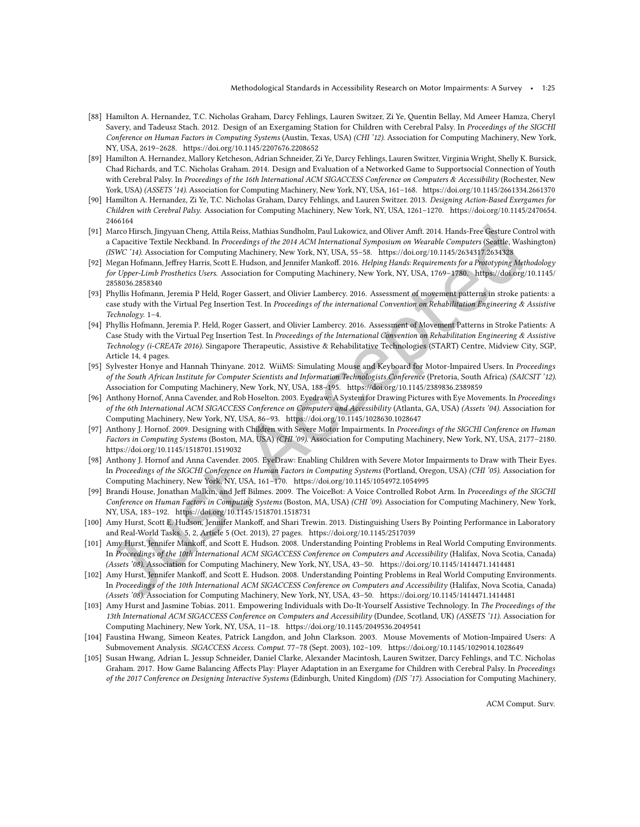- <span id="page-24-0"></span>[88] Hamilton A. Hernandez, T.C. Nicholas Graham, Darcy Fehlings, Lauren Switzer, Zi Ye, Quentin Bellay, Md Ameer Hamza, Cheryl Savery, and Tadeusz Stach. 2012. Design of an Exergaming Station for Children with Cerebral Palsy. In Proceedings of the SIGCHI Conference on Human Factors in Computing Systems (Austin, Texas, USA) (CHI '12). Association for Computing Machinery, New York, NY, USA, 2619-2628.<https://doi.org/10.1145/2207676.2208652>
- [89] Hamilton A. Hernandez, Mallory Ketcheson, Adrian Schneider, Zi Ye, Darcy Fehlings, Lauren Switzer, Virginia Wright, Shelly K. Bursick, Chad Richards, and T.C. Nicholas Graham. 2014. Design and Evaluation of a Networked Game to Supportsocial Connection of Youth with Cerebral Palsy. In Proceedings of the 16th International ACM SIGACCESS Conference on Computers & Accessibility (Rochester, New York, USA) (ASSETS '14). Association for Computing Machinery, New York, NY, USA, 161-168.<https://doi.org/10.1145/2661334.2661370>
- <span id="page-24-9"></span>[90] Hamilton A. Hernandez, Zi Ye, T.C. Nicholas Graham, Darcy Fehlings, and Lauren Switzer. 2013. Designing Action-Based Exergames for Children with Cerebral Palsy. Association for Computing Machinery, New York, NY, USA, 1261-1270. [https://doi.org/10.1145/2470654.](https://doi.org/10.1145/2470654.2466164) [2466164](https://doi.org/10.1145/2470654.2466164)
- <span id="page-24-5"></span>[91] Marco Hirsch, Jingyuan Cheng, Attila Reiss, Mathias Sundholm, Paul Lukowicz, and Oliver Amft. 2014. Hands-Free Gesture Control with a Capacitive Textile Neckband. In Proceedings of the 2014 ACM International Symposium on Wearable Computers (Seattle, Washington) (ISWC '14). Association for Computing Machinery, New York, NY, USA, 55-58.<https://doi.org/10.1145/2634317.2634328>
- <span id="page-24-3"></span>[92] Megan Hofmann, Jeffrey Harris, Scott E. Hudson, and Jennifer Mankoff. 2016. Helping Hands: Requirements for a Prototyping Methodology for Upper-Limb Prosthetics Users. Association for Computing Machinery, New York, NY, USA, 1769-1780. [https://doi.org/10.1145/](https://doi.org/10.1145/2858036.2858340) [2858036.2858340](https://doi.org/10.1145/2858036.2858340)
- <span id="page-24-2"></span>[93] Phyllis Hofmann, Jeremia P Held, Roger Gassert, and Olivier Lambercy. 2016. Assessment of movement patterns in stroke patients: a case study with the Virtual Peg Insertion Test. In Proceedings of the international Convention on Rehabilitation Engineering & Assistive Technology. 1-4.
- <span id="page-24-8"></span>[94] Phyllis Hofmann, Jeremia P. Held, Roger Gassert, and Olivier Lambercy. 2016. Assessment of Movement Patterns in Stroke Patients: A Case Study with the Virtual Peg Insertion Test. In Proceedings of the International Convention on Rehabilitation Engineering & Assistive Technology (i-CREATe 2016). Singapore Therapeutic, Assistive & Rehabilitative Technologies (START) Centre, Midview City, SGP, Article 14, 4 pages.
- <span id="page-24-1"></span>[95] Sylvester Honye and Hannah Thinyane. 2012. WiiMS: Simulating Mouse and Keyboard for Motor-Impaired Users. In Proceedings of the South African Institute for Computer Scientists and Information Technologists Conference (Pretoria, South Africa) (SAICSIT '12). Association for Computing Machinery, New York, NY, USA, 188-195.<https://doi.org/10.1145/2389836.2389859>
- <span id="page-24-6"></span>[96] Anthony Hornof, Anna Cavender, and Rob Hoselton. 2003. Eyedraw: A System for Drawing Pictures with Eye Movements. In Proceedings of the 6th International ACM SIGACCESS Conference on Computers and Accessibility (Atlanta, GA, USA) (Assets '04). Association for Computing Machinery, New York, NY, USA, 86-93.<https://doi.org/10.1145/1028630.1028647>
- <span id="page-24-14"></span>[97] Anthony J. Hornof. 2009. Designing with Children with Severe Motor Impairments. In Proceedings of the SIGCHI Conference on Human Factors in Computing Systems (Boston, MA, USA) (CHI '09). Association for Computing Machinery, New York, NY, USA, 2177-2180. <https://doi.org/10.1145/1518701.1519032>
- <span id="page-24-7"></span>[98] Anthony J. Hornof and Anna Cavender. 2005. EyeDraw: Enabling Children with Severe Motor Impairments to Draw with Their Eyes. In Proceedings of the SIGCHI Conference on Human Factors in Computing Systems (Portland, Oregon, USA) (CHI '05). Association for Computing Machinery, New York, NY, USA, 161-170.<https://doi.org/10.1145/1054972.1054995>
- <span id="page-24-4"></span>[99] Brandi House, Jonathan Malkin, and Jef Bilmes. 2009. The VoiceBot: A Voice Controlled Robot Arm. In Proceedings of the SIGCHI Conference on Human Factors in Computing Systems (Boston, MA, USA) (CHI '09). Association for Computing Machinery, New York, NY, USA, 183-192.<https://doi.org/10.1145/1518701.1518731>
- <span id="page-24-11"></span>[100] Amy Hurst, Scott E. Hudson, Jennifer Mankoff, and Shari Trewin. 2013. Distinguishing Users By Pointing Performance in Laboratory and Real-World Tasks. 5, 2, Article 5 (Oct. 2013), 27 pages.<https://doi.org/10.1145/2517039>
- <span id="page-24-12"></span>[101] Amy Hurst, Jennifer Mankoff, and Scott E. Hudson. 2008. Understanding Pointing Problems in Real World Computing Environments. In Proceedings of the 10th International ACM SIGACCESS Conference on Computers and Accessibility (Halifax, Nova Scotia, Canada) (Assets '08). Association for Computing Machinery, New York, NY, USA, 43-50.<https://doi.org/10.1145/1414471.1414481>
- <span id="page-24-15"></span>[102] Amy Hurst, Jennifer Mankof, and Scott E. Hudson. 2008. Understanding Pointing Problems in Real World Computing Environments. In Proceedings of the 10th International ACM SIGACCESS Conference on Computers and Accessibility (Halifax, Nova Scotia, Canada) (Assets '08). Association for Computing Machinery, New York, NY, USA, 43-50.<https://doi.org/10.1145/1414471.1414481>
- <span id="page-24-16"></span>[103] Amy Hurst and Jasmine Tobias. 2011. Empowering Individuals with Do-It-Yourself Assistive Technology. In The Proceedings of the 13th International ACM SIGACCESS Conference on Computers and Accessibility (Dundee, Scotland, UK) (ASSETS '11). Association for Computing Machinery, New York, NY, USA, 11-18.<https://doi.org/10.1145/2049536.2049541>
- <span id="page-24-13"></span>[104] Faustina Hwang, Simeon Keates, Patrick Langdon, and John Clarkson. 2003. Mouse Movements of Motion-Impaired Users: A Submovement Analysis. SIGACCESS Access. Comput. 77-78 (Sept. 2003), 102-109.<https://doi.org/10.1145/1029014.1028649>
- <span id="page-24-10"></span>[105] Susan Hwang, Adrian L. Jessup Schneider, Daniel Clarke, Alexander Macintosh, Lauren Switzer, Darcy Fehlings, and T.C. Nicholas Graham. 2017. How Game Balancing Afects Play: Player Adaptation in an Exergame for Children with Cerebral Palsy. In Proceedings of the 2017 Conference on Designing Interactive Systems (Edinburgh, United Kingdom) (DIS '17). Association for Computing Machinery,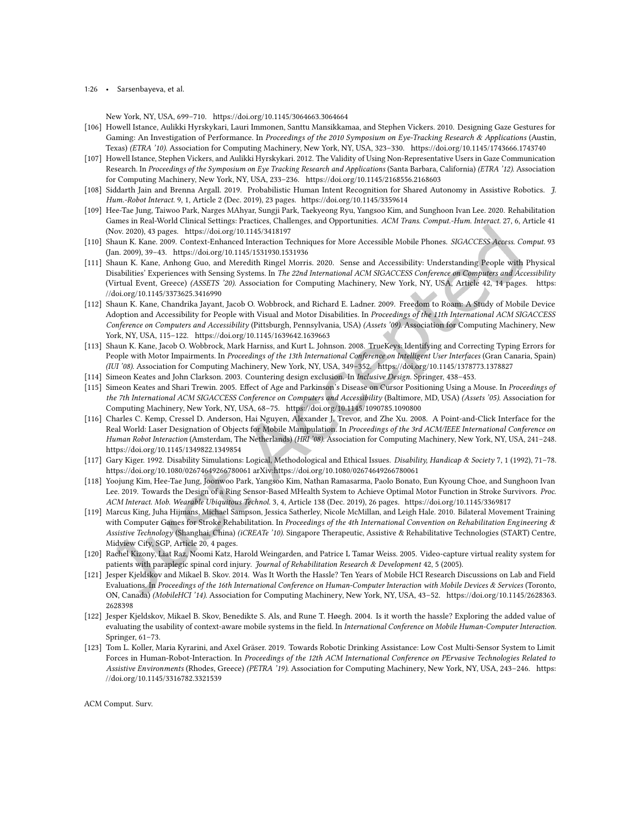1:26 • Sarsenbayeva, et al.

New York, NY, USA, 699-710.<https://doi.org/10.1145/3064663.3064664>

- <span id="page-25-7"></span>[106] Howell Istance, Aulikki Hyrskykari, Lauri Immonen, Santtu Mansikkamaa, and Stephen Vickers. 2010. Designing Gaze Gestures for Gaming: An Investigation of Performance. In Proceedings of the 2010 Symposium on Eye-Tracking Research & Applications (Austin, Texas) (ETRA '10). Association for Computing Machinery, New York, NY, USA, 323-330.<https://doi.org/10.1145/1743666.1743740>
- <span id="page-25-8"></span>[107] Howell Istance, Stephen Vickers, and Aulikki Hyrskykari. 2012. The Validity of Using Non-Representative Users in Gaze Communication Research. In Proceedings of the Symposium on Eye Tracking Research and Applications (Santa Barbara, California) (ETRA '12). Association for Computing Machinery, New York, NY, USA, 233-236.<https://doi.org/10.1145/2168556.2168603>
- <span id="page-25-5"></span>[108] Siddarth Jain and Brenna Argall. 2019. Probabilistic Human Intent Recognition for Shared Autonomy in Assistive Robotics. J. Hum.-Robot Interact. 9, 1, Article 2 (Dec. 2019), 23 pages.<https://doi.org/10.1145/3359614>
- <span id="page-25-10"></span>[109] Hee-Tae Jung, Taiwoo Park, Narges MAhyar, Sungji Park, Taekyeong Ryu, Yangsoo Kim, and Sunghoon Ivan Lee. 2020. Rehabilitation Games in Real-World Clinical Settings: Practices, Challenges, and Opportunities. ACM Trans. Comput.-Hum. Interact. 27, 6, Article 41 (Nov. 2020), 43 pages.<https://doi.org/10.1145/3418197>
- <span id="page-25-17"></span>[110] Shaun K. Kane. 2009. Context-Enhanced Interaction Techniques for More Accessible Mobile Phones. SIGACCESS Access. Comput. 93 (Jan. 2009), 39–43.<https://doi.org/10.1145/1531930.1531936>
- <span id="page-25-3"></span>[111] Shaun K. Kane, Anhong Guo, and Meredith Ringel Morris. 2020. Sense and Accessibility: Understanding People with Physical Disabilities' Experiences with Sensing Systems. In The 22nd International ACM SIGACCESS Conference on Computers and Accessibility (Virtual Event, Greece) (ASSETS '20). Association for Computing Machinery, New York, NY, USA, Article 42, 14 pages. [https:](https://doi.org/10.1145/3373625.3416990) [//doi.org/10.1145/3373625.3416990](https://doi.org/10.1145/3373625.3416990)
- <span id="page-25-14"></span>[112] Shaun K. Kane, Chandrika Jayant, Jacob O. Wobbrock, and Richard E. Ladner. 2009. Freedom to Roam: A Study of Mobile Device Adoption and Accessibility for People with Visual and Motor Disabilities. In Proceedings of the 11th International ACM SIGACCESS Conference on Computers and Accessibility (Pittsburgh, Pennsylvania, USA) (Assets '09). Association for Computing Machinery, New York, NY, USA, 115-122.<https://doi.org/10.1145/1639642.1639663>
- <span id="page-25-13"></span>[113] Shaun K. Kane, Jacob O. Wobbrock, Mark Harniss, and Kurt L. Johnson. 2008. TrueKeys: Identifying and Correcting Typing Errors for People with Motor Impairments. In Proceedings of the 13th International Conference on Intelligent User Interfaces (Gran Canaria, Spain) (IUI '08). Association for Computing Machinery, New York, NY, USA, 349-352.<https://doi.org/10.1145/1378773.1378827>
- <span id="page-25-0"></span>[114] Simeon Keates and John Clarkson. 2003. Countering design exclusion. In Inclusive Design. Springer, 438-453.
- <span id="page-25-12"></span>[115] Simeon Keates and Shari Trewin. 2005. Efect of Age and Parkinson's Disease on Cursor Positioning Using a Mouse. In Proceedings of the 7th International ACM SIGACCESS Conference on Computers and Accessibility (Baltimore, MD, USA) (Assets '05). Association for Computing Machinery, New York, NY, USA, 68-75.<https://doi.org/10.1145/1090785.1090800>
- <span id="page-25-6"></span>[116] Charles C. Kemp, Cressel D. Anderson, Hai Nguyen, Alexander J. Trevor, and Zhe Xu. 2008. A Point-and-Click Interface for the Real World: Laser Designation of Objects for Mobile Manipulation. In Proceedings of the 3rd ACM/IEEE International Conference on Human Robot Interaction (Amsterdam, The Netherlands) (HRI '08). Association for Computing Machinery, New York, NY, USA, 241-248. <https://doi.org/10.1145/1349822.1349854>
- <span id="page-25-16"></span>[117] Gary Kiger. 1992. Disability Simulations: Logical, Methodological and Ethical Issues. Disability, Handicap & Society 7, 1 (1992), 71-78. <https://doi.org/10.1080/02674649266780061> arXiv[:https://doi.org/10.1080/02674649266780061](https://arxiv.org/abs/https://doi.org/10.1080/02674649266780061)
- <span id="page-25-9"></span>[118] Yoojung Kim, Hee-Tae Jung, Joonwoo Park, Yangsoo Kim, Nathan Ramasarma, Paolo Bonato, Eun Kyoung Choe, and Sunghoon Ivan Lee. 2019. Towards the Design of a Ring Sensor-Based MHealth System to Achieve Optimal Motor Function in Stroke Survivors. Proc. ACM Interact. Mob. Wearable Ubiquitous Technol. 3, 4, Article 138 (Dec. 2019), 26 pages.<https://doi.org/10.1145/3369817>
- <span id="page-25-11"></span>[119] Marcus King, Juha Hijmans, Michael Sampson, Jessica Satherley, Nicole McMillan, and Leigh Hale. 2010. Bilateral Movement Training with Computer Games for Stroke Rehabilitation. In Proceedings of the 4th International Convention on Rehabilitation Engineering & Assistive Technology (Shanghai, China) (iCREATe '10). Singapore Therapeutic, Assistive & Rehabilitative Technologies (START) Centre, Midview City, SGP, Article 20, 4 pages.
- <span id="page-25-15"></span>[120] Rachel Kizony, Liat Raz, Noomi Katz, Harold Weingarden, and Patrice L Tamar Weiss. 2005. Video-capture virtual reality system for patients with paraplegic spinal cord injury. Journal of Rehabilitation Research & Development 42, 5 (2005).
- <span id="page-25-1"></span>[121] Jesper Kjeldskov and Mikael B. Skov. 2014. Was It Worth the Hassle? Ten Years of Mobile HCI Research Discussions on Lab and Field Evaluations. In Proceedings of the 16th International Conference on Human-Computer Interaction with Mobile Devices & Services (Toronto, ON, Canada) (MobileHCI '14). Association for Computing Machinery, New York, NY, USA, 43-52. [https://doi.org/10.1145/2628363.](https://doi.org/10.1145/2628363.2628398) [2628398](https://doi.org/10.1145/2628363.2628398)
- <span id="page-25-2"></span>[122] Jesper Kjeldskov, Mikael B. Skov, Benedikte S. Als, and Rune T. Høegh. 2004. Is it worth the hassle? Exploring the added value of evaluating the usability of context-aware mobile systems in the ield. In International Conference on Mobile Human-Computer Interaction. Springer, 61-73.
- <span id="page-25-4"></span>[123] Tom L. Koller, Maria Kyrarini, and Axel Gräser. 2019. Towards Robotic Drinking Assistance: Low Cost Multi-Sensor System to Limit Forces in Human-Robot-Interaction. In Proceedings of the 12th ACM International Conference on PErvasive Technologies Related to Assistive Environments (Rhodes, Greece) (PETRA '19). Association for Computing Machinery, New York, NY, USA, 243-246. [https:](https://doi.org/10.1145/3316782.3321539) [//doi.org/10.1145/3316782.3321539](https://doi.org/10.1145/3316782.3321539)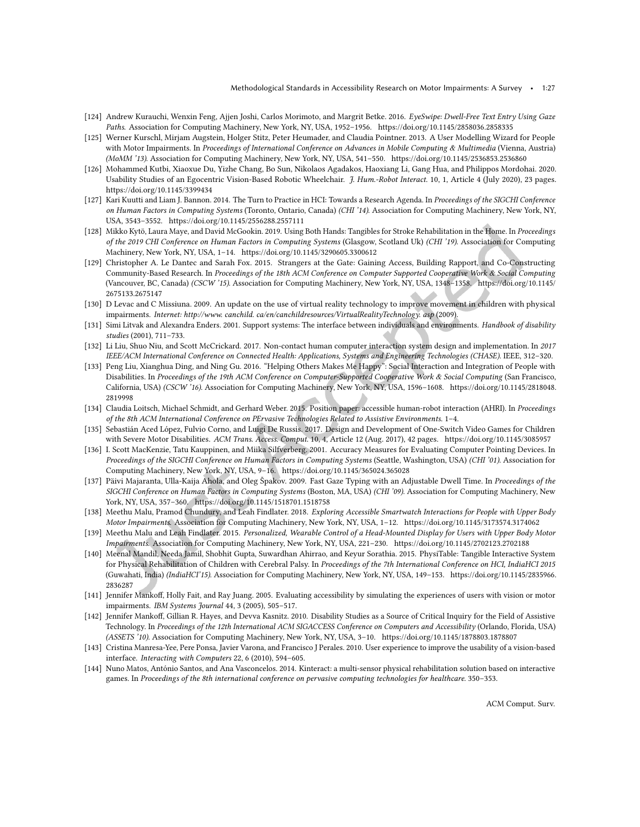- <span id="page-26-11"></span>[124] Andrew Kurauchi, Wenxin Feng, Ajjen Joshi, Carlos Morimoto, and Margrit Betke. 2016. EyeSwipe: Dwell-Free Text Entry Using Gaze Paths. Association for Computing Machinery, New York, NY, USA, 1952-1956.<https://doi.org/10.1145/2858036.2858335>
- <span id="page-26-6"></span>[125] Werner Kurschl, Mirjam Augstein, Holger Stitz, Peter Heumader, and Claudia Pointner. 2013. A User Modelling Wizard for People with Motor Impairments. In Proceedings of International Conference on Advances in Mobile Computing & Multimedia (Vienna, Austria) (MoMM '13). Association for Computing Machinery, New York, NY, USA, 541-550.<https://doi.org/10.1145/2536853.2536860>
- <span id="page-26-1"></span>[126] Mohammed Kutbi, Xiaoxue Du, Yizhe Chang, Bo Sun, Nikolaos Agadakos, Haoxiang Li, Gang Hua, and Philippos Mordohai. 2020. Usability Studies of an Egocentric Vision-Based Robotic Wheelchair. J. Hum.-Robot Interact. 10, 1, Article 4 (July 2020), 23 pages. <https://doi.org/10.1145/3399434>
- <span id="page-26-0"></span>[127] Kari Kuutti and Liam J. Bannon. 2014. The Turn to Practice in HCI: Towards a Research Agenda. In Proceedings of the SIGCHI Conference on Human Factors in Computing Systems (Toronto, Ontario, Canada) (CHI '14). Association for Computing Machinery, New York, NY, USA, 3543-3552.<https://doi.org/10.1145/2556288.2557111>
- <span id="page-26-4"></span>[128] Mikko Kytö, Laura Maye, and David McGookin. 2019. Using Both Hands: Tangibles for Stroke Rehabilitation in the Home. In Proceedings of the 2019 CHI Conference on Human Factors in Computing Systems (Glasgow, Scotland Uk) (CHI '19). Association for Computing Machinery, New York, NY, USA, 1-14.<https://doi.org/10.1145/3290605.3300612>
- <span id="page-26-17"></span>[129] Christopher A. Le Dantec and Sarah Fox. 2015. Strangers at the Gate: Gaining Access, Building Rapport, and Co-Constructing Community-Based Research. In Proceedings of the 18th ACM Conference on Computer Supported Cooperative Work & Social Computing (Vancouver, BC, Canada) (CSCW '15). Association for Computing Machinery, New York, NY, USA, 1348-1358. [https://doi.org/10.1145/](https://doi.org/10.1145/2675133.2675147) [2675133.2675147](https://doi.org/10.1145/2675133.2675147)
- <span id="page-26-15"></span>[130] D Levac and C Missiuna. 2009. An update on the use of virtual reality technology to improve movement in children with physical impairments. Internet: http://www. canchild. ca/en/canchildresources/VirtualRealityTechnology. asp (2009).
- <span id="page-26-20"></span>[131] Simi Litvak and Alexandra Enders. 2001. Support systems: The interface between individuals and environments. Handbook of disability studies (2001), 711-733.
- <span id="page-26-9"></span>[132] Li Liu, Shuo Niu, and Scott McCrickard. 2017. Non-contact human computer interaction system design and implementation. In 2017 IEEE/ACM International Conference on Connected Health: Applications, Systems and Engineering Technologies (CHASE). IEEE, 312-320.
- <span id="page-26-19"></span>[133] Peng Liu, Xianghua Ding, and Ning Gu. 2016. "Helping Others Makes Me Happy": Social Interaction and Integration of People with Disabilities. In Proceedings of the 19th ACM Conference on Computer-Supported Cooperative Work & Social Computing (San Francisco, California, USA) (CSCW '16). Association for Computing Machinery, New York, NY, USA, 1596-1608. [https://doi.org/10.1145/2818048.](https://doi.org/10.1145/2818048.2819998) [2819998](https://doi.org/10.1145/2818048.2819998)
- <span id="page-26-18"></span>[134] Claudia Loitsch, Michael Schmidt, and Gerhard Weber. 2015. Position paper: accessible human-robot interaction (AHRI). In Proceedings of the 8th ACM International Conference on PErvasive Technologies Related to Assistive Environments. 1-4.
- <span id="page-26-7"></span>[135] Sebastián Aced López, Fulvio Corno, and Luigi De Russis. 2017. Design and Development of One-Switch Video Games for Children with Severe Motor Disabilities. ACM Trans. Access. Comput. 10, 4, Article 12 (Aug. 2017), 42 pages.<https://doi.org/10.1145/3085957>
- <span id="page-26-14"></span>[136] I. Scott MacKenzie, Tatu Kauppinen, and Miika Silfverberg. 2001. Accuracy Measures for Evaluating Computer Pointing Devices. In Proceedings of the SIGCHI Conference on Human Factors in Computing Systems (Seattle, Washington, USA) (CHI '01). Association for Computing Machinery, New York, NY, USA, 9-16.<https://doi.org/10.1145/365024.365028>
- <span id="page-26-12"></span>[137] Päivi Majaranta, Ulla-Kaija Ahola, and Oleg Špakov. 2009. Fast Gaze Typing with an Adjustable Dwell Time. In Proceedings of the SIGCHI Conference on Human Factors in Computing Systems (Boston, MA, USA) (CHI '09). Association for Computing Machinery, New York, NY, USA, 357-360.<https://doi.org/10.1145/1518701.1518758>
- <span id="page-26-8"></span>[138] Meethu Malu, Pramod Chundury, and Leah Findlater. 2018. Exploring Accessible Smartwatch Interactions for People with Upper Body Motor Impairments. Association for Computing Machinery, New York, NY, USA, 1-12.<https://doi.org/10.1145/3173574.3174062>
- <span id="page-26-5"></span>[139] Meethu Malu and Leah Findlater. 2015. Personalized, Wearable Control of a Head-Mounted Display for Users with Upper Body Motor Impairments. Association for Computing Machinery, New York, NY, USA, 221-230.<https://doi.org/10.1145/2702123.2702188>
- <span id="page-26-3"></span>[140] Meenal Mandil, Needa Jamil, Shobhit Gupta, Suwardhan Ahirrao, and Keyur Sorathia. 2015. PhysiTable: Tangible Interactive System for Physical Rehabilitation of Children with Cerebral Palsy. In Proceedings of the 7th International Conference on HCI, IndiaHCI 2015 (Guwahati, India) (IndiaHCI'15). Association for Computing Machinery, New York, NY, USA, 149-153. [https://doi.org/10.1145/2835966.](https://doi.org/10.1145/2835966.2836287) [2836287](https://doi.org/10.1145/2835966.2836287)
- <span id="page-26-13"></span>[141] Jennifer Mankof, Holly Fait, and Ray Juang. 2005. Evaluating accessibility by simulating the experiences of users with vision or motor impairments. IBM Systems Journal 44, 3 (2005), 505-517.
- <span id="page-26-16"></span>[142] Jennifer Mankof, Gillian R. Hayes, and Devva Kasnitz. 2010. Disability Studies as a Source of Critical Inquiry for the Field of Assistive Technology. In Proceedings of the 12th International ACM SIGACCESS Conference on Computers and Accessibility (Orlando, Florida, USA) (ASSETS '10). Association for Computing Machinery, New York, NY, USA, 3-10.<https://doi.org/10.1145/1878803.1878807>
- <span id="page-26-10"></span>[143] Cristina Manresa-Yee, Pere Ponsa, Javier Varona, and Francisco J Perales. 2010. User experience to improve the usability of a vision-based interface. Interacting with Computers 22, 6 (2010), 594-605.
- <span id="page-26-2"></span>[144] Nuno Matos, António Santos, and Ana Vasconcelos. 2014. Kinteract: a multi-sensor physical rehabilitation solution based on interactive games. In Proceedings of the 8th international conference on pervasive computing technologies for healthcare. 350-353.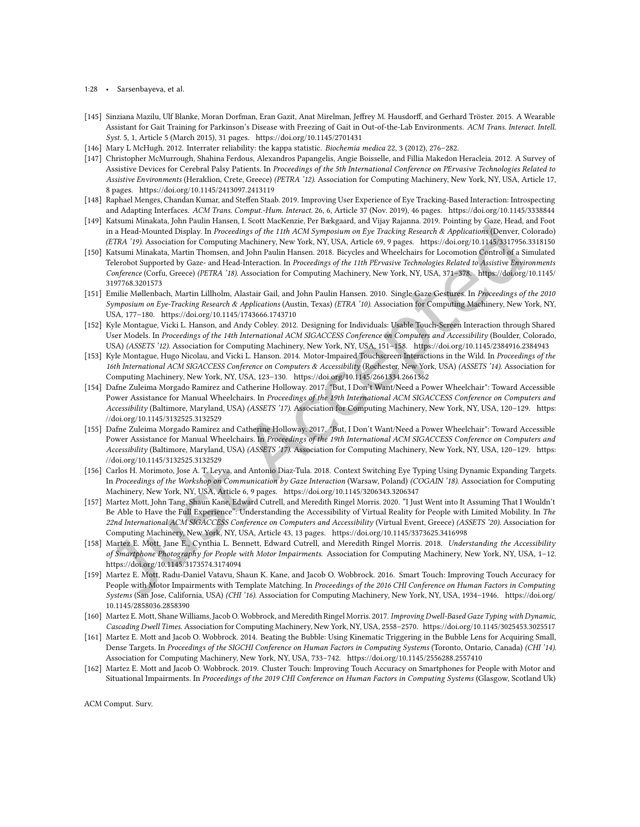- 1:28 Sarsenbayeva, et al.
- <span id="page-27-7"></span>[145] Sinziana Mazilu, Ulf Blanke, Moran Dorfman, Eran Gazit, Anat Mirelman, Jefrey M. Hausdorf, and Gerhard Tröster. 2015. A Wearable Assistant for Gait Training for Parkinson's Disease with Freezing of Gait in Out-of-the-Lab Environments. ACM Trans. Interact. Intell. Syst. 5, 1, Article 5 (March 2015), 31 pages.<https://doi.org/10.1145/2701431>
- <span id="page-27-3"></span>[146] Mary L McHugh. 2012. Interrater reliability: the kappa statistic. Biochemia medica 22, 3 (2012), 276-282.
- <span id="page-27-16"></span>[147] Christopher McMurrough, Shahina Ferdous, Alexandros Papangelis, Angie Boisselle, and Fillia Makedon Heracleia. 2012. A Survey of Assistive Devices for Cerebral Palsy Patients. In Proceedings of the 5th International Conference on PErvasive Technologies Related to Assistive Environments (Heraklion, Crete, Greece) (PETRA '12). Association for Computing Machinery, New York, NY, USA, Article 17, 8 pages.<https://doi.org/10.1145/2413097.2413119>
- <span id="page-27-4"></span>[148] Raphael Menges, Chandan Kumar, and Stefen Staab. 2019. Improving User Experience of Eye Tracking-Based Interaction: Introspecting and Adapting Interfaces. ACM Trans. Comput.-Hum. Interact. 26, 6, Article 37 (Nov. 2019), 46 pages.<https://doi.org/10.1145/3338844>
- <span id="page-27-9"></span>[149] Katsumi Minakata, John Paulin Hansen, I. Scott MacKenzie, Per Bækgaard, and Vijay Rajanna. 2019. Pointing by Gaze, Head, and Foot in a Head-Mounted Display. In Proceedings of the 11th ACM Symposium on Eye Tracking Research & Applications (Denver, Colorado) (ETRA '19). Association for Computing Machinery, New York, NY, USA, Article 69, 9 pages.<https://doi.org/10.1145/3317956.3318150>
- <span id="page-27-0"></span>[150] Katsumi Minakata, Martin Thomsen, and John Paulin Hansen. 2018. Bicycles and Wheelchairs for Locomotion Control of a Simulated Telerobot Supported by Gaze- and Head-Interaction. In Proceedings of the 11th PErvasive Technologies Related to Assistive Environments Conference (Corfu, Greece) (PETRA '18). Association for Computing Machinery, New York, NY, USA, 371-378. [https://doi.org/10.1145/](https://doi.org/10.1145/3197768.3201573) [3197768.3201573](https://doi.org/10.1145/3197768.3201573)
- <span id="page-27-10"></span>[151] Emilie Mùllenbach, Martin Lillholm, Alastair Gail, and John Paulin Hansen. 2010. Single Gaze Gestures. In Proceedings of the 2010 Symposium on Eye-Tracking Research & Applications (Austin, Texas) (ETRA '10). Association for Computing Machinery, New York, NY, USA, 177-180.<https://doi.org/10.1145/1743666.1743710>
- <span id="page-27-5"></span>[152] Kyle Montague, Vicki L. Hanson, and Andy Cobley. 2012. Designing for Individuals: Usable Touch-Screen Interaction through Shared User Models. In Proceedings of the 14th International ACM SIGACCESS Conference on Computers and Accessibility (Boulder, Colorado, USA) (ASSETS '12). Association for Computing Machinery, New York, NY, USA, 151-158.<https://doi.org/10.1145/2384916.2384943>
- <span id="page-27-8"></span>[153] Kyle Montague, Hugo Nicolau, and Vicki L. Hanson. 2014. Motor-Impaired Touchscreen Interactions in the Wild. In Proceedings of the 16th International ACM SIGACCESS Conference on Computers & Accessibility (Rochester, New York, USA) (ASSETS '14). Association for Computing Machinery, New York, NY, USA, 123-130.<https://doi.org/10.1145/2661334.2661362>
- <span id="page-27-1"></span>[154] Dafne Zuleima Morgado Ramirez and Catherine Holloway. 2017. "But, I Don't Want/Need a Power Wheelchair": Toward Accessible Power Assistance for Manual Wheelchairs. In Proceedings of the 19th International ACM SIGACCESS Conference on Computers and Accessibility (Baltimore, Maryland, USA) (ASSETS '17). Association for Computing Machinery, New York, NY, USA, 120-129. [https:](https://doi.org/10.1145/3132525.3132529) [//doi.org/10.1145/3132525.3132529](https://doi.org/10.1145/3132525.3132529)
- <span id="page-27-2"></span>[155] Dafne Zuleima Morgado Ramirez and Catherine Holloway. 2017. "But, I Don't Want/Need a Power Wheelchair": Toward Accessible Power Assistance for Manual Wheelchairs. In Proceedings of the 19th International ACM SIGACCESS Conference on Computers and Accessibility (Baltimore, Maryland, USA) (ASSETS '17). Association for Computing Machinery, New York, NY, USA, 120-129. [https:](https://doi.org/10.1145/3132525.3132529) [//doi.org/10.1145/3132525.3132529](https://doi.org/10.1145/3132525.3132529)
- <span id="page-27-13"></span>[156] Carlos H. Morimoto, Jose A. T. Leyva, and Antonio Diaz-Tula. 2018. Context Switching Eye Typing Using Dynamic Expanding Targets. In Proceedings of the Workshop on Communication by Gaze Interaction (Warsaw, Poland) (COGAIN '18). Association for Computing Machinery, New York, NY, USA, Article 6, 9 pages.<https://doi.org/10.1145/3206343.3206347>
- <span id="page-27-6"></span>[157] Martez Mott, John Tang, Shaun Kane, Edward Cutrell, and Meredith Ringel Morris. 2020. "I Just Went into It Assuming That I Wouldn't Be Able to Have the Full Experiencež: Understanding the Accessibility of Virtual Reality for People with Limited Mobility. In The 22nd International ACM SIGACCESS Conference on Computers and Accessibility (Virtual Event, Greece) (ASSETS '20). Association for Computing Machinery, New York, NY, USA, Article 43, 13 pages.<https://doi.org/10.1145/3373625.3416998>
- <span id="page-27-15"></span>[158] Martez E. Mott, Jane E., Cynthia L. Bennett, Edward Cutrell, and Meredith Ringel Morris. 2018. Understanding the Accessibility of Smartphone Photography for People with Motor Impairments. Association for Computing Machinery, New York, NY, USA, 1-12. <https://doi.org/10.1145/3173574.3174094>
- <span id="page-27-11"></span>[159] Martez E. Mott, Radu-Daniel Vatavu, Shaun K. Kane, and Jacob O. Wobbrock. 2016. Smart Touch: Improving Touch Accuracy for People with Motor Impairments with Template Matching. In Proceedings of the 2016 CHI Conference on Human Factors in Computing Systems (San Jose, California, USA) (CHI '16). Association for Computing Machinery, New York, NY, USA, 1934-1946. [https://doi.org/](https://doi.org/10.1145/2858036.2858390) [10.1145/2858036.2858390](https://doi.org/10.1145/2858036.2858390)
- <span id="page-27-14"></span>[160] Martez E. Mott, Shane Williams, Jacob O. Wobbrock, and Meredith Ringel Morris. 2017. Improving Dwell-Based Gaze Typing with Dynamic, Cascading Dwell Times. Association for Computing Machinery, New York, NY, USA, 2558-2570.<https://doi.org/10.1145/3025453.3025517>
- <span id="page-27-12"></span>[161] Martez E. Mott and Jacob O. Wobbrock. 2014. Beating the Bubble: Using Kinematic Triggering in the Bubble Lens for Acquiring Small, Dense Targets. In Proceedings of the SIGCHI Conference on Human Factors in Computing Systems (Toronto, Ontario, Canada) (CHI '14). Association for Computing Machinery, New York, NY, USA, 733-742.<https://doi.org/10.1145/2556288.2557410>
- [162] Martez E. Mott and Jacob O. Wobbrock. 2019. Cluster Touch: Improving Touch Accuracy on Smartphones for People with Motor and Situational Impairments. In Proceedings of the 2019 CHI Conference on Human Factors in Computing Systems (Glasgow, Scotland Uk)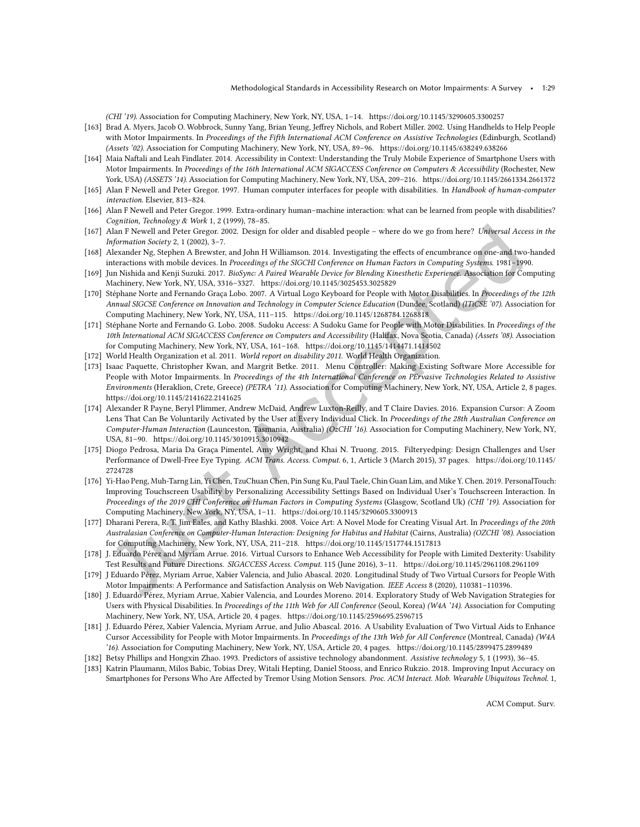(CHI '19). Association for Computing Machinery, New York, NY, USA, 1-14.<https://doi.org/10.1145/3290605.3300257>

- <span id="page-28-3"></span>[163] Brad A. Myers, Jacob O. Wobbrock, Sunny Yang, Brian Yeung, Jefrey Nichols, and Robert Miller. 2002. Using Handhelds to Help People with Motor Impairments. In Proceedings of the Fifth International ACM Conference on Assistive Technologies (Edinburgh, Scotland) (Assets '02). Association for Computing Machinery, New York, NY, USA, 89-96.<https://doi.org/10.1145/638249.638266>
- <span id="page-28-17"></span>[164] Maia Naftali and Leah Findlater. 2014. Accessibility in Context: Understanding the Truly Mobile Experience of Smartphone Users with Motor Impairments. In Proceedings of the 16th International ACM SIGACCESS Conference on Computers & Accessibility (Rochester, New York, USA) (ASSETS '14). Association for Computing Machinery, New York, NY, USA, 209-216.<https://doi.org/10.1145/2661334.2661372>
- <span id="page-28-2"></span>[165] Alan F Newell and Peter Gregor. 1997. Human computer interfaces for people with disabilities. In Handbook of human-computer interaction. Elsevier, 813-824.
- <span id="page-28-1"></span>[166] Alan F Newell and Peter Gregor. 1999. Extra-ordinary human-machine interaction: what can be learned from people with disabilities? Cognition, Technology & Work 1, 2 (1999), 78-85.
- <span id="page-28-20"></span>[167] Alan F Newell and Peter Gregor. 2002. Design for older and disabled people - where do we go from here? Universal Access in the Information Society 2, 1 (2002),  $3-7$ .
- <span id="page-28-19"></span>[168] Alexander Ng, Stephen A Brewster, and John H Williamson. 2014. Investigating the efects of encumbrance on one-and two-handed interactions with mobile devices. In Proceedings of the SIGCHI Conference on Human Factors in Computing Systems. 1981-1990.
- <span id="page-28-4"></span>[169] Jun Nishida and Kenji Suzuki. 2017. BioSync: A Paired Wearable Device for Blending Kinesthetic Experience. Association for Computing Machinery, New York, NY, USA, 3316-3327.<https://doi.org/10.1145/3025453.3025829>
- <span id="page-28-10"></span>[170] Stéphane Norte and Fernando Graça Lobo. 2007. A Virtual Logo Keyboard for People with Motor Disabilities. In Proceedings of the 12th Annual SIGCSE Conference on Innovation and Technology in Computer Science Education (Dundee, Scotland) (ITiCSE '07). Association for Computing Machinery, New York, NY, USA, 111-115.<https://doi.org/10.1145/1268784.1268818>
- <span id="page-28-9"></span>[171] Stéphane Norte and Fernando G. Lobo. 2008. Sudoku Access: A Sudoku Game for People with Motor Disabilities. In Proceedings of the 10th International ACM SIGACCESS Conference on Computers and Accessibility (Halifax, Nova Scotia, Canada) (Assets '08). Association for Computing Machinery, New York, NY, USA, 161-168.<https://doi.org/10.1145/1414471.1414502>
- <span id="page-28-0"></span>[172] World Health Organization et al. 2011. World report on disability 2011. World Health Organization.
- <span id="page-28-6"></span>[173] Isaac Paquette, Christopher Kwan, and Margrit Betke. 2011. Menu Controller: Making Existing Software More Accessible for People with Motor Impairments. In Proceedings of the 4th International Conference on PErvasive Technologies Related to Assistive Environments (Heraklion, Crete, Greece) (PETRA '11). Association for Computing Machinery, New York, NY, USA, Article 2, 8 pages. <https://doi.org/10.1145/2141622.2141625>
- <span id="page-28-11"></span>[174] Alexander R Payne, Beryl Plimmer, Andrew McDaid, Andrew Luxton-Reilly, and T Claire Davies. 2016. Expansion Cursor: A Zoom Lens That Can Be Voluntarily Activated by the User at Every Individual Click. In Proceedings of the 28th Australian Conference on Computer-Human Interaction (Launceston, Tasmania, Australia) (OzCHI '16). Association for Computing Machinery, New York, NY, USA, 81-90.<https://doi.org/10.1145/3010915.3010942>
- <span id="page-28-16"></span>[175] Diogo Pedrosa, Maria Da Graça Pimentel, Amy Wright, and Khai N. Truong. 2015. Filteryedping: Design Challenges and User Performance of Dwell-Free Eye Typing. ACM Trans. Access. Comput. 6, 1, Article 3 (March 2015), 37 pages. [https://doi.org/10.1145/](https://doi.org/10.1145/2724728) [2724728](https://doi.org/10.1145/2724728)
- <span id="page-28-7"></span>[176] Yi-Hao Peng, Muh-Tarng Lin, Yi Chen, TzuChuan Chen, Pin Sung Ku, Paul Taele, Chin Guan Lim, and Mike Y. Chen. 2019. PersonalTouch: Improving Touchscreen Usability by Personalizing Accessibility Settings Based on Individual User's Touchscreen Interaction. In Proceedings of the 2019 CHI Conference on Human Factors in Computing Systems (Glasgow, Scotland Uk) (CHI '19). Association for Computing Machinery, New York, NY, USA, 1-11.<https://doi.org/10.1145/3290605.3300913>
- <span id="page-28-8"></span>[177] Dharani Perera, R. T. Jim Eales, and Kathy Blashki. 2008. Voice Art: A Novel Mode for Creating Visual Art. In Proceedings of the 20th Australasian Conference on Computer-Human Interaction: Designing for Habitus and Habitat (Cairns, Australia) (OZCHI '08). Association for Computing Machinery, New York, NY, USA,  $211-218$ .<https://doi.org/10.1145/1517744.1517813>
- <span id="page-28-12"></span>[178] J. Eduardo Pérez and Myriam Arrue. 2016. Virtual Cursors to Enhance Web Accessibility for People with Limited Dexterity: Usability Test Results and Future Directions. SIGACCESS Access. Comput. 115 (June 2016), 3-11.<https://doi.org/10.1145/2961108.2961109>
- <span id="page-28-13"></span>[179] J Eduardo Pérez, Myriam Arrue, Xabier Valencia, and Julio Abascal. 2020. Longitudinal Study of Two Virtual Cursors for People With Motor Impairments: A Performance and Satisfaction Analysis on Web Navigation. IEEE Access 8 (2020), 110381-110396.
- <span id="page-28-5"></span>[180] J. Eduardo Pérez, Myriam Arrue, Xabier Valencia, and Lourdes Moreno. 2014. Exploratory Study of Web Navigation Strategies for Users with Physical Disabilities. In Proceedings of the 11th Web for All Conference (Seoul, Korea) (W4A '14). Association for Computing Machinery, New York, NY, USA, Article 20, 4 pages.<https://doi.org/10.1145/2596695.2596715>
- <span id="page-28-14"></span>[181] J. Eduardo Pérez, Xabier Valencia, Myriam Arrue, and Julio Abascal. 2016. A Usability Evaluation of Two Virtual Aids to Enhance Cursor Accessibility for People with Motor Impairments. In Proceedings of the 13th Web for All Conference (Montreal, Canada) (W4A '16). Association for Computing Machinery, New York, NY, USA, Article 20, 4 pages.<https://doi.org/10.1145/2899475.2899489>
- <span id="page-28-18"></span>[182] Betsy Phillips and Hongxin Zhao. 1993. Predictors of assistive technology abandonment. Assistive technology 5, 1 (1993), 36-45.
- <span id="page-28-15"></span>[183] Katrin Plaumann, Milos Babic, Tobias Drey, Witali Hepting, Daniel Stooss, and Enrico Rukzio. 2018. Improving Input Accuracy on Smartphones for Persons Who Are Afected by Tremor Using Motion Sensors. Proc. ACM Interact. Mob. Wearable Ubiquitous Technol. 1,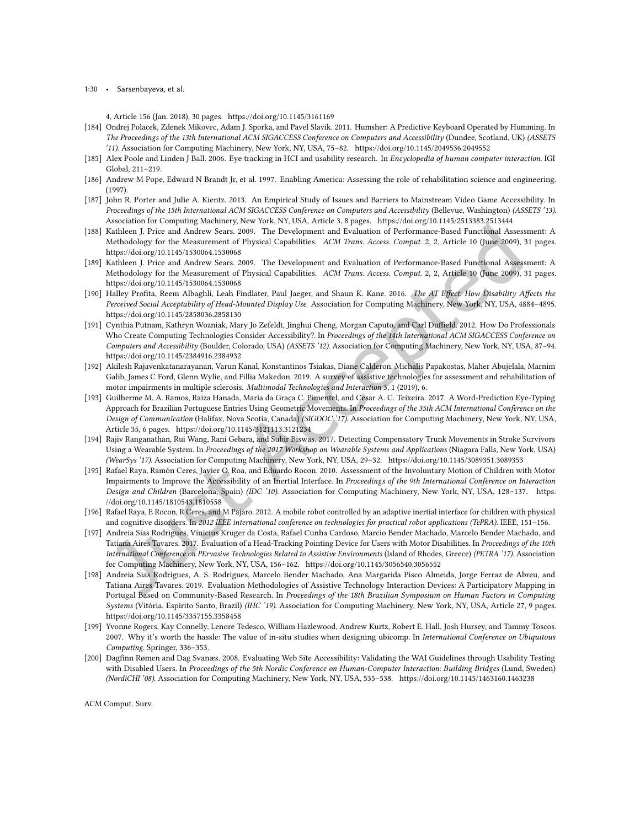1:30 • Sarsenbayeva, et al.

4, Article 156 (Jan. 2018), 30 pages.<https://doi.org/10.1145/3161169>

- <span id="page-29-10"></span>[184] Ondrej Polacek, Zdenek Mikovec, Adam J. Sporka, and Pavel Slavik. 2011. Humsher: A Predictive Keyboard Operated by Humming. In The Proceedings of the 13th International ACM SIGACCESS Conference on Computers and Accessibility (Dundee, Scotland, UK) (ASSETS '11). Association for Computing Machinery, New York, NY, USA, 75-82.<https://doi.org/10.1145/2049536.2049552>
- <span id="page-29-14"></span>[185] Alex Poole and Linden J Ball. 2006. Eye tracking in HCI and usability research. In Encyclopedia of human computer interaction. IGI Global, 211-219.
- <span id="page-29-2"></span>[186] Andrew M Pope, Edward N Brandt Jr, et al. 1997. Enabling America: Assessing the role of rehabilitation science and engineering. (1997).
- <span id="page-29-12"></span>[187] John R. Porter and Julie A. Kientz. 2013. An Empirical Study of Issues and Barriers to Mainstream Video Game Accessibility. In Proceedings of the 15th International ACM SIGACCESS Conference on Computers and Accessibility (Bellevue, Washington) (ASSETS '13). Association for Computing Machinery, New York, NY, USA, Article 3, 8 pages.<https://doi.org/10.1145/2513383.2513444>
- <span id="page-29-7"></span>[188] Kathleen J. Price and Andrew Sears. 2009. The Development and Evaluation of Performance-Based Functional Assessment: A Methodology for the Measurement of Physical Capabilities. ACM Trans. Access. Comput. 2, 2, Article 10 (June 2009), 31 pages. <https://doi.org/10.1145/1530064.1530068>
- <span id="page-29-15"></span>[189] Kathleen J. Price and Andrew Sears. 2009. The Development and Evaluation of Performance-Based Functional Assessment: A Methodology for the Measurement of Physical Capabilities. ACM Trans. Access. Comput. 2, 2, Article 10 (June 2009), 31 pages. <https://doi.org/10.1145/1530064.1530068>
- <span id="page-29-16"></span>[190] Halley Profita, Reem Albaghli, Leah Findlater, Paul Jaeger, and Shaun K. Kane. 2016. The AT Effect: How Disability Affects the Perceived Social Acceptability of Head-Mounted Display Use. Association for Computing Machinery, New York, NY, USA, 4884-4895. <https://doi.org/10.1145/2858036.2858130>
- <span id="page-29-1"></span>[191] Cynthia Putnam, Kathryn Wozniak, Mary Jo Zefeldt, Jinghui Cheng, Morgan Caputo, and Carl Duffield. 2012. How Do Professionals Who Create Computing Technologies Consider Accessibility?. In Proceedings of the 14th International ACM SIGACCESS Conference on Computers and Accessibility (Boulder, Colorado, USA) (ASSETS '12). Association for Computing Machinery, New York, NY, USA, 87-94. <https://doi.org/10.1145/2384916.2384932>
- <span id="page-29-0"></span>[192] Akilesh Rajavenkatanarayanan, Varun Kanal, Konstantinos Tsiakas, Diane Calderon, Michalis Papakostas, Maher Abujelala, Marnim Galib, James C Ford, Glenn Wylie, and Fillia Makedon. 2019. A survey of assistive technologies for assessment and rehabilitation of motor impairments in multiple sclerosis. Multimodal Technologies and Interaction 3, 1 (2019), 6.
- <span id="page-29-11"></span>[193] Guilherme M. A. Ramos, Raiza Hanada, Maria da Graça C. Pimentel, and Cesar A. C. Teixeira. 2017. A Word-Prediction Eye-Typing Approach for Brazilian Portuguese Entries Using Geometric Movements. In Proceedings of the 35th ACM International Conference on the Design of Communication (Halifax, Nova Scotia, Canada) (SIGDOC '17). Association for Computing Machinery, New York, NY, USA, Article 35, 6 pages.<https://doi.org/10.1145/3121113.3121234>
- <span id="page-29-8"></span>[194] Rajiv Ranganathan, Rui Wang, Rani Gebara, and Subir Biswas. 2017. Detecting Compensatory Trunk Movements in Stroke Survivors Using a Wearable System. In Proceedings of the 2017 Workshop on Wearable Systems and Applications (Niagara Falls, New York, USA) (WearSys '17). Association for Computing Machinery, New York, NY, USA, 29-32.<https://doi.org/10.1145/3089351.3089353>
- <span id="page-29-9"></span>[195] Rafael Raya, Ramón Ceres, Javier O. Roa, and Eduardo Rocon. 2010. Assessment of the Involuntary Motion of Children with Motor Impairments to Improve the Accessibility of an Inertial Interface. In Proceedings of the 9th International Conference on Interaction Design and Children (Barcelona, Spain) (IDC '10). Association for Computing Machinery, New York, NY, USA, 128-137. [https:](https://doi.org/10.1145/1810543.1810558) [//doi.org/10.1145/1810543.1810558](https://doi.org/10.1145/1810543.1810558)
- <span id="page-29-4"></span>[196] Rafael Raya, E Rocon, R Ceres, and M Pajaro. 2012. A mobile robot controlled by an adaptive inertial interface for children with physical and cognitive disorders. In 2012 IEEE international conference on technologies for practical robot applications (TePRA). IEEE, 151-156.
- <span id="page-29-5"></span>[197] Andreia Sias Rodrigues, Vinicius Kruger da Costa, Rafael Cunha Cardoso, Marcio Bender Machado, Marcelo Bender Machado, and Tatiana Aires Tavares. 2017. Evaluation of a Head-Tracking Pointing Device for Users with Motor Disabilities. In Proceedings of the 10th International Conference on PErvasive Technologies Related to Assistive Environments (Island of Rhodes, Greece) (PETRA '17). Association for Computing Machinery, New York, NY, USA, 156-162.<https://doi.org/10.1145/3056540.3056552>
- <span id="page-29-13"></span>[198] Andreia Sias Rodrigues, A. S. Rodrigues, Marcelo Bender Machado, Ana Margarida Pisco Almeida, Jorge Ferraz de Abreu, and Tatiana Aires Tavares. 2019. Evaluation Methodologies of Assistive Technology Interaction Devices: A Participatory Mapping in Portugal Based on Community-Based Research. In Proceedings of the 18th Brazilian Symposium on Human Factors in Computing Systems (Vitória, Espírito Santo, Brazil) (IHC '19). Association for Computing Machinery, New York, NY, USA, Article 27, 9 pages. <https://doi.org/10.1145/3357155.3358458>
- <span id="page-29-3"></span>[199] Yvonne Rogers, Kay Connelly, Lenore Tedesco, William Hazlewood, Andrew Kurtz, Robert E. Hall, Josh Hursey, and Tammy Toscos. 2007. Why it's worth the hassle: The value of in-situ studies when designing ubicomp. In International Conference on Ubiquitous Computing. Springer, 336-353.
- <span id="page-29-6"></span>[200] Dagfinn Rømen and Dag Svanæs. 2008. Evaluating Web Site Accessibility: Validating the WAI Guidelines through Usability Testing with Disabled Users. In Proceedings of the 5th Nordic Conference on Human-Computer Interaction: Building Bridges (Lund, Sweden) (NordiCHI '08). Association for Computing Machinery, New York, NY, USA, 535-538.<https://doi.org/10.1145/1463160.1463238>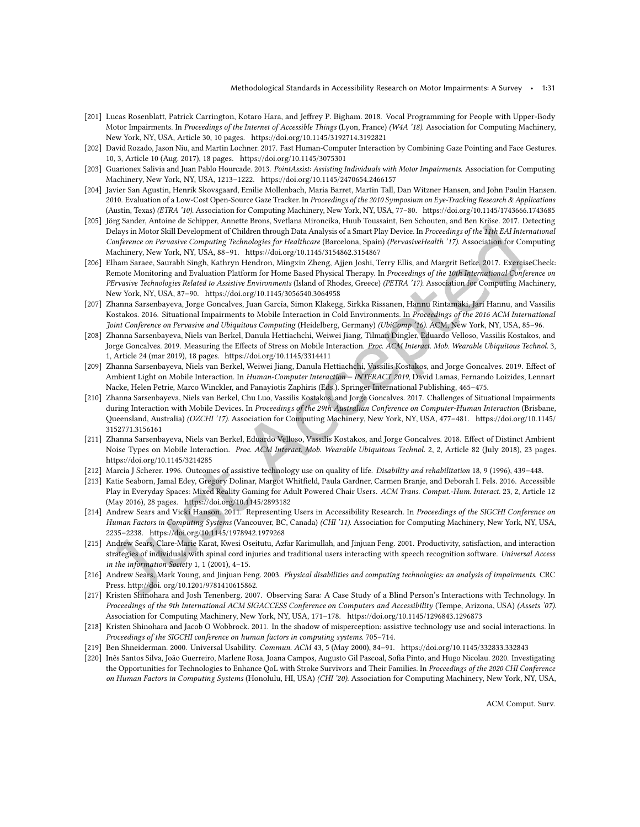- <span id="page-30-7"></span>[201] Lucas Rosenblatt, Patrick Carrington, Kotaro Hara, and Jefrey P. Bigham. 2018. Vocal Programming for People with Upper-Body Motor Impairments. In Proceedings of the Internet of Accessible Things (Lyon, France) (W4A '18). Association for Computing Machinery, New York, NY, USA, Article 30, 10 pages.<https://doi.org/10.1145/3192714.3192821>
- <span id="page-30-8"></span>[202] David Rozado, Jason Niu, and Martin Lochner. 2017. Fast Human-Computer Interaction by Combining Gaze Pointing and Face Gestures. 10, 3, Article 10 (Aug. 2017), 18 pages.<https://doi.org/10.1145/3075301>
- <span id="page-30-9"></span>[203] Guarionex Salivia and Juan Pablo Hourcade. 2013. PointAssist: Assisting Individuals with Motor Impairments. Association for Computing Machinery, New York, NY, USA, 1213-1222.<https://doi.org/10.1145/2470654.2466157>
- <span id="page-30-10"></span>[204] Javier San Agustin, Henrik Skovsgaard, Emilie Mollenbach, Maria Barret, Martin Tall, Dan Witzner Hansen, and John Paulin Hansen. 2010. Evaluation of a Low-Cost Open-Source Gaze Tracker. In Proceedings of the 2010 Symposium on Eye-Tracking Research & Applications (Austin, Texas) (ETRA '10). Association for Computing Machinery, New York, NY, USA, 77-80.<https://doi.org/10.1145/1743666.1743685>
- <span id="page-30-6"></span>[205] Jörg Sander, Antoine de Schipper, Annette Brons, Svetlana Mironcika, Huub Toussaint, Ben Schouten, and Ben Kröse. 2017. Detecting Delays in Motor Skill Development of Children through Data Analysis of a Smart Play Device. In Proceedings of the 11th EAI International Conference on Pervasive Computing Technologies for Healthcare (Barcelona, Spain) (PervasiveHealth '17). Association for Computing Machinery, New York, NY, USA, 88-91.<https://doi.org/10.1145/3154862.3154867>
- <span id="page-30-5"></span>[206] Elham Saraee, Saurabh Singh, Kathryn Hendron, Mingxin Zheng, Ajjen Joshi, Terry Ellis, and Margrit Betke. 2017. ExerciseCheck: Remote Monitoring and Evaluation Platform for Home Based Physical Therapy. In Proceedings of the 10th International Conference on PErvasive Technologies Related to Assistive Environments (Island of Rhodes, Greece) (PETRA '17). Association for Computing Machinery, New York, NY, USA, 87-90.<https://doi.org/10.1145/3056540.3064958>
- <span id="page-30-18"></span>[207] Zhanna Sarsenbayeva, Jorge Goncalves, Juan García, Simon Klakegg, Sirkka Rissanen, Hannu Rintamäki, Jari Hannu, and Vassilis Kostakos. 2016. Situational Impairments to Mobile Interaction in Cold Environments. In Proceedings of the 2016 ACM International Joint Conference on Pervasive and Ubiquitous Computing (Heidelberg, Germany) (UbiComp '16). ACM, New York, NY, USA, 85-96.
- <span id="page-30-19"></span>[208] Zhanna Sarsenbayeva, Niels van Berkel, Danula Hettiachchi, Weiwei Jiang, Tilman Dingler, Eduardo Velloso, Vassilis Kostakos, and Jorge Goncalves. 2019. Measuring the Effects of Stress on Mobile Interaction. Proc. ACM Interact. Mob. Wearable Ubiquitous Technol. 3, 1, Article 24 (mar 2019), 18 pages.<https://doi.org/10.1145/3314411>
- <span id="page-30-17"></span>[209] Zhanna Sarsenbayeva, Niels van Berkel, Weiwei Jiang, Danula Hettiachchi, Vassilis Kostakos, and Jorge Goncalves. 2019. Efect of Ambient Light on Mobile Interaction. In Human-Computer Interaction - INTERACT 2019, David Lamas, Fernando Loizides, Lennart Nacke, Helen Petrie, Marco Winckler, and Panayiotis Zaphiris (Eds.). Springer International Publishing, 465-475.
- <span id="page-30-15"></span>[210] Zhanna Sarsenbayeva, Niels van Berkel, Chu Luo, Vassilis Kostakos, and Jorge Goncalves. 2017. Challenges of Situational Impairments during Interaction with Mobile Devices. In Proceedings of the 29th Australian Conference on Computer-Human Interaction (Brisbane, Queensland, Australia) (OZCHI '17). Association for Computing Machinery, New York, NY, USA, 477-481. [https://doi.org/10.1145/](https://doi.org/10.1145/3152771.3156161) [3152771.3156161](https://doi.org/10.1145/3152771.3156161)
- <span id="page-30-16"></span>[211] Zhanna Sarsenbayeva, Niels van Berkel, Eduardo Velloso, Vassilis Kostakos, and Jorge Goncalves. 2018. Efect of Distinct Ambient Noise Types on Mobile Interaction. Proc. ACM Interact. Mob. Wearable Ubiquitous Technol. 2, 2, Article 82 (July 2018), 23 pages. <https://doi.org/10.1145/3214285>
- <span id="page-30-13"></span>[212] Marcia J Scherer. 1996. Outcomes of assistive technology use on quality of life. Disability and rehabilitation 18, 9 (1996), 439-448.
- <span id="page-30-4"></span>[213] Katie Seaborn, Jamal Edey, Gregory Dolinar, Margot Whitield, Paula Gardner, Carmen Branje, and Deborah I. Fels. 2016. Accessible Play in Everyday Spaces: Mixed Reality Gaming for Adult Powered Chair Users. ACM Trans. Comput.-Hum. Interact. 23, 2, Article 12 (May 2016), 28 pages.<https://doi.org/10.1145/2893182>
- <span id="page-30-2"></span>[214] Andrew Sears and Vicki Hanson. 2011. Representing Users in Accessibility Research. In Proceedings of the SIGCHI Conference on Human Factors in Computing Systems (Vancouver, BC, Canada) (CHI '11). Association for Computing Machinery, New York, NY, USA, 2235-2238.<https://doi.org/10.1145/1978942.1979268>
- <span id="page-30-3"></span>[215] Andrew Sears, Clare-Marie Karat, Kwesi Oseitutu, Azfar Karimullah, and Jinjuan Feng. 2001. Productivity, satisfaction, and interaction strategies of individuals with spinal cord injuries and traditional users interacting with speech recognition software. Universal Access in the information Society 1, 1 (2001),  $4-15$ .
- <span id="page-30-14"></span>[216] Andrew Sears, Mark Young, and Jinjuan Feng. 2003. Physical disabilities and computing technologies: an analysis of impairments. CRC Press. http://doi. org/10.1201/9781410615862.
- <span id="page-30-12"></span>[217] Kristen Shinohara and Josh Tenenberg. 2007. Observing Sara: A Case Study of a Blind Person's Interactions with Technology. In Proceedings of the 9th International ACM SIGACCESS Conference on Computers and Accessibility (Tempe, Arizona, USA) (Assets '07). Association for Computing Machinery, New York, NY, USA, 171-178.<https://doi.org/10.1145/1296843.1296873>
- <span id="page-30-0"></span>[218] Kristen Shinohara and Jacob O Wobbrock. 2011. In the shadow of misperception: assistive technology use and social interactions. In Proceedings of the SIGCHI conference on human factors in computing systems. 705-714.
- <span id="page-30-1"></span>[219] Ben Shneiderman. 2000. Universal Usability. Commun. ACM 43, 5 (May 2000), 84-91.<https://doi.org/10.1145/332833.332843>
- <span id="page-30-11"></span>[220] Inês Santos Silva, João Guerreiro, Marlene Rosa, Joana Campos, Augusto Gil Pascoal, Soia Pinto, and Hugo Nicolau. 2020. Investigating the Opportunities for Technologies to Enhance QoL with Stroke Survivors and Their Families. In Proceedings of the 2020 CHI Conference on Human Factors in Computing Systems (Honolulu, HI, USA) (CHI '20). Association for Computing Machinery, New York, NY, USA,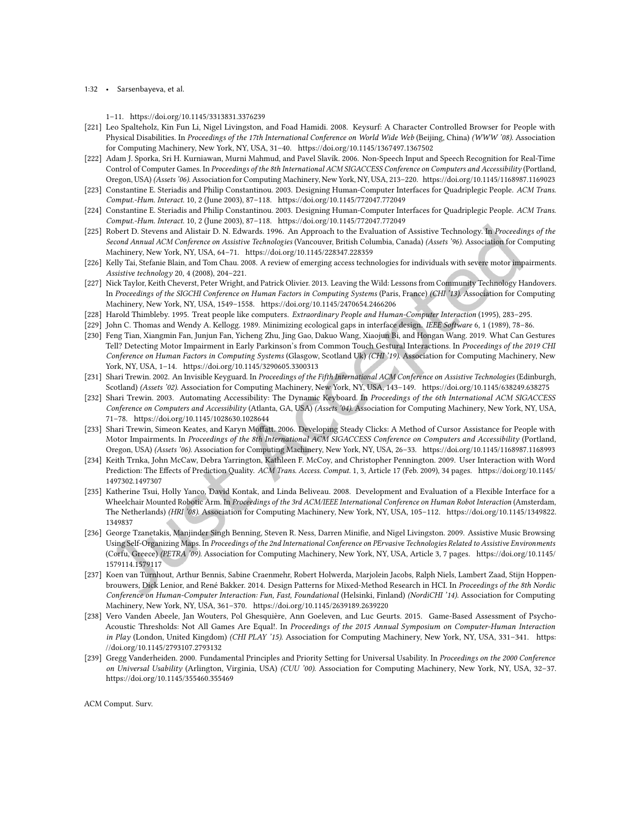#### 1:32 • Sarsenbayeva, et al.

1-11.<https://doi.org/10.1145/3313831.3376239>

- <span id="page-31-14"></span>[221] Leo Spalteholz, Kin Fun Li, Nigel Livingston, and Foad Hamidi. 2008. Keysurf: A Character Controlled Browser for People with Physical Disabilities. In Proceedings of the 17th International Conference on World Wide Web (Beijing, China) (WWW '08). Association for Computing Machinery, New York, NY, USA, 31-40.<https://doi.org/10.1145/1367497.1367502>
- <span id="page-31-9"></span>[222] Adam J. Sporka, Sri H. Kurniawan, Murni Mahmud, and Pavel Slavík. 2006. Non-Speech Input and Speech Recognition for Real-Time Control of Computer Games. In Proceedings of the 8th International ACM SIGACCESS Conference on Computers and Accessibility (Portland, Oregon, USA) (Assets '06). Association for Computing Machinery, New York, NY, USA, 213-220.<https://doi.org/10.1145/1168987.1169023>
- <span id="page-31-0"></span>[223] Constantine E. Steriadis and Philip Constantinou. 2003. Designing Human-Computer Interfaces for Quadriplegic People. ACM Trans. Comput.-Hum. Interact. 10, 2 (June 2003), 87-118.<https://doi.org/10.1145/772047.772049>
- <span id="page-31-10"></span>[224] Constantine E. Steriadis and Philip Constantinou. 2003. Designing Human-Computer Interfaces for Quadriplegic People. ACM Trans. Comput.-Hum. Interact. 10, 2 (June 2003), 87-118.<https://doi.org/10.1145/772047.772049>
- <span id="page-31-15"></span>[225] Robert D. Stevens and Alistair D. N. Edwards. 1996. An Approach to the Evaluation of Assistive Technology. In Proceedings of the Second Annual ACM Conference on Assistive Technologies (Vancouver, British Columbia, Canada) (Assets '96). Association for Computing Machinery, New York, NY, USA, 64-71.<https://doi.org/10.1145/228347.228359>
- <span id="page-31-1"></span>[226] Kelly Tai, Stefanie Blain, and Tom Chau. 2008. A review of emerging access technologies for individuals with severe motor impairments. Assistive technology 20, 4 (2008), 204-221.
- <span id="page-31-17"></span>[227] Nick Taylor, Keith Cheverst, Peter Wright, and Patrick Olivier. 2013. Leaving the Wild: Lessons from Community Technology Handovers. In Proceedings of the SIGCHI Conference on Human Factors in Computing Systems (Paris, France) (CHI '13). Association for Computing Machinery, New York, NY, USA, 1549-1558.<https://doi.org/10.1145/2470654.2466206>
- <span id="page-31-18"></span>[228] Harold Thimbleby. 1995. Treat people like computers. Extraordinary People and Human-Computer Interaction (1995), 283-295.
- <span id="page-31-4"></span>[229] John C. Thomas and Wendy A. Kellogg. 1989. Minimizing ecological gaps in interface design. IEEE Software 6, 1 (1989), 78-86.
- <span id="page-31-8"></span>[230] Feng Tian, Xiangmin Fan, Junjun Fan, Yicheng Zhu, Jing Gao, Dakuo Wang, Xiaojun Bi, and Hongan Wang. 2019. What Can Gestures Tell? Detecting Motor Impairment in Early Parkinson's from Common Touch Gestural Interactions. In Proceedings of the 2019 CHI Conference on Human Factors in Computing Systems (Glasgow, Scotland Uk) (CHI '19). Association for Computing Machinery, New York, NY, USA, 1-14.<https://doi.org/10.1145/3290605.3300313>
- <span id="page-31-11"></span>[231] Shari Trewin. 2002. An Invisible Keyguard. In Proceedings of the Fifth International ACM Conference on Assistive Technologies (Edinburgh, Scotland) (Assets '02). Association for Computing Machinery, New York, NY, USA, 143-149.<https://doi.org/10.1145/638249.638275>
- <span id="page-31-12"></span>[232] Shari Trewin. 2003. Automating Accessibility: The Dynamic Keyboard. In Proceedings of the 6th International ACM SIGACCESS Conference on Computers and Accessibility (Atlanta, GA, USA) (Assets '04). Association for Computing Machinery, New York, NY, USA, 71-78.<https://doi.org/10.1145/1028630.1028644>
- <span id="page-31-7"></span>[233] Shari Trewin, Simeon Keates, and Karyn Moffatt. 2006. Developing Steady Clicks: A Method of Cursor Assistance for People with Motor Impairments. In Proceedings of the 8th International ACM SIGACCESS Conference on Computers and Accessibility (Portland, Oregon, USA) (Assets '06). Association for Computing Machinery, New York, NY, USA, 26-33.<https://doi.org/10.1145/1168987.1168993>
- <span id="page-31-13"></span>[234] Keith Trnka, John McCaw, Debra Yarrington, Kathleen F. McCoy, and Christopher Pennington. 2009. User Interaction with Word Prediction: The Efects of Prediction Quality. ACM Trans. Access. Comput. 1, 3, Article 17 (Feb. 2009), 34 pages. [https://doi.org/10.1145/](https://doi.org/10.1145/1497302.1497307) [1497302.1497307](https://doi.org/10.1145/1497302.1497307)
- <span id="page-31-5"></span>[235] Katherine Tsui, Holly Yanco, David Kontak, and Linda Beliveau. 2008. Development and Evaluation of a Flexible Interface for a Wheelchair Mounted Robotic Arm. In Proceedings of the 3rd ACM/IEEE International Conference on Human Robot Interaction (Amsterdam, The Netherlands) (HRI '08). Association for Computing Machinery, New York, NY, USA, 105-112. [https://doi.org/10.1145/1349822.](https://doi.org/10.1145/1349822.1349837) [1349837](https://doi.org/10.1145/1349822.1349837)
- <span id="page-31-6"></span>[236] George Tzanetakis, Manjinder Singh Benning, Steven R. Ness, Darren Miniie, and Nigel Livingston. 2009. Assistive Music Browsing Using Self-Organizing Maps. In Proceedings of the 2nd International Conference on PErvasive Technologies Related to Assistive Environments (Corfu, Greece) (PETRA '09). Association for Computing Machinery, New York, NY, USA, Article 3, 7 pages. [https://doi.org/10.1145/](https://doi.org/10.1145/1579114.1579117) [1579114.1579117](https://doi.org/10.1145/1579114.1579117)
- <span id="page-31-3"></span>[237] Koen van Turnhout, Arthur Bennis, Sabine Craenmehr, Robert Holwerda, Marjolein Jacobs, Ralph Niels, Lambert Zaad, Stijn Hoppenbrouwers, Dick Lenior, and René Bakker. 2014. Design Patterns for Mixed-Method Research in HCI. In Proceedings of the 8th Nordic Conference on Human-Computer Interaction: Fun, Fast, Foundational (Helsinki, Finland) (NordiCHI '14). Association for Computing Machinery, New York, NY, USA, 361-370.<https://doi.org/10.1145/2639189.2639220>
- <span id="page-31-16"></span>[238] Vero Vanden Abeele, Jan Wouters, Pol Ghesquière, Ann Goeleven, and Luc Geurts. 2015. Game-Based Assessment of Psycho-Acoustic Thresholds: Not All Games Are Equal!. In Proceedings of the 2015 Annual Symposium on Computer-Human Interaction in Play (London, United Kingdom) (CHI PLAY '15). Association for Computing Machinery, New York, NY, USA, 331-341. [https:](https://doi.org/10.1145/2793107.2793132) [//doi.org/10.1145/2793107.2793132](https://doi.org/10.1145/2793107.2793132)
- <span id="page-31-2"></span>[239] Gregg Vanderheiden. 2000. Fundamental Principles and Priority Setting for Universal Usability. In Proceedings on the 2000 Conference on Universal Usability (Arlington, Virginia, USA) (CUU '00). Association for Computing Machinery, New York, NY, USA, 32-37. <https://doi.org/10.1145/355460.355469>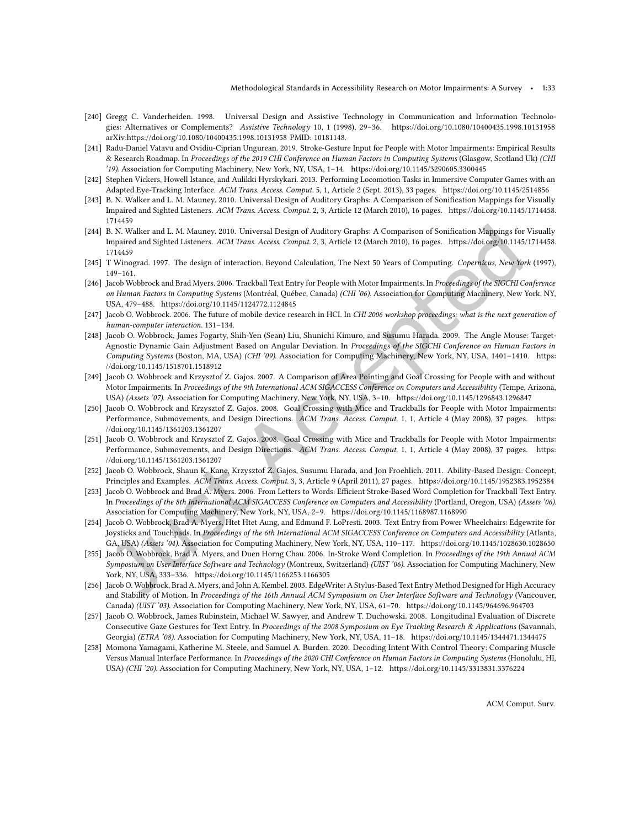- <span id="page-32-0"></span>[240] Gregg C. Vanderheiden. 1998. Universal Design and Assistive Technology in Communication and Information Technologies: Alternatives or Complements? Assistive Technology 10, 1 (1998), 29-36.<https://doi.org/10.1080/10400435.1998.10131958> arXiv[:https://doi.org/10.1080/10400435.1998.10131958](https://arxiv.org/abs/https://doi.org/10.1080/10400435.1998.10131958) PMID: 10181148.
- <span id="page-32-4"></span>[241] Radu-Daniel Vatavu and Ovidiu-Ciprian Ungurean. 2019. Stroke-Gesture Input for People with Motor Impairments: Empirical Results & Research Roadmap. In Proceedings of the 2019 CHI Conference on Human Factors in Computing Systems (Glasgow, Scotland Uk) (CHI '19). Association for Computing Machinery, New York, NY, USA, 1-14.<https://doi.org/10.1145/3290605.3300445>
- <span id="page-32-8"></span>[242] Stephen Vickers, Howell Istance, and Aulikki Hyrskykari. 2013. Performing Locomotion Tasks in Immersive Computer Games with an Adapted Eye-Tracking Interface. ACM Trans. Access. Comput. 5, 1, Article 2 (Sept. 2013), 33 pages.<https://doi.org/10.1145/2514856>
- <span id="page-32-2"></span>[243] B. N. Walker and L. M. Mauney. 2010. Universal Design of Auditory Graphs: A Comparison of Sonification Mappings for Visually Impaired and Sighted Listeners. ACM Trans. Access. Comput. 2, 3, Article 12 (March 2010), 16 pages. [https://doi.org/10.1145/1714458.](https://doi.org/10.1145/1714458.1714459) [1714459](https://doi.org/10.1145/1714458.1714459)
- <span id="page-32-13"></span>[244] B. N. Walker and L. M. Mauney. 2010. Universal Design of Auditory Graphs: A Comparison of Sonification Mappings for Visually Impaired and Sighted Listeners. ACM Trans. Access. Comput. 2, 3, Article 12 (March 2010), 16 pages. [https://doi.org/10.1145/1714458.](https://doi.org/10.1145/1714458.1714459) [1714459](https://doi.org/10.1145/1714458.1714459)
- <span id="page-32-16"></span>[245] T Winograd. 1997. The design of interaction. Beyond Calculation, The Next 50 Years of Computing. Copernicus, New York (1997),  $149 - 161.$
- <span id="page-32-5"></span>[246] Jacob Wobbrock and Brad Myers. 2006. Trackball Text Entry for People with Motor Impairments. In Proceedings of the SIGCHI Conference on Human Factors in Computing Systems (Montréal, Québec, Canada) (CHI '06). Association for Computing Machinery, New York, NY, USA, 479-488.<https://doi.org/10.1145/1124772.1124845>
- <span id="page-32-15"></span>[247] Jacob O. Wobbrock. 2006. The future of mobile device research in HCI. In CHI 2006 workshop proceedings: what is the next generation of human-computer interaction. 131-134.
- <span id="page-32-9"></span>[248] Jacob O. Wobbrock, James Fogarty, Shih-Yen (Sean) Liu, Shunichi Kimuro, and Susumu Harada. 2009. The Angle Mouse: Target-Agnostic Dynamic Gain Adjustment Based on Angular Deviation. In Proceedings of the SIGCHI Conference on Human Factors in Computing Systems (Boston, MA, USA) (CHI '09). Association for Computing Machinery, New York, NY, USA, 1401-1410. [https:](https://doi.org/10.1145/1518701.1518912) [//doi.org/10.1145/1518701.1518912](https://doi.org/10.1145/1518701.1518912)
- <span id="page-32-6"></span>[249] Jacob O. Wobbrock and Krzysztof Z. Gajos. 2007. A Comparison of Area Pointing and Goal Crossing for People with and without Motor Impairments. In Proceedings of the 9th International ACM SIGACCESS Conference on Computers and Accessibility (Tempe, Arizona, USA) (Assets '07). Association for Computing Machinery, New York, NY, USA, 3-10.<https://doi.org/10.1145/1296843.1296847>
- <span id="page-32-7"></span>[250] Jacob O. Wobbrock and Krzysztof Z. Gajos. 2008. Goal Crossing with Mice and Trackballs for People with Motor Impairments: Performance, Submovements, and Design Directions. ACM Trans. Access. Comput. 1, 1, Article 4 (May 2008), 37 pages. [https:](https://doi.org/10.1145/1361203.1361207) [//doi.org/10.1145/1361203.1361207](https://doi.org/10.1145/1361203.1361207)
- <span id="page-32-14"></span>[251] Jacob O. Wobbrock and Krzysztof Z. Gajos. 2008. Goal Crossing with Mice and Trackballs for People with Motor Impairments: Performance, Submovements, and Design Directions. ACM Trans. Access. Comput. 1, 1, Article 4 (May 2008), 37 pages. [https:](https://doi.org/10.1145/1361203.1361207) [//doi.org/10.1145/1361203.1361207](https://doi.org/10.1145/1361203.1361207)
- <span id="page-32-1"></span>[252] Jacob O. Wobbrock, Shaun K. Kane, Krzysztof Z. Gajos, Susumu Harada, and Jon Froehlich. 2011. Ability-Based Design: Concept, Principles and Examples. ACM Trans. Access. Comput. 3, 3, Article 9 (April 2011), 27 pages.<https://doi.org/10.1145/1952383.1952384>
- <span id="page-32-10"></span>[253] Jacob O. Wobbrock and Brad A. Myers. 2006. From Letters to Words: Eicient Stroke-Based Word Completion for Trackball Text Entry. In Proceedings of the 8th International ACM SIGACCESS Conference on Computers and Accessibility (Portland, Oregon, USA) (Assets '06). Association for Computing Machinery, New York, NY, USA, 2-9.<https://doi.org/10.1145/1168987.1168990>
- <span id="page-32-3"></span>[254] Jacob O. Wobbrock, Brad A. Myers, Htet Htet Aung, and Edmund F. LoPresti. 2003. Text Entry from Power Wheelchairs: Edgewrite for Joysticks and Touchpads. In Proceedings of the 6th International ACM SIGACCESS Conference on Computers and Accessibility (Atlanta, GA, USA) (Assets '04). Association for Computing Machinery, New York, NY, USA, 110-117.<https://doi.org/10.1145/1028630.1028650>
- [255] Jacob O. Wobbrock, Brad A. Myers, and Duen Horng Chau. 2006. In-Stroke Word Completion. In Proceedings of the 19th Annual ACM Symposium on User Interface Software and Technology (Montreux, Switzerland) (UIST '06). Association for Computing Machinery, New York, NY, USA, 333-336.<https://doi.org/10.1145/1166253.1166305>
- [256] Jacob O. Wobbrock, Brad A. Myers, and John A. Kembel. 2003. EdgeWrite: A Stylus-Based Text Entry Method Designed for High Accuracy and Stability of Motion. In Proceedings of the 16th Annual ACM Symposium on User Interface Software and Technology (Vancouver, Canada) (UIST '03). Association for Computing Machinery, New York, NY, USA, 61-70.<https://doi.org/10.1145/964696.964703>
- <span id="page-32-11"></span>[257] Jacob O. Wobbrock, James Rubinstein, Michael W. Sawyer, and Andrew T. Duchowski. 2008. Longitudinal Evaluation of Discrete Consecutive Gaze Gestures for Text Entry. In Proceedings of the 2008 Symposium on Eye Tracking Research & Applications (Savannah, Georgia) (ETRA '08). Association for Computing Machinery, New York, NY, USA, 11-18.<https://doi.org/10.1145/1344471.1344475>
- <span id="page-32-12"></span>[258] Momona Yamagami, Katherine M. Steele, and Samuel A. Burden. 2020. Decoding Intent With Control Theory: Comparing Muscle Versus Manual Interface Performance. In Proceedings of the 2020 CHI Conference on Human Factors in Computing Systems (Honolulu, HI, USA) (CHI '20). Association for Computing Machinery, New York, NY, USA, 1-12.<https://doi.org/10.1145/3313831.3376224>